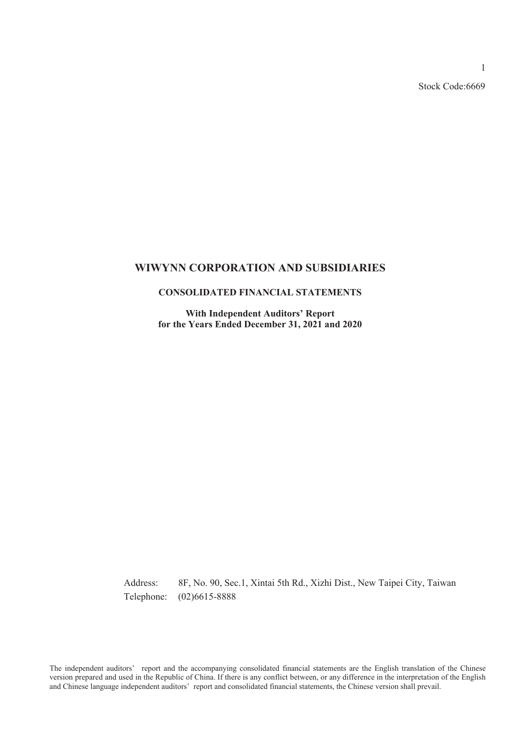Stock Code:6669

### **WIWYNN CORPORATION AND SUBSIDIARIES**

### **CONSOLIDATED FINANCIAL STATEMENTS**

**With Independent Auditors' Report for the Years Ended December 31, 2021 and 2020**

Address: 8F, No. 90, Sec.1, Xintai 5th Rd., Xizhi Dist., New Taipei City, Taiwan Telephone: (02)6615-8888

The independent auditors' report and the accompanying consolidated financial statements are the English translation of the Chinese version prepared and used in the Republic of China. If there is any conflict between, or any difference in the interpretation of the English and Chinese language independent auditors' report and consolidated financial statements, the Chinese version shall prevail.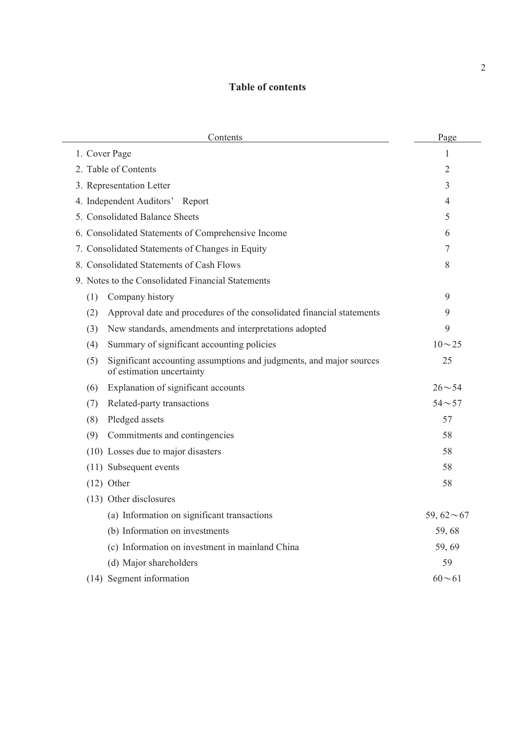# **Table of contents**

| Contents                                                                                                | Page             |
|---------------------------------------------------------------------------------------------------------|------------------|
| 1. Cover Page                                                                                           | 1                |
| 2. Table of Contents                                                                                    | 2                |
| 3. Representation Letter                                                                                | 3                |
| 4. Independent Auditors' Report                                                                         | 4                |
| 5. Consolidated Balance Sheets                                                                          | 5                |
| 6. Consolidated Statements of Comprehensive Income                                                      | 6                |
| 7. Consolidated Statements of Changes in Equity                                                         | 7                |
| 8. Consolidated Statements of Cash Flows                                                                | 8                |
| 9. Notes to the Consolidated Financial Statements                                                       |                  |
| (1)<br>Company history                                                                                  | 9                |
| (2)<br>Approval date and procedures of the consolidated financial statements                            | 9                |
| New standards, amendments and interpretations adopted<br>(3)                                            | 9                |
| Summary of significant accounting policies<br>(4)                                                       | $10 - 25$        |
| Significant accounting assumptions and judgments, and major sources<br>(5)<br>of estimation uncertainty | 25               |
| Explanation of significant accounts<br>(6)                                                              | $26 - 54$        |
| Related-party transactions<br>(7)                                                                       | $54 - 57$        |
| Pledged assets<br>(8)                                                                                   | 57               |
| (9)<br>Commitments and contingencies                                                                    | 58               |
| (10) Losses due to major disasters                                                                      | 58               |
| (11) Subsequent events                                                                                  | 58               |
| $(12)$ Other                                                                                            | 58               |
| (13) Other disclosures                                                                                  |                  |
| (a) Information on significant transactions                                                             | 59, $62 \sim 67$ |
| (b) Information on investments                                                                          | 59,68            |
| (c) Information on investment in mainland China                                                         | 59,69            |
| (d) Major shareholders                                                                                  | 59               |
| (14) Segment information                                                                                | $60 - 61$        |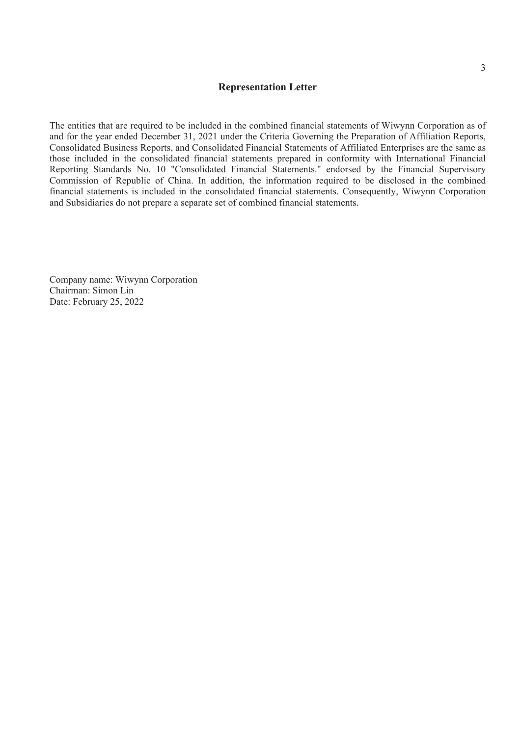### **Representation Letter**

The entities that are required to be included in the combined financial statements of Wiwynn Corporation as of and for the year ended December 31, 2021 under the Criteria Governing the Preparation of Affiliation Reports, Consolidated Business Reports, and Consolidated Financial Statements of Affiliated Enterprises are the same as those included in the consolidated financial statements prepared in conformity with International Financial Reporting Standards No. 10 "Consolidated Financial Statements." endorsed by the Financial Supervisory Commission of Republic of China. In addition, the information required to be disclosed in the combined financial statements is included in the consolidated financial statements. Consequently, Wiwynn Corporation and Subsidiaries do not prepare a separate set of combined financial statements.

Company name: Wiwynn Corporation Chairman: Simon Lin Date: February 25, 2022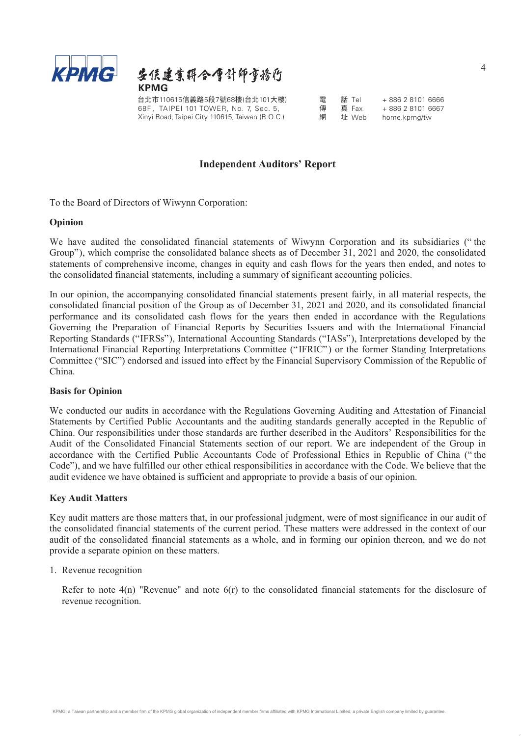



台北市110615信義路5段7號68樓(台北101大樓) 68F., TAIPEI 101 TOWER, No. 7, Sec. 5, Xinyi Road, Taipei City 110615, Taiwan (R.O.C.)

| 雷 | 話 Tel | +886 28101 6666 |
|---|-------|-----------------|
| 傳 | 真 Fax | +886 28101 6667 |
| 網 | 址 Web | home.kpmg/tw    |

### **Independent Auditors' Report**

To the Board of Directors of Wiwynn Corporation:

### **Opinion**

We have audited the consolidated financial statements of Wiwynn Corporation and its subsidiaries (" the Group"), which comprise the consolidated balance sheets as of December 31, 2021 and 2020, the consolidated statements of comprehensive income, changes in equity and cash flows for the years then ended, and notes to the consolidated financial statements, including a summary of significant accounting policies.

In our opinion, the accompanying consolidated financial statements present fairly, in all material respects, the consolidated financial position of the Group as of December 31, 2021 and 2020, and its consolidated financial performance and its consolidated cash flows for the years then ended in accordance with the Regulations Governing the Preparation of Financial Reports by Securities Issuers and with the International Financial Reporting Standards ("IFRSs"), International Accounting Standards ("IASs"), Interpretations developed by the International Financial Reporting Interpretations Committee ("IFRIC") or the former Standing Interpretations Committee ("SIC") endorsed and issued into effect by the Financial Supervisory Commission of the Republic of China.

### **Basis for Opinion**

We conducted our audits in accordance with the Regulations Governing Auditing and Attestation of Financial Statements by Certified Public Accountants and the auditing standards generally accepted in the Republic of China. Our responsibilities under those standards are further described in the Auditors' Responsibilities for the Audit of the Consolidated Financial Statements section of our report. We are independent of the Group in accordance with the Certified Public Accountants Code of Professional Ethics in Republic of China (" the Code"), and we have fulfilled our other ethical responsibilities in accordance with the Code. We believe that the audit evidence we have obtained is sufficient and appropriate to provide a basis of our opinion.

### **Key Audit Matters**

Key audit matters are those matters that, in our professional judgment, were of most significance in our audit of the consolidated financial statements of the current period. These matters were addressed in the context of our audit of the consolidated financial statements as a whole, and in forming our opinion thereon, and we do not provide a separate opinion on these matters.

#### 1. Revenue recognition

Refer to note  $4(n)$  "Revenue" and note  $6(r)$  to the consolidated financial statements for the disclosure of revenue recognition.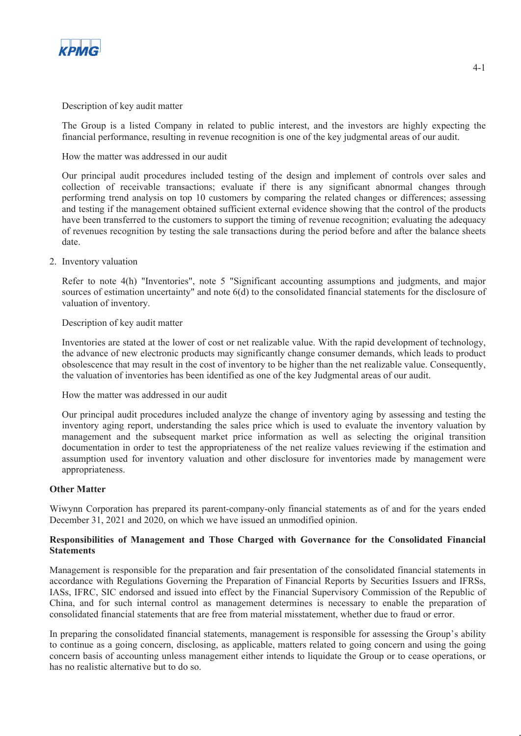

### Description of key audit matter

The Group is a listed Company in related to public interest, and the investors are highly expecting the financial performance, resulting in revenue recognition is one of the key judgmental areas of our audit.

How the matter was addressed in our audit

Our principal audit procedures included testing of the design and implement of controls over sales and collection of receivable transactions; evaluate if there is any significant abnormal changes through performing trend analysis on top 10 customers by comparing the related changes or differences; assessing and testing if the management obtained sufficient external evidence showing that the control of the products have been transferred to the customers to support the timing of revenue recognition; evaluating the adequacy of revenues recognition by testing the sale transactions during the period before and after the balance sheets date.

### 2. Inventory valuation

Refer to note 4(h) "Inventories", note 5 "Significant accounting assumptions and judgments, and major sources of estimation uncertainty" and note 6(d) to the consolidated financial statements for the disclosure of valuation of inventory.

### Description of key audit matter

Inventories are stated at the lower of cost or net realizable value. With the rapid development of technology, the advance of new electronic products may significantly change consumer demands, which leads to product obsolescence that may result in the cost of inventory to be higher than the net realizable value. Consequently, the valuation of inventories has been identified as one of the key Judgmental areas of our audit.

How the matter was addressed in our audit

Our principal audit procedures included analyze the change of inventory aging by assessing and testing the inventory aging report, understanding the sales price which is used to evaluate the inventory valuation by management and the subsequent market price information as well as selecting the original transition documentation in order to test the appropriateness of the net realize values reviewing if the estimation and assumption used for inventory valuation and other disclosure for inventories made by management were appropriateness.

#### **Other Matter**

Wiwynn Corporation has prepared its parent-company-only financial statements as of and for the years ended December 31, 2021 and 2020, on which we have issued an unmodified opinion.

### **Responsibilities of Management and Those Charged with Governance for the Consolidated Financial Statements**

Management is responsible for the preparation and fair presentation of the consolidated financial statements in accordance with Regulations Governing the Preparation of Financial Reports by Securities Issuers and IFRSs, IASs, IFRC, SIC endorsed and issued into effect by the Financial Supervisory Commission of the Republic of China, and for such internal control as management determines is necessary to enable the preparation of consolidated financial statements that are free from material misstatement, whether due to fraud or error.

In preparing the consolidated financial statements, management is responsible for assessing the Group's ability to continue as a going concern, disclosing, as applicable, matters related to going concern and using the going concern basis of accounting unless management either intends to liquidate the Group or to cease operations, or has no realistic alternative but to do so.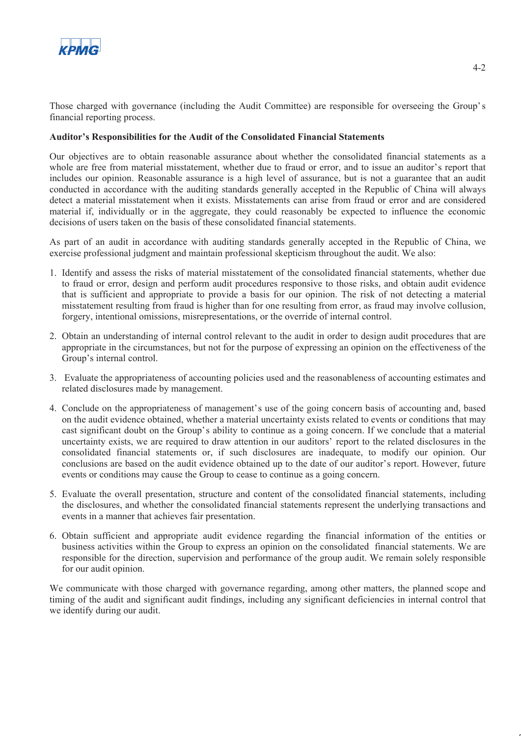

Those charged with governance (including the Audit Committee) are responsible for overseeing the Group's financial reporting process.

### **Auditor's Responsibilities for the Audit of the Consolidated Financial Statements**

Our objectives are to obtain reasonable assurance about whether the consolidated financial statements as a whole are free from material misstatement, whether due to fraud or error, and to issue an auditor's report that includes our opinion. Reasonable assurance is a high level of assurance, but is not a guarantee that an audit conducted in accordance with the auditing standards generally accepted in the Republic of China will always detect a material misstatement when it exists. Misstatements can arise from fraud or error and are considered material if, individually or in the aggregate, they could reasonably be expected to influence the economic decisions of users taken on the basis of these consolidated financial statements.

As part of an audit in accordance with auditing standards generally accepted in the Republic of China, we exercise professional judgment and maintain professional skepticism throughout the audit. We also:

- 1. Identify and assess the risks of material misstatement of the consolidated financial statements, whether due to fraud or error, design and perform audit procedures responsive to those risks, and obtain audit evidence that is sufficient and appropriate to provide a basis for our opinion. The risk of not detecting a material misstatement resulting from fraud is higher than for one resulting from error, as fraud may involve collusion, forgery, intentional omissions, misrepresentations, or the override of internal control.
- 2. Obtain an understanding of internal control relevant to the audit in order to design audit procedures that are appropriate in the circumstances, but not for the purpose of expressing an opinion on the effectiveness of the Group's internal control.
- 3. Evaluate the appropriateness of accounting policies used and the reasonableness of accounting estimates and related disclosures made by management.
- 4. Conclude on the appropriateness of management's use of the going concern basis of accounting and, based on the audit evidence obtained, whether a material uncertainty exists related to events or conditions that may cast significant doubt on the Group's ability to continue as a going concern. If we conclude that a material uncertainty exists, we are required to draw attention in our auditors' report to the related disclosures in the consolidated financial statements or, if such disclosures are inadequate, to modify our opinion. Our conclusions are based on the audit evidence obtained up to the date of our auditor's report. However, future events or conditions may cause the Group to cease to continue as a going concern.
- 5. Evaluate the overall presentation, structure and content of the consolidated financial statements, including the disclosures, and whether the consolidated financial statements represent the underlying transactions and events in a manner that achieves fair presentation.
- 6. Obtain sufficient and appropriate audit evidence regarding the financial information of the entities or business activities within the Group to express an opinion on the consolidated financial statements. We are responsible for the direction, supervision and performance of the group audit. We remain solely responsible for our audit opinion.

We communicate with those charged with governance regarding, among other matters, the planned scope and timing of the audit and significant audit findings, including any significant deficiencies in internal control that we identify during our audit.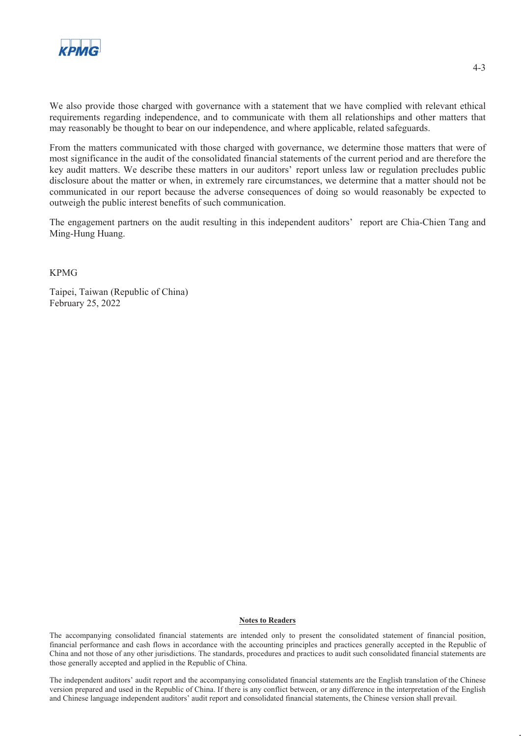

We also provide those charged with governance with a statement that we have complied with relevant ethical requirements regarding independence, and to communicate with them all relationships and other matters that may reasonably be thought to bear on our independence, and where applicable, related safeguards.

From the matters communicated with those charged with governance, we determine those matters that were of most significance in the audit of the consolidated financial statements of the current period and are therefore the key audit matters. We describe these matters in our auditors' report unless law or regulation precludes public disclosure about the matter or when, in extremely rare circumstances, we determine that a matter should not be communicated in our report because the adverse consequences of doing so would reasonably be expected to outweigh the public interest benefits of such communication.

The engagement partners on the audit resulting in this independent auditors' report are Chia-Chien Tang and Ming-Hung Huang.

KPMG

Taipei, Taiwan (Republic of China) February 25, 2022

#### **Notes to Readers**

The accompanying consolidated financial statements are intended only to present the consolidated statement of financial position, financial performance and cash flows in accordance with the accounting principles and practices generally accepted in the Republic of China and not those of any other jurisdictions. The standards, procedures and practices to audit such consolidated financial statements are those generally accepted and applied in the Republic of China.

The independent auditors' audit report and the accompanying consolidated financial statements are the English translation of the Chinese version prepared and used in the Republic of China. If there is any conflict between, or any difference in the interpretation of the English and Chinese language independent auditors' audit report and consolidated financial statements, the Chinese version shall prevail.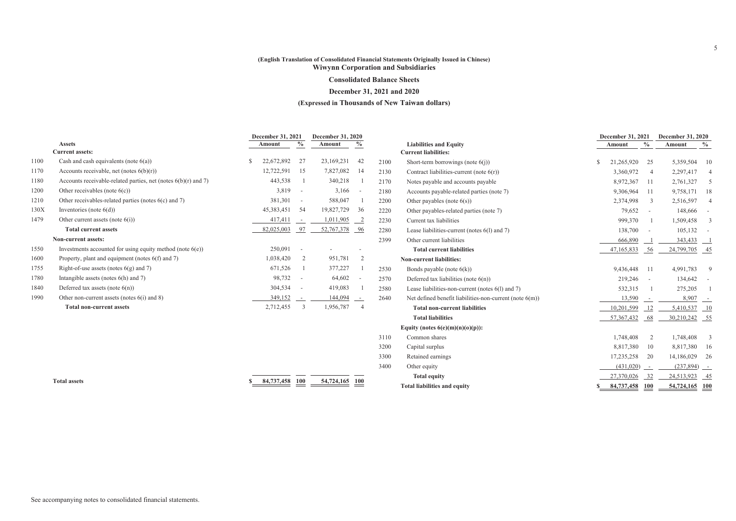#### **(English Translation of Consolidated Financial Statements Originally Issued in Chinese) Wiwynn Corporation and Subsidiaries**

#### **Consolidated Balance Sheets**

#### **December 31, 2021 and 2020**

#### **(Expressed in Thousands of New Taiwan dollars)**

|      | <b>Assets</b>                                                    | December 31, 2021<br>Amount | $\frac{0}{0}$           | December 31, 2020<br>Amount | $\%$                     |      | <b>Liabilities and Equity</b>                              | December 31, 2021<br>Amount | $\%$                     | December 31, 2020<br>Amount | $\frac{0}{0}$  |
|------|------------------------------------------------------------------|-----------------------------|-------------------------|-----------------------------|--------------------------|------|------------------------------------------------------------|-----------------------------|--------------------------|-----------------------------|----------------|
|      | <b>Current assets:</b>                                           |                             |                         |                             |                          |      | <b>Current liabilities:</b>                                |                             |                          |                             |                |
| 1100 | Cash and cash equivalents (note $6(a)$ )                         | 22,672,892                  | 27                      | 23,169,231                  | 42                       | 2100 | Short-term borrowings (note $6(j)$ )                       | 21,265,920                  | 25                       | 5,359,504                   | -10            |
| 1170 | Accounts receivable, net (notes $6(b)(r)$ )                      | 12,722,591                  | -15                     | 7,827,082                   | -14                      | 2130 | Contract liabilities-current (note $6(r)$ )                | 3,360,972                   | $\overline{4}$           | 2,297,417                   |                |
| 1180 | Accounts receivable-related parties, net (notes $6(b)(r)$ and 7) | 443,538                     |                         | 340,218                     |                          | 2170 | Notes payable and accounts payable                         | 8,972,367                   | -11                      | 2,761,327                   | .5             |
| 1200 | Other receivables (note $6(c)$ )                                 | $3,819 -$                   |                         | 3,166                       | $\overline{\phantom{a}}$ | 2180 | Accounts payable-related parties (note 7)                  | 9,306,964                   | - 11                     | 9,758,171                   | -18            |
| 1210 | Other receivables-related parties (notes 6(c) and 7)             | 381,301                     | $\sim$ $-$              | 588,047                     |                          | 2200 | Other payables (note $6(s)$ )                              | 2,374,998                   | 3                        | 2,516,597                   |                |
| 130X | Inventories (note $6(d)$ )                                       | 45,383,451                  | - 54                    | 19,827,729                  | 36                       | 2220 | Other payables-related parties (note 7)                    | 79,652                      | $\sim 100$               | 148,666                     |                |
| 1479 | Other current assets (note $6(i)$ )                              | 417,411                     | $\sim$                  | 1,011,905                   | $\overline{\phantom{a}}$ | 2230 | Current tax liabilities                                    | 999,370                     |                          | 1,509,458                   | 3              |
|      | <b>Total current assets</b>                                      | 82,025,003                  | 97                      | 52,767,378                  | - 96                     | 2280 | Lease liabilities-current (notes $6(1)$ and 7)             | 138,700                     | $\overline{\phantom{a}}$ | 105,132                     |                |
|      | Non-current assets:                                              |                             |                         |                             |                          | 2399 | Other current liabilities                                  | 666,890                     |                          | $343,433$ $1$               |                |
| 1550 | Investments accounted for using equity method (note $6(e)$ )     | 250,091                     | $\sim$                  |                             |                          |      | <b>Total current liabilities</b>                           | 47,165,833                  | -56                      | 24,799,705                  | - 45           |
| 1600 | Property, plant and equipment (notes $6(f)$ and 7)               | 1,038,420                   | -2                      | 951,781                     |                          |      | <b>Non-current liabilities:</b>                            |                             |                          |                             |                |
| 1755 | Right-of-use assets (notes $6(g)$ and 7)                         | 671,526                     |                         | 377,227                     |                          | 2530 | Bonds payable (note $6(k)$ )                               | 9,436,448 11                |                          | 4,991,783                   | -9             |
| 1780 | Intangible assets (notes $6(h)$ and $7$ )                        | 98,732 -                    |                         | 64,602                      | $\overline{\phantom{a}}$ | 2570 | Deferred tax liabilities (note $6(n)$ )                    | 219,246                     | $\sim$                   | 134,642                     |                |
| 1840 | Deferred tax assets (note $6(n)$ )                               | 304,534 -                   |                         | 419,083                     |                          | 2580 | Lease liabilities-non-current (notes 6(1) and 7)           | 532,315                     |                          | 275,205                     |                |
| 1990 | Other non-current assets (notes $6(i)$ and 8)                    | 349,152                     | $\sim$ $-$              | 144,094                     | $\sim$                   | 2640 | Net defined benefit liabilities-non-current (note $6(m)$ ) | 13,590                      |                          | $8,907$ -                   |                |
|      | <b>Total non-current assets</b>                                  | 2,712,455                   | $\overline{\mathbf{3}}$ | 1,956,787                   | 4                        |      | <b>Total non-current liabilities</b>                       | 10,201,599                  |                          | 5,410,537                   | $\frac{10}{2}$ |
|      |                                                                  |                             |                         |                             |                          |      | <b>Total liabilities</b>                                   | 57,367,432                  | -68                      | 30,210,242                  | $-55$          |
|      |                                                                  |                             |                         |                             |                          |      | Equity (notes $6(e)(m)(n)(o)(p)$ ):                        |                             |                          |                             |                |
|      |                                                                  |                             |                         |                             |                          | 3110 | Common shares                                              | 1.748.408                   | $\overline{2}$           | 1,748,408                   | 3              |
|      |                                                                  |                             |                         |                             |                          | 3200 | Capital surplus                                            | 8.817.380                   | 10                       | 8,817,380                   | 16             |

3300

3400

**Total assets \$ 84,737,458 100 54,724,165 100**

| <b>Non-current liabilities:</b>                            |              |      |            |        |
|------------------------------------------------------------|--------------|------|------------|--------|
| Bonds payable (note $6(k)$ )                               | 9,436,448    | 11   | 4,991,783  | 9      |
| Deferred tax liabilities (note $6(n)$ )                    | 219,246      |      | 134,642    | ۰      |
| Lease liabilities-non-current (notes $6(1)$ and 7)         | 532,315      | 1    | 275,205    | 1      |
| Net defined benefit liabilities-non-current (note $6(m)$ ) | 13,590       |      | 8,907      |        |
| <b>Total non-current liabilities</b>                       | 10,201,599   | - 12 | 5,410,537  | -10    |
| <b>Total liabilities</b>                                   | 57, 367, 432 | 68   | 30,210,242 | - 55   |
| Equity (notes $6(e)(m)(n)(o)(p)$ ):                        |              |      |            |        |
| Common shares                                              | 1,748,408    | 2    | 1,748,408  | 3      |
| Capital surplus                                            | 8,817,380    | 10   | 8,817,380  | 16     |
| Retained earnings                                          | 17,235,258   | 20   | 14,186,029 | 26     |
| Other equity                                               | (431,020)    |      | (237, 894) | $\sim$ |
| <b>Total equity</b>                                        | 27,370,026   | 32   | 24,513,923 | 45     |
| <b>Total liabilities and equity</b>                        | 84,737,458   | 100  | 54,724,165 | 100    |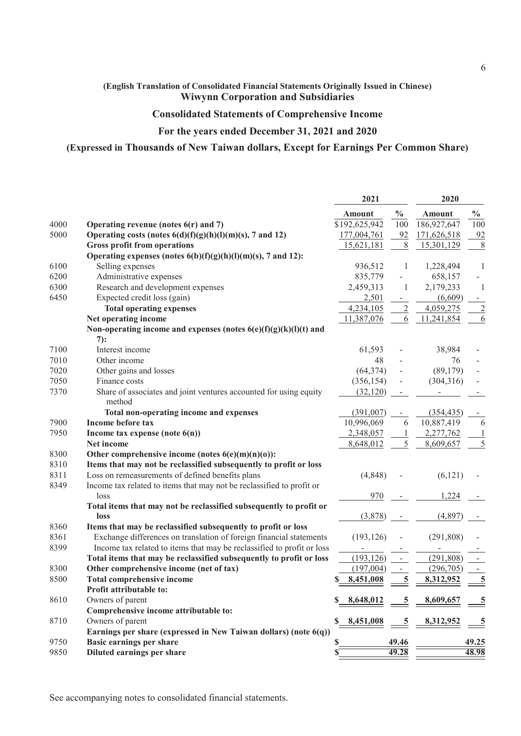### **(English Translation of Consolidated Financial Statements Originally Issued in Chinese) Wiwynn Corporation and Subsidiaries**

## **Consolidated Statements of Comprehensive Income**

## **For the years ended December 31, 2021 and 2020**

### **(Expressed in Thousands of New Taiwan dollars, Except for Earnings Per Common Share)**

|      |                                                                               | 2021            |                          | 2020          |                         |
|------|-------------------------------------------------------------------------------|-----------------|--------------------------|---------------|-------------------------|
|      |                                                                               | <b>Amount</b>   | $\frac{1}{2}$            | <b>Amount</b> | $\%$                    |
| 4000 | Operating revenue (notes $6(r)$ and 7)                                        | \$192,625,942   | 100                      | 186,927,647   | 100                     |
| 5000 | Operating costs (notes $6(d)(f)(g)(h)(l)(m)(s)$ , 7 and 12)                   | 177,004,761     | 92                       | 171,626,518   | 92                      |
|      | <b>Gross profit from operations</b>                                           | 15,621,181      | 8                        | 15,301,129    | 8                       |
|      | Operating expenses (notes $6(b)(f)(g)(h)(l)(m)(s)$ , 7 and 12):               |                 |                          |               |                         |
| 6100 | Selling expenses                                                              | 936,512         | 1                        | 1,228,494     | 1                       |
| 6200 | Administrative expenses                                                       | 835,779         |                          | 658,157       |                         |
| 6300 | Research and development expenses                                             | 2,459,313       | 1                        | 2,179,233     | -1                      |
| 6450 | Expected credit loss (gain)                                                   | 2,501           |                          | (6,609)       |                         |
|      | <b>Total operating expenses</b>                                               | 4,234,105       | $\overline{c}$           | 4,059,275     | $\overline{2}$          |
|      | Net operating income                                                          | 11,387,076      | 6                        | 11,241,854    | $\overline{6}$          |
|      | Non-operating income and expenses (notes $6(e)(f)(g)(k)(l)(t)$ and            |                 |                          |               |                         |
|      | 7):                                                                           |                 |                          |               |                         |
| 7100 | Interest income                                                               | 61,593          |                          | 38,984        |                         |
| 7010 | Other income                                                                  | 48              |                          | 76            |                         |
| 7020 | Other gains and losses                                                        | (64, 374)       |                          | (89, 179)     |                         |
| 7050 | Finance costs                                                                 | (356, 154)      |                          | (304, 316)    |                         |
| 7370 | Share of associates and joint ventures accounted for using equity<br>method   | (32, 120)       |                          |               |                         |
|      | Total non-operating income and expenses                                       | (391,007)       |                          | (354, 435)    |                         |
| 7900 | <b>Income before tax</b>                                                      | 10,996,069      | 6                        | 10,887,419    | 6                       |
| 7950 | Income tax expense (note 6(n))                                                | 2,348,057       |                          | 2,277,762     |                         |
|      | Net income                                                                    | 8,648,012       | 5                        | 8,609,657     | 5                       |
| 8300 | Other comprehensive income (notes $6(e)(m)(n)(o)$ ):                          |                 |                          |               |                         |
| 8310 | Items that may not be reclassified subsequently to profit or loss             |                 |                          |               |                         |
| 8311 |                                                                               | (4, 848)        |                          |               |                         |
| 8349 | Loss on remeasurements of defined benefits plans                              |                 |                          | (6, 121)      |                         |
|      | Income tax related to items that may not be reclassified to profit or<br>loss | 970             |                          | 1,224         |                         |
|      | Total items that may not be reclassified subsequently to profit or            |                 |                          |               |                         |
|      | loss                                                                          | (3,878)         |                          | (4, 897)      |                         |
| 8360 | Items that may be reclassified subsequently to profit or loss                 |                 |                          |               |                         |
| 8361 | Exchange differences on translation of foreign financial statements           | (193, 126)      |                          | (291, 808)    |                         |
| 8399 | Income tax related to items that may be reclassified to profit or loss        |                 |                          |               |                         |
|      | Total items that may be reclassified subsequently to profit or loss           | (193, 126)      | $\overline{\phantom{a}}$ | (291, 808)    |                         |
| 8300 | Other comprehensive income (net of tax)                                       | (197,004)       | $\overline{\phantom{a}}$ | (296, 705)    |                         |
| 8500 | <b>Total comprehensive income</b>                                             | 8,451,008<br>\$ | 5                        | 8,312,952     | $\overline{\mathbf{5}}$ |
|      | Profit attributable to:                                                       |                 |                          |               |                         |
| 8610 | Owners of parent                                                              | 8,648,012       | 5                        | 8,609,657     |                         |
|      | Comprehensive income attributable to:                                         |                 |                          |               |                         |
| 8710 | Owners of parent                                                              | 8,451,008       |                          | 8,312,952     |                         |
|      | Earnings per share (expressed in New Taiwan dollars) (note 6(q))              |                 |                          |               |                         |
| 9750 | <b>Basic earnings per share</b>                                               | S               | 49.46                    |               | 49.25                   |
| 9850 | Diluted earnings per share                                                    | S               | 49.28                    |               | 48.98                   |
|      |                                                                               |                 |                          |               |                         |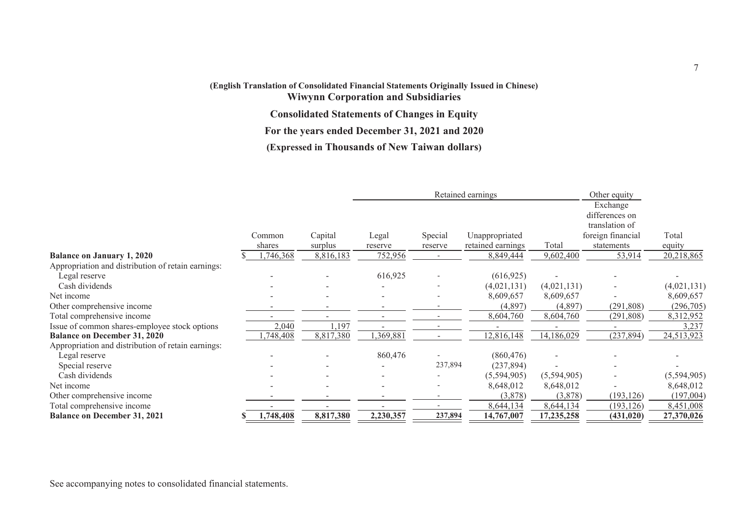# **(English Translation of Consolidated Financial Statements Originally Issued in Chinese)**

**Wiwynn Corporation and Subsidiaries**

**Consolidated Statements of Changes in Equity**

**For the years ended December 31, 2021 and 2020**

**(Expressed in Thousands of New Taiwan dollars)**

|                                                    |           |           | Retained earnings |         |                   | Other equity |                   |             |
|----------------------------------------------------|-----------|-----------|-------------------|---------|-------------------|--------------|-------------------|-------------|
|                                                    |           |           |                   |         |                   |              | Exchange          |             |
|                                                    |           |           |                   |         |                   |              | differences on    |             |
|                                                    |           |           |                   |         |                   |              | translation of    |             |
|                                                    | Common    | Capital   | Legal             | Special | Unappropriated    |              | foreign financial | Total       |
|                                                    | shares    | surplus   | reserve           | reserve | retained earnings | Total        | statements        | equity      |
| <b>Balance on January 1, 2020</b>                  | ,746,368  | 8,816,183 | 752,956           |         | 8,849,444         | 9,602,400    | 53,914            | 20,218,865  |
| Appropriation and distribution of retain earnings: |           |           |                   |         |                   |              |                   |             |
| Legal reserve                                      |           |           | 616,925           |         | (616, 925)        |              |                   |             |
| Cash dividends                                     |           |           |                   |         | (4,021,131)       | (4,021,131)  |                   | (4,021,131) |
| Net income                                         |           |           |                   |         | 8,609,657         | 8,609,657    |                   | 8,609,657   |
| Other comprehensive income                         |           |           |                   |         | (4,897)           | (4,897)      | (291, 808)        | (296,705)   |
| Total comprehensive income                         |           |           |                   |         | 8,604,760         | 8,604,760    | (291, 808)        | 8,312,952   |
| Issue of common shares-employee stock options      | 2,040     | 1,197     |                   |         |                   |              |                   | 3,237       |
| <b>Balance on December 31, 2020</b>                | ,748,408  | 8,817,380 | ,369,881          |         | 12,816,148        | 14,186,029   | (237, 894)        | 24,513,923  |
| Appropriation and distribution of retain earnings: |           |           |                   |         |                   |              |                   |             |
| Legal reserve                                      |           |           | 860,476           |         | (860, 476)        |              |                   |             |
| Special reserve                                    |           |           |                   | 237,894 | (237, 894)        |              |                   |             |
| Cash dividends                                     |           |           |                   |         | (5,594,905)       | (5,594,905)  |                   | (5,594,905) |
| Net income                                         |           |           |                   |         | 8,648,012         | 8,648,012    |                   | 8,648,012   |
| Other comprehensive income                         |           |           |                   |         | (3,878)           | (3,878)      | (193, 126)        | (197,004)   |
| Total comprehensive income                         |           |           |                   |         | 8,644,134         | 8,644,134    | (193, 126)        | 8,451,008   |
| <b>Balance on December 31, 2021</b>                | 1,748,408 | 8,817,380 | 2,230,357         | 237,894 | 14,767,007        | 17,235,258   | (431, 020)        | 27,370,026  |

See accompanying notes to consolidated financial statements.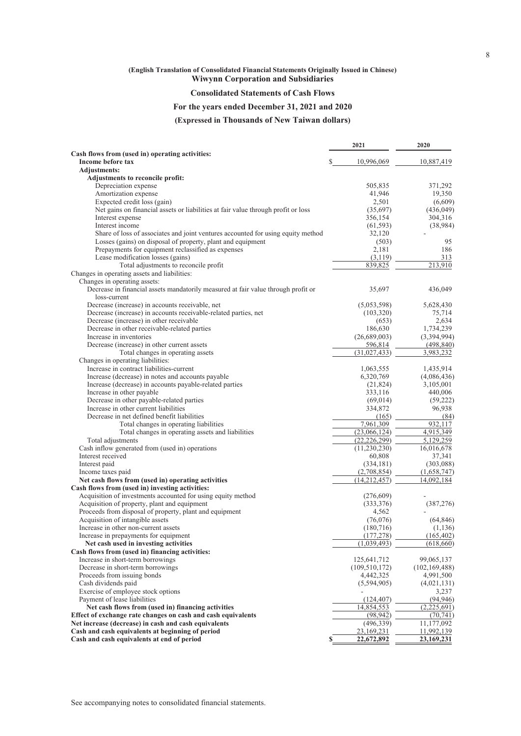# **(English Translation of Consolidated Financial Statements Originally Issued in Chinese)**

**Wiwynn Corporation and Subsidiaries**

### **Consolidated Statements of Cash Flows**

### **For the years ended December 31, 2021 and 2020**

**(Expressed in Thousands of New Taiwan dollars)**

|                                                                                                                  | 2021                 | 2020                  |
|------------------------------------------------------------------------------------------------------------------|----------------------|-----------------------|
| Cash flows from (used in) operating activities:                                                                  |                      |                       |
| Income before tax                                                                                                | 10,996,069           | 10,887,419            |
| <b>Adjustments:</b>                                                                                              |                      |                       |
| Adjustments to reconcile profit:                                                                                 |                      |                       |
| Depreciation expense<br>Amortization expense                                                                     | 505,835<br>41,946    | 371,292               |
|                                                                                                                  |                      | 19,350                |
| Expected credit loss (gain)<br>Net gains on financial assets or liabilities at fair value through profit or loss | 2,501<br>(35,697)    | (6,609)<br>(436, 049) |
| Interest expense                                                                                                 | 356,154              | 304,316               |
| Interest income                                                                                                  | (61, 593)            | (38,984)              |
| Share of loss of associates and joint ventures accounted for using equity method                                 | 32,120               |                       |
| Losses (gains) on disposal of property, plant and equipment                                                      | (503)                | 95                    |
| Prepayments for equipment reclassified as expenses                                                               | 2,181                | 186                   |
| Lease modification losses (gains)                                                                                | (3,119)              | 313                   |
| Total adjustments to reconcile profit                                                                            | 839,825              | 213,910               |
| Changes in operating assets and liabilities:                                                                     |                      |                       |
| Changes in operating assets:                                                                                     |                      |                       |
| Decrease in financial assets mandatorily measured at fair value through profit or<br>loss-current                | 35,697               | 436,049               |
| Decrease (increase) in accounts receivable, net                                                                  | (5,053,598)          | 5,628,430             |
| Decrease (increase) in accounts receivable-related parties, net                                                  | (103, 320)           | 75,714                |
| Decrease (increase) in other receivable                                                                          | (653)                | 2,634                 |
| Decrease in other receivable-related parties                                                                     | 186,630              | 1,734,239             |
| Increase in inventories                                                                                          | (26,689,003)         | (3,394,994)           |
| Decrease (increase) in other current assets                                                                      | 596,814              | (498, 840)            |
| Total changes in operating assets                                                                                | (31,027,433)         | 3,983,232             |
| Changes in operating liabilities:                                                                                |                      |                       |
| Increase in contract liabilities-current                                                                         | 1,063,555            | 1,435,914             |
| Increase (decrease) in notes and accounts payable                                                                | 6,320,769            | (4,086,436)           |
| Increase (decrease) in accounts payable-related parties                                                          | (21, 824)            | 3,105,001             |
| Increase in other payable                                                                                        | 333,116              | 440,006               |
| Decrease in other payable-related parties                                                                        | (69, 014)            | (59, 222)             |
| Increase in other current liabilities                                                                            | 334,872              | 96,938                |
| Decrease in net defined benefit liabilities                                                                      | (165)                | (84)                  |
| Total changes in operating liabilities                                                                           | 7,961,309            | 932,117               |
| Total changes in operating assets and liabilities                                                                | (23,066,124)         | 4,915,349             |
| Total adjustments                                                                                                | (22, 226, 299)       | 5,129,259             |
| Cash inflow generated from (used in) operations<br>Interest received                                             | (11,230,230)         | 16,016,678<br>37,341  |
| Interest paid                                                                                                    | 60,808<br>(334, 181) | (303,088)             |
| Income taxes paid                                                                                                | (2,708,854)          | (1,658,747)           |
| Net cash flows from (used in) operating activities                                                               | (14,212,457)         | 14,092,184            |
| Cash flows from (used in) investing activities:                                                                  |                      |                       |
| Acquisition of investments accounted for using equity method                                                     | (276,609)            |                       |
| Acquisition of property, plant and equipment                                                                     | (333,376)            | (387, 276)            |
| Proceeds from disposal of property, plant and equipment                                                          | 4,562                |                       |
| Acquisition of intangible assets                                                                                 | (76,076)             | (64, 846)             |
| Increase in other non-current assets                                                                             | (180, 716)           | (1, 136)              |
| Increase in prepayments for equipment                                                                            | (177, 278)           | (165, 402)            |
| Net cash used in investing activities                                                                            | (1,039,493)          | (618, 660)            |
| Cash flows from (used in) financing activities:                                                                  |                      |                       |
| Increase in short-term borrowings                                                                                | 125,641,712          | 99,065,137            |
| Decrease in short-term borrowings                                                                                | (109, 510, 172)      | (102, 169, 488)       |
| Proceeds from issuing bonds                                                                                      | 4,442,325            | 4,991,500             |
| Cash dividends paid                                                                                              | (5,594,905)          | (4,021,131)           |
| Exercise of employee stock options                                                                               |                      | 3,237                 |
| Payment of lease liabilities                                                                                     | (124, 407)           | (94, 946)             |
| Net cash flows from (used in) financing activities                                                               | 14,854,553           | (2,225,691)           |
| Effect of exchange rate changes on cash and cash equivalents                                                     | (98, 942)            | (70, 741)             |
| Net increase (decrease) in cash and cash equivalents                                                             | (496, 339)           | 11,177,092            |
| Cash and cash equivalents at beginning of period                                                                 | 23,169,231           | 11,992,139            |
| Cash and cash equivalents at end of period                                                                       | 22,672,892<br>\$     | 23,169,231            |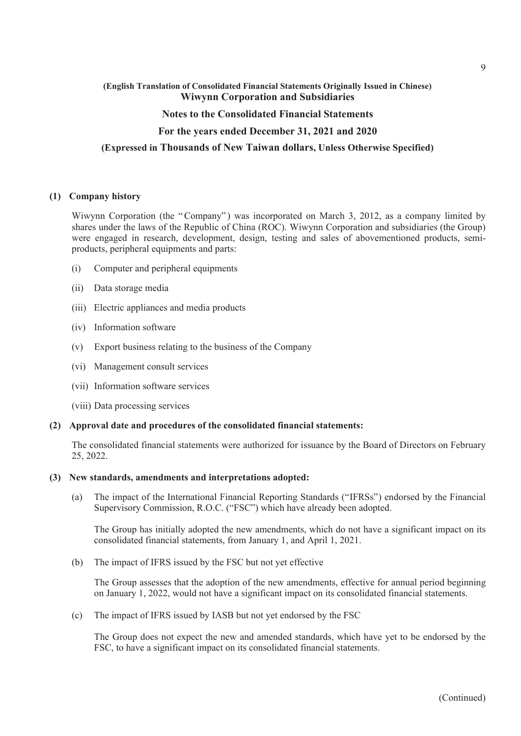### **(English Translation of Consolidated Financial Statements Originally Issued in Chinese) Wiwynn Corporation and Subsidiaries**

### **Notes to the Consolidated Financial Statements**

### **For the years ended December 31, 2021 and 2020**

### **(Expressed in Thousands of New Taiwan dollars, Unless Otherwise Specified)**

### **(1) Company history**

Wiwynn Corporation (the "Company") was incorporated on March 3, 2012, as a company limited by shares under the laws of the Republic of China (ROC). Wiwynn Corporation and subsidiaries (the Group) were engaged in research, development, design, testing and sales of abovementioned products, semiproducts, peripheral equipments and parts:

- (i) Computer and peripheral equipments
- (ii) Data storage media
- (iii) Electric appliances and media products
- (iv) Information software
- (v) Export business relating to the business of the Company
- (vi) Management consult services
- (vii) Information software services
- (viii) Data processing services

### **(2) Approval date and procedures of the consolidated financial statements:**

The consolidated financial statements were authorized for issuance by the Board of Directors on February 25, 2022.

#### **(3) New standards, amendments and interpretations adopted:**

(a) The impact of the International Financial Reporting Standards ("IFRSs") endorsed by the Financial Supervisory Commission, R.O.C. ("FSC") which have already been adopted.

The Group has initially adopted the new amendments, which do not have a significant impact on its consolidated financial statements, from January 1, and April 1, 2021.

(b) The impact of IFRS issued by the FSC but not yet effective

The Group assesses that the adoption of the new amendments, effective for annual period beginning on January 1, 2022, would not have a significant impact on its consolidated financial statements.

(c) The impact of IFRS issued by IASB but not yet endorsed by the FSC

The Group does not expect the new and amended standards, which have yet to be endorsed by the FSC, to have a significant impact on its consolidated financial statements.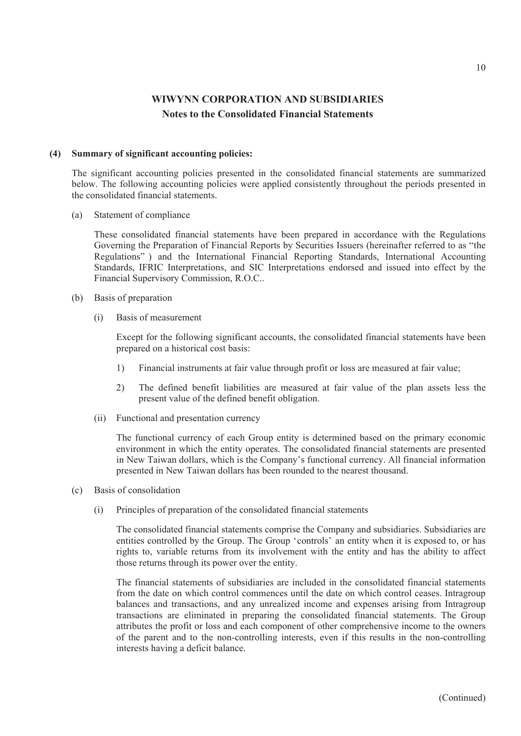### **(4) Summary of significant accounting policies:**

The significant accounting policies presented in the consolidated financial statements are summarized below. The following accounting policies were applied consistently throughout the periods presented in the consolidated financial statements.

(a) Statement of compliance

These consolidated financial statements have been prepared in accordance with the Regulations Governing the Preparation of Financial Reports by Securities Issuers (hereinafter referred to as "the Regulations" ) and the International Financial Reporting Standards, International Accounting Standards, IFRIC Interpretations, and SIC Interpretations endorsed and issued into effect by the Financial Supervisory Commission, R.O.C..

- (b) Basis of preparation
	- (i) Basis of measurement

Except for the following significant accounts, the consolidated financial statements have been prepared on a historical cost basis:

- 1) Financial instruments at fair value through profit or loss are measured at fair value;
- 2) The defined benefit liabilities are measured at fair value of the plan assets less the present value of the defined benefit obligation.
- (ii) Functional and presentation currency

The functional currency of each Group entity is determined based on the primary economic environment in which the entity operates. The consolidated financial statements are presented in New Taiwan dollars, which is the Company's functional currency. All financial information presented in New Taiwan dollars has been rounded to the nearest thousand.

- (c) Basis of consolidation
	- (i) Principles of preparation of the consolidated financial statements

The consolidated financial statements comprise the Company and subsidiaries. Subsidiaries are entities controlled by the Group. The Group 'controls' an entity when it is exposed to, or has rights to, variable returns from its involvement with the entity and has the ability to affect those returns through its power over the entity.

The financial statements of subsidiaries are included in the consolidated financial statements from the date on which control commences until the date on which control ceases. Intragroup balances and transactions, and any unrealized income and expenses arising from Intragroup transactions are eliminated in preparing the consolidated financial statements. The Group attributes the profit or loss and each component of other comprehensive income to the owners of the parent and to the non-controlling interests, even if this results in the non-controlling interests having a deficit balance.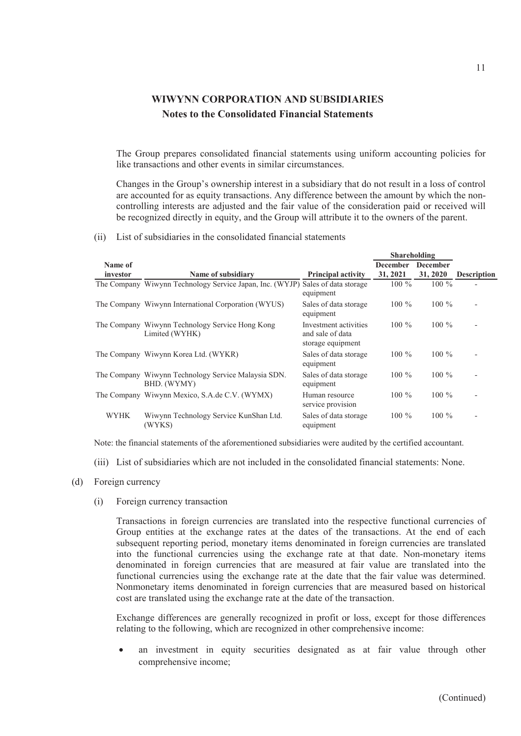The Group prepares consolidated financial statements using uniform accounting policies for like transactions and other events in similar circumstances.

Changes in the Group's ownership interest in a subsidiary that do not result in a loss of control are accounted for as equity transactions. Any difference between the amount by which the noncontrolling interests are adjusted and the fair value of the consideration paid or received will be recognized directly in equity, and the Group will attribute it to the owners of the parent.

(ii) List of subsidiaries in the consolidated financial statements

|             |                                                                                |                                                                | <b>Shareholding</b> |                 |                          |
|-------------|--------------------------------------------------------------------------------|----------------------------------------------------------------|---------------------|-----------------|--------------------------|
| Name of     |                                                                                |                                                                | <b>December</b>     | <b>December</b> |                          |
| investor    | Name of subsidiary                                                             | <b>Principal activity</b>                                      | 31, 2021            | 31, 2020        | <b>Description</b>       |
|             | The Company Wiwynn Technology Service Japan, Inc. (WYJP) Sales of data storage | equipment                                                      | $100\%$             | $100\%$         |                          |
|             | The Company Wiwynn International Corporation (WYUS)                            | Sales of data storage<br>equipment                             | $100\%$             | $100\%$         | $\overline{\phantom{a}}$ |
|             | The Company Wiwynn Technology Service Hong Kong<br>Limited (WYHK)              | Investment activities<br>and sale of data<br>storage equipment | $100\%$             | $100\%$         | $\overline{a}$           |
|             | The Company Wiwynn Korea Ltd. (WYKR)                                           | Sales of data storage<br>equipment                             | $100\%$             | $100\%$         |                          |
|             | The Company Wiwynn Technology Service Malaysia SDN.<br>BHD. (WYMY)             | Sales of data storage<br>equipment                             | $100\%$             | $100\%$         | $\overline{a}$           |
|             | The Company Wiwynn Mexico, S.A.de C.V. (WYMX)                                  | Human resource<br>service provision                            | $100\%$             | $100\%$         |                          |
| <b>WYHK</b> | Wiwynn Technology Service KunShan Ltd.<br>(WYKS)                               | Sales of data storage<br>equipment                             | $100\%$             | $100\%$         | $\overline{\phantom{a}}$ |

Note: the financial statements of the aforementioned subsidiaries were audited by the certified accountant.

(iii) List of subsidiaries which are not included in the consolidated financial statements: None.

#### (d) Foreign currency

(i) Foreign currency transaction

Transactions in foreign currencies are translated into the respective functional currencies of Group entities at the exchange rates at the dates of the transactions. At the end of each subsequent reporting period, monetary items denominated in foreign currencies are translated into the functional currencies using the exchange rate at that date. Non-monetary items denominated in foreign currencies that are measured at fair value are translated into the functional currencies using the exchange rate at the date that the fair value was determined. Nonmonetary items denominated in foreign currencies that are measured based on historical cost are translated using the exchange rate at the date of the transaction.

Exchange differences are generally recognized in profit or loss, except for those differences relating to the following, which are recognized in other comprehensive income:

 an investment in equity securities designated as at fair value through other comprehensive income;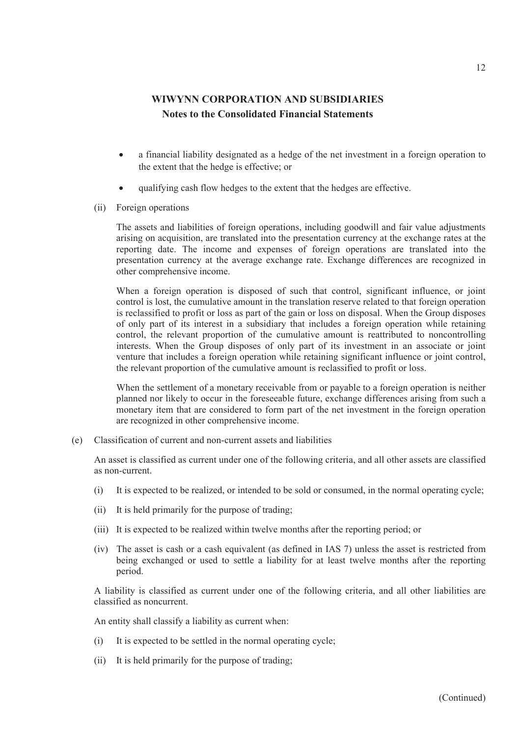- a financial liability designated as a hedge of the net investment in a foreign operation to the extent that the hedge is effective; or
- qualifying cash flow hedges to the extent that the hedges are effective.
- (ii) Foreign operations

The assets and liabilities of foreign operations, including goodwill and fair value adjustments arising on acquisition, are translated into the presentation currency at the exchange rates at the reporting date. The income and expenses of foreign operations are translated into the presentation currency at the average exchange rate. Exchange differences are recognized in other comprehensive income.

When a foreign operation is disposed of such that control, significant influence, or joint control is lost, the cumulative amount in the translation reserve related to that foreign operation is reclassified to profit or loss as part of the gain or loss on disposal. When the Group disposes of only part of its interest in a subsidiary that includes a foreign operation while retaining control, the relevant proportion of the cumulative amount is reattributed to noncontrolling interests. When the Group disposes of only part of its investment in an associate or joint venture that includes a foreign operation while retaining significant influence or joint control, the relevant proportion of the cumulative amount is reclassified to profit or loss.

When the settlement of a monetary receivable from or payable to a foreign operation is neither planned nor likely to occur in the foreseeable future, exchange differences arising from such a monetary item that are considered to form part of the net investment in the foreign operation are recognized in other comprehensive income.

(e) Classification of current and non-current assets and liabilities

An asset is classified as current under one of the following criteria, and all other assets are classified as non-current.

- (i) It is expected to be realized, or intended to be sold or consumed, in the normal operating cycle;
- (ii) It is held primarily for the purpose of trading;
- (iii) It is expected to be realized within twelve months after the reporting period; or
- (iv) The asset is cash or a cash equivalent (as defined in IAS 7) unless the asset is restricted from being exchanged or used to settle a liability for at least twelve months after the reporting period.

A liability is classified as current under one of the following criteria, and all other liabilities are classified as noncurrent.

An entity shall classify a liability as current when:

- (i) It is expected to be settled in the normal operating cycle;
- (ii) It is held primarily for the purpose of trading;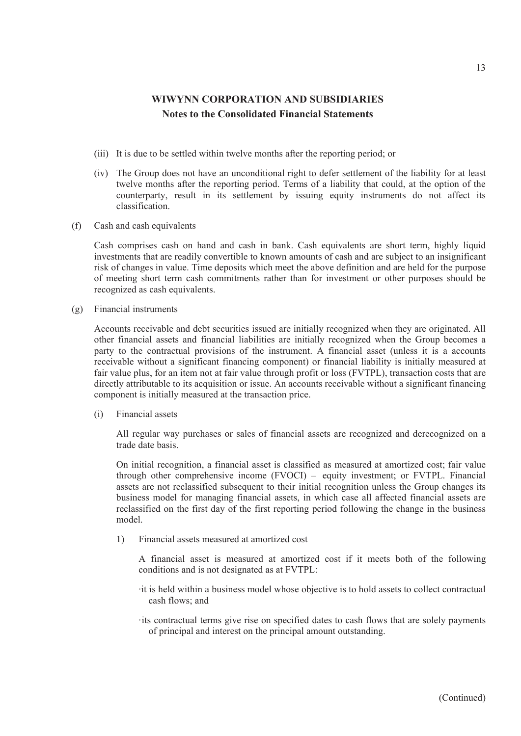- (iii) It is due to be settled within twelve months after the reporting period; or
- (iv) The Group does not have an unconditional right to defer settlement of the liability for at least twelve months after the reporting period. Terms of a liability that could, at the option of the counterparty, result in its settlement by issuing equity instruments do not affect its classification.
- (f) Cash and cash equivalents

Cash comprises cash on hand and cash in bank. Cash equivalents are short term, highly liquid investments that are readily convertible to known amounts of cash and are subject to an insignificant risk of changes in value. Time deposits which meet the above definition and are held for the purpose of meeting short term cash commitments rather than for investment or other purposes should be recognized as cash equivalents.

(g) Financial instruments

Accounts receivable and debt securities issued are initially recognized when they are originated. All other financial assets and financial liabilities are initially recognized when the Group becomes a party to the contractual provisions of the instrument. A financial asset (unless it is a accounts receivable without a significant financing component) or financial liability is initially measured at fair value plus, for an item not at fair value through profit or loss (FVTPL), transaction costs that are directly attributable to its acquisition or issue. An accounts receivable without a significant financing component is initially measured at the transaction price.

(i) Financial assets

All regular way purchases or sales of financial assets are recognized and derecognized on a trade date basis.

On initial recognition, a financial asset is classified as measured at amortized cost; fair value through other comprehensive income (FVOCI) – equity investment; or FVTPL. Financial assets are not reclassified subsequent to their initial recognition unless the Group changes its business model for managing financial assets, in which case all affected financial assets are reclassified on the first day of the first reporting period following the change in the business model.

1) Financial assets measured at amortized cost

A financial asset is measured at amortized cost if it meets both of the following conditions and is not designated as at FVTPL:

- ‧it is held within a business model whose objective is to hold assets to collect contractual cash flows; and
- ‧its contractual terms give rise on specified dates to cash flows that are solely payments of principal and interest on the principal amount outstanding.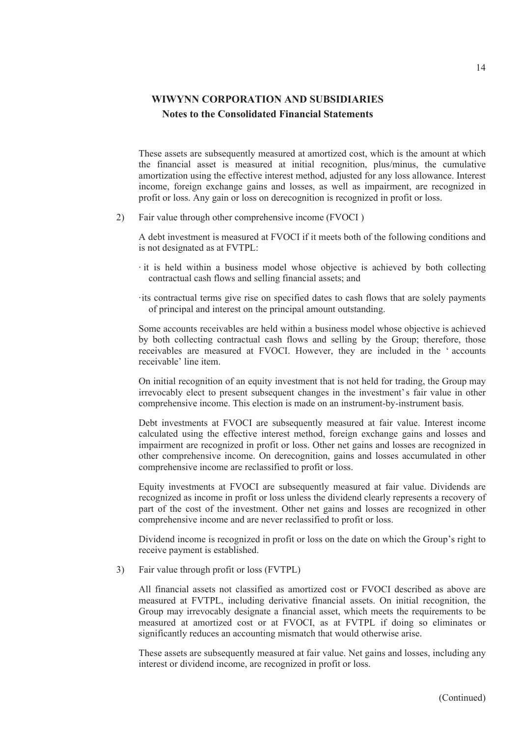These assets are subsequently measured at amortized cost, which is the amount at which the financial asset is measured at initial recognition, plus/minus, the cumulative amortization using the effective interest method, adjusted for any loss allowance. Interest income, foreign exchange gains and losses, as well as impairment, are recognized in profit or loss. Any gain or loss on derecognition is recognized in profit or loss.

2) Fair value through other comprehensive income (FVOCI )

A debt investment is measured at FVOCI if it meets both of the following conditions and is not designated as at FVTPL:

‧ it is held within a business model whose objective is achieved by both collecting contractual cash flows and selling financial assets; and

‧its contractual terms give rise on specified dates to cash flows that are solely payments of principal and interest on the principal amount outstanding.

Some accounts receivables are held within a business model whose objective is achieved by both collecting contractual cash flows and selling by the Group; therefore, those receivables are measured at FVOCI. However, they are included in the ' accounts receivable' line item.

On initial recognition of an equity investment that is not held for trading, the Group may irrevocably elect to present subsequent changes in the investment's fair value in other comprehensive income. This election is made on an instrument-by-instrument basis.

Debt investments at FVOCI are subsequently measured at fair value. Interest income calculated using the effective interest method, foreign exchange gains and losses and impairment are recognized in profit or loss. Other net gains and losses are recognized in other comprehensive income. On derecognition, gains and losses accumulated in other comprehensive income are reclassified to profit or loss.

Equity investments at FVOCI are subsequently measured at fair value. Dividends are recognized as income in profit or loss unless the dividend clearly represents a recovery of part of the cost of the investment. Other net gains and losses are recognized in other comprehensive income and are never reclassified to profit or loss.

Dividend income is recognized in profit or loss on the date on which the Group's right to receive payment is established.

3) Fair value through profit or loss (FVTPL)

All financial assets not classified as amortized cost or FVOCI described as above are measured at FVTPL, including derivative financial assets. On initial recognition, the Group may irrevocably designate a financial asset, which meets the requirements to be measured at amortized cost or at FVOCI, as at FVTPL if doing so eliminates or significantly reduces an accounting mismatch that would otherwise arise.

These assets are subsequently measured at fair value. Net gains and losses, including any interest or dividend income, are recognized in profit or loss.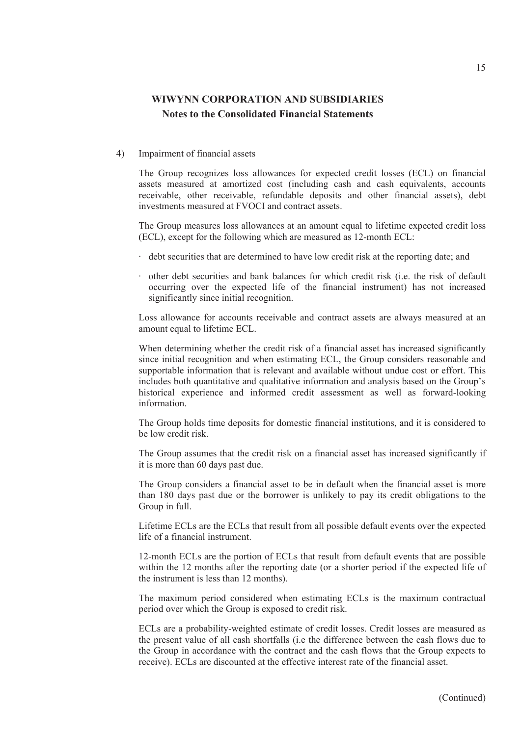#### 4) Impairment of financial assets

The Group recognizes loss allowances for expected credit losses (ECL) on financial assets measured at amortized cost (including cash and cash equivalents, accounts receivable, other receivable, refundable deposits and other financial assets), debt investments measured at FVOCI and contract assets.

The Group measures loss allowances at an amount equal to lifetime expected credit loss (ECL), except for the following which are measured as 12-month ECL:

- ‧ debt securities that are determined to have low credit risk at the reporting date; and
- ‧ other debt securities and bank balances for which credit risk (i.e. the risk of default occurring over the expected life of the financial instrument) has not increased significantly since initial recognition.

Loss allowance for accounts receivable and contract assets are always measured at an amount equal to lifetime ECL.

When determining whether the credit risk of a financial asset has increased significantly since initial recognition and when estimating ECL, the Group considers reasonable and supportable information that is relevant and available without undue cost or effort. This includes both quantitative and qualitative information and analysis based on the Group's historical experience and informed credit assessment as well as forward-looking information.

The Group holds time deposits for domestic financial institutions, and it is considered to be low credit risk.

The Group assumes that the credit risk on a financial asset has increased significantly if it is more than 60 days past due.

The Group considers a financial asset to be in default when the financial asset is more than 180 days past due or the borrower is unlikely to pay its credit obligations to the Group in full.

Lifetime ECLs are the ECLs that result from all possible default events over the expected life of a financial instrument.

12-month ECLs are the portion of ECLs that result from default events that are possible within the 12 months after the reporting date (or a shorter period if the expected life of the instrument is less than 12 months).

The maximum period considered when estimating ECLs is the maximum contractual period over which the Group is exposed to credit risk.

ECLs are a probability-weighted estimate of credit losses. Credit losses are measured as the present value of all cash shortfalls (i.e the difference between the cash flows due to the Group in accordance with the contract and the cash flows that the Group expects to receive). ECLs are discounted at the effective interest rate of the financial asset.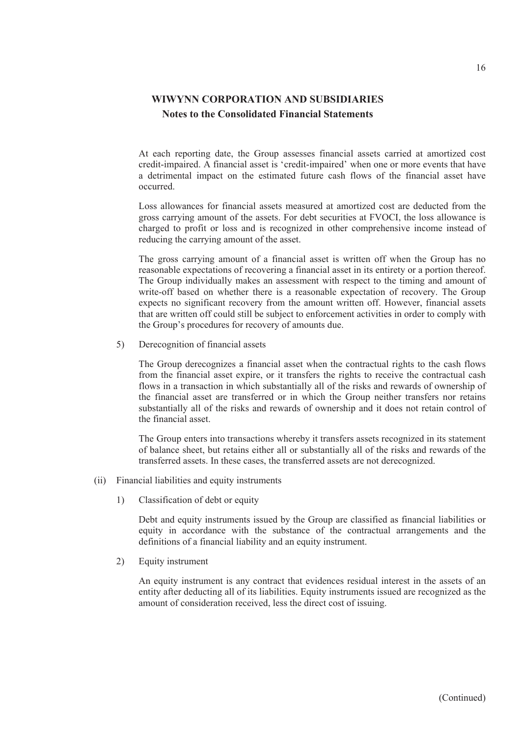At each reporting date, the Group assesses financial assets carried at amortized cost credit-impaired. A financial asset is 'credit-impaired' when one or more events that have a detrimental impact on the estimated future cash flows of the financial asset have occurred.

Loss allowances for financial assets measured at amortized cost are deducted from the gross carrying amount of the assets. For debt securities at FVOCI, the loss allowance is charged to profit or loss and is recognized in other comprehensive income instead of reducing the carrying amount of the asset.

The gross carrying amount of a financial asset is written off when the Group has no reasonable expectations of recovering a financial asset in its entirety or a portion thereof. The Group individually makes an assessment with respect to the timing and amount of write-off based on whether there is a reasonable expectation of recovery. The Group expects no significant recovery from the amount written off. However, financial assets that are written off could still be subject to enforcement activities in order to comply with the Group's procedures for recovery of amounts due.

5) Derecognition of financial assets

The Group derecognizes a financial asset when the contractual rights to the cash flows from the financial asset expire, or it transfers the rights to receive the contractual cash flows in a transaction in which substantially all of the risks and rewards of ownership of the financial asset are transferred or in which the Group neither transfers nor retains substantially all of the risks and rewards of ownership and it does not retain control of the financial asset.

The Group enters into transactions whereby it transfers assets recognized in its statement of balance sheet, but retains either all or substantially all of the risks and rewards of the transferred assets. In these cases, the transferred assets are not derecognized.

- (ii) Financial liabilities and equity instruments
	- 1) Classification of debt or equity

Debt and equity instruments issued by the Group are classified as financial liabilities or equity in accordance with the substance of the contractual arrangements and the definitions of a financial liability and an equity instrument.

2) Equity instrument

An equity instrument is any contract that evidences residual interest in the assets of an entity after deducting all of its liabilities. Equity instruments issued are recognized as the amount of consideration received, less the direct cost of issuing.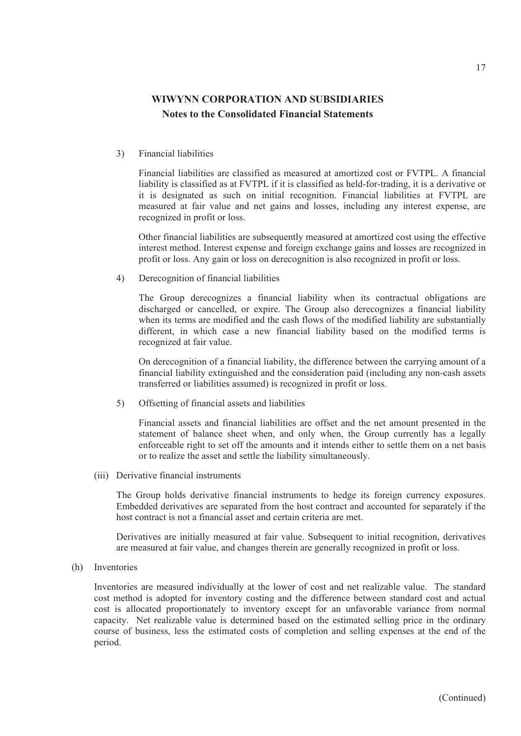3) Financial liabilities

Financial liabilities are classified as measured at amortized cost or FVTPL. A financial liability is classified as at FVTPL if it is classified as held-for-trading, it is a derivative or it is designated as such on initial recognition. Financial liabilities at FVTPL are measured at fair value and net gains and losses, including any interest expense, are recognized in profit or loss.

Other financial liabilities are subsequently measured at amortized cost using the effective interest method. Interest expense and foreign exchange gains and losses are recognized in profit or loss. Any gain or loss on derecognition is also recognized in profit or loss.

4) Derecognition of financial liabilities

The Group derecognizes a financial liability when its contractual obligations are discharged or cancelled, or expire. The Group also derecognizes a financial liability when its terms are modified and the cash flows of the modified liability are substantially different, in which case a new financial liability based on the modified terms is recognized at fair value.

On derecognition of a financial liability, the difference between the carrying amount of a financial liability extinguished and the consideration paid (including any non-cash assets transferred or liabilities assumed) is recognized in profit or loss.

5) Offsetting of financial assets and liabilities

Financial assets and financial liabilities are offset and the net amount presented in the statement of balance sheet when, and only when, the Group currently has a legally enforceable right to set off the amounts and it intends either to settle them on a net basis or to realize the asset and settle the liability simultaneously.

(iii) Derivative financial instruments

The Group holds derivative financial instruments to hedge its foreign currency exposures. Embedded derivatives are separated from the host contract and accounted for separately if the host contract is not a financial asset and certain criteria are met.

Derivatives are initially measured at fair value. Subsequent to initial recognition, derivatives are measured at fair value, and changes therein are generally recognized in profit or loss.

(h) Inventories

Inventories are measured individually at the lower of cost and net realizable value. The standard cost method is adopted for inventory costing and the difference between standard cost and actual cost is allocated proportionately to inventory except for an unfavorable variance from normal capacity. Net realizable value is determined based on the estimated selling price in the ordinary course of business, less the estimated costs of completion and selling expenses at the end of the period.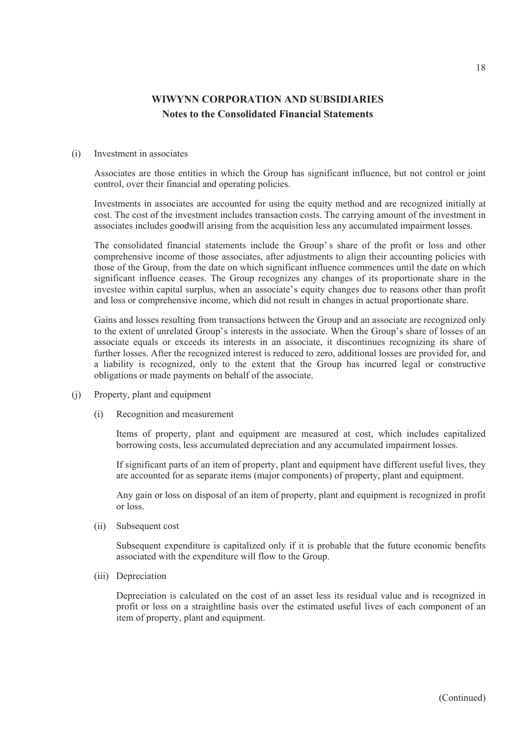### (i) Investment in associates

Associates are those entities in which the Group has significant influence, but not control or joint control, over their financial and operating policies.

Investments in associates are accounted for using the equity method and are recognized initially at cost. The cost of the investment includes transaction costs. The carrying amount of the investment in associates includes goodwill arising from the acquisition less any accumulated impairment losses.

The consolidated financial statements include the Group's share of the profit or loss and other comprehensive income of those associates, after adjustments to align their accounting policies with those of the Group, from the date on which significant influence commences until the date on which significant influence ceases. The Group recognizes any changes of its proportionate share in the investee within capital surplus, when an associate's equity changes due to reasons other than profit and loss or comprehensive income, which did not result in changes in actual proportionate share.

Gains and losses resulting from transactions between the Group and an associate are recognized only to the extent of unrelated Group's interests in the associate. When the Group's share of losses of an associate equals or exceeds its interests in an associate, it discontinues recognizing its share of further losses. After the recognized interest is reduced to zero, additional losses are provided for, and a liability is recognized, only to the extent that the Group has incurred legal or constructive obligations or made payments on behalf of the associate.

- (j) Property, plant and equipment
	- (i) Recognition and measurement

Items of property, plant and equipment are measured at cost, which includes capitalized borrowing costs, less accumulated depreciation and any accumulated impairment losses.

If significant parts of an item of property, plant and equipment have different useful lives, they are accounted for as separate items (major components) of property, plant and equipment.

Any gain or loss on disposal of an item of property, plant and equipment is recognized in profit or loss.

(ii) Subsequent cost

Subsequent expenditure is capitalized only if it is probable that the future economic benefits associated with the expenditure will flow to the Group.

(iii) Depreciation

Depreciation is calculated on the cost of an asset less its residual value and is recognized in profit or loss on a straightline basis over the estimated useful lives of each component of an item of property, plant and equipment.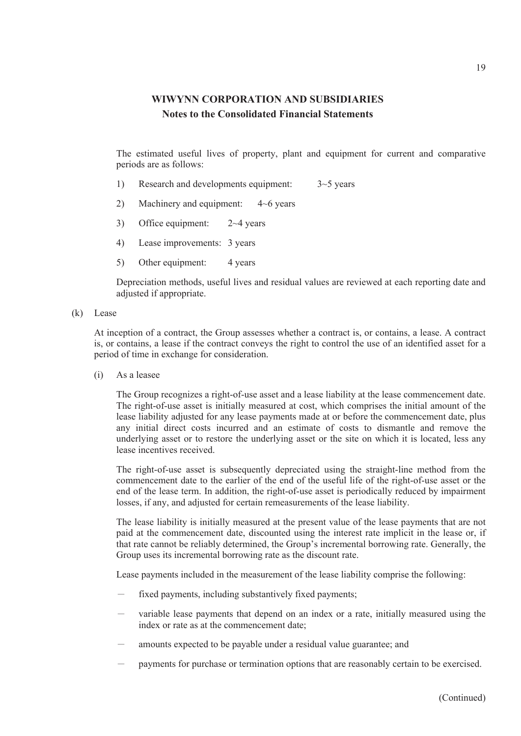The estimated useful lives of property, plant and equipment for current and comparative periods are as follows:

- 1) Research and developments equipment: 3~5 years
- 2) Machinery and equipment: 4~6 years
- 3) Office equipment: 2~4 years
- 4) Lease improvements: 3 years
- 5) Other equipment: 4 years

Depreciation methods, useful lives and residual values are reviewed at each reporting date and adjusted if appropriate.

(k) Lease

At inception of a contract, the Group assesses whether a contract is, or contains, a lease. A contract is, or contains, a lease if the contract conveys the right to control the use of an identified asset for a period of time in exchange for consideration.

(i) As a leasee

The Group recognizes a right-of-use asset and a lease liability at the lease commencement date. The right-of-use asset is initially measured at cost, which comprises the initial amount of the lease liability adjusted for any lease payments made at or before the commencement date, plus any initial direct costs incurred and an estimate of costs to dismantle and remove the underlying asset or to restore the underlying asset or the site on which it is located, less any lease incentives received.

The right-of-use asset is subsequently depreciated using the straight-line method from the commencement date to the earlier of the end of the useful life of the right-of-use asset or the end of the lease term. In addition, the right-of-use asset is periodically reduced by impairment losses, if any, and adjusted for certain remeasurements of the lease liability.

The lease liability is initially measured at the present value of the lease payments that are not paid at the commencement date, discounted using the interest rate implicit in the lease or, if that rate cannot be reliably determined, the Group's incremental borrowing rate. Generally, the Group uses its incremental borrowing rate as the discount rate.

Lease payments included in the measurement of the lease liability comprise the following:

- fixed payments, including substantively fixed payments;
- variable lease payments that depend on an index or a rate, initially measured using the index or rate as at the commencement date;
- amounts expected to be payable under a residual value guarantee; and
- payments for purchase or termination options that are reasonably certain to be exercised.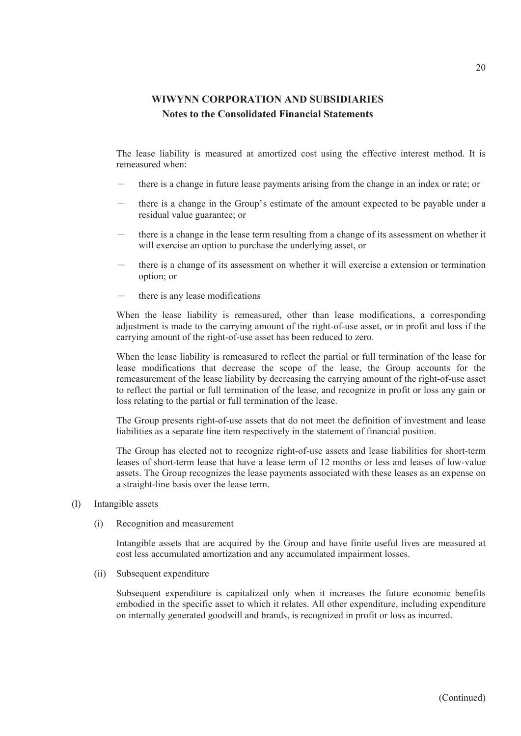The lease liability is measured at amortized cost using the effective interest method. It is remeasured when:

- there is a change in future lease payments arising from the change in an index or rate; or
- there is a change in the Group's estimate of the amount expected to be payable under a residual value guarantee; or
- there is a change in the lease term resulting from a change of its assessment on whether it will exercise an option to purchase the underlying asset, or
- there is a change of its assessment on whether it will exercise a extension or termination option; or
- there is any lease modifications

When the lease liability is remeasured, other than lease modifications, a corresponding adjustment is made to the carrying amount of the right-of-use asset, or in profit and loss if the carrying amount of the right-of-use asset has been reduced to zero.

When the lease liability is remeasured to reflect the partial or full termination of the lease for lease modifications that decrease the scope of the lease, the Group accounts for the remeasurement of the lease liability by decreasing the carrying amount of the right-of-use asset to reflect the partial or full termination of the lease, and recognize in profit or loss any gain or loss relating to the partial or full termination of the lease.

The Group presents right-of-use assets that do not meet the definition of investment and lease liabilities as a separate line item respectively in the statement of financial position.

The Group has elected not to recognize right-of-use assets and lease liabilities for short-term leases of short-term lease that have a lease term of 12 months or less and leases of low-value assets. The Group recognizes the lease payments associated with these leases as an expense on a straight-line basis over the lease term.

- (l) Intangible assets
	- (i) Recognition and measurement

Intangible assets that are acquired by the Group and have finite useful lives are measured at cost less accumulated amortization and any accumulated impairment losses.

(ii) Subsequent expenditure

Subsequent expenditure is capitalized only when it increases the future economic benefits embodied in the specific asset to which it relates. All other expenditure, including expenditure on internally generated goodwill and brands, is recognized in profit or loss as incurred.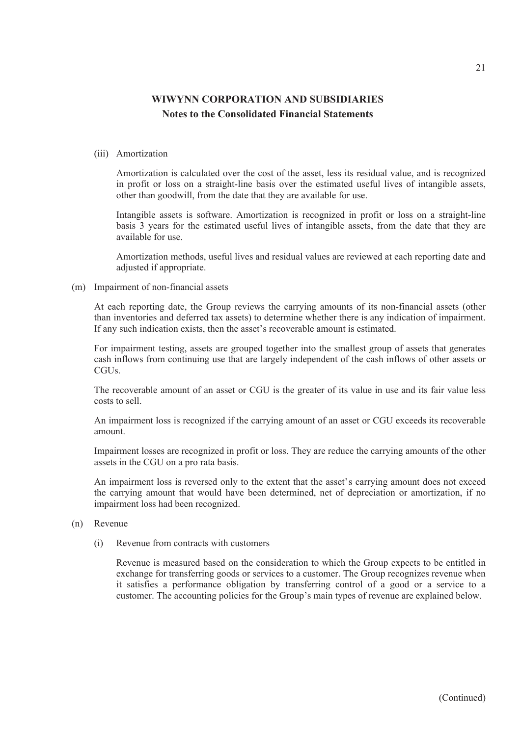#### (iii) Amortization

Amortization is calculated over the cost of the asset, less its residual value, and is recognized in profit or loss on a straight-line basis over the estimated useful lives of intangible assets, other than goodwill, from the date that they are available for use.

Intangible assets is software. Amortization is recognized in profit or loss on a straight-line basis 3 years for the estimated useful lives of intangible assets, from the date that they are available for use.

Amortization methods, useful lives and residual values are reviewed at each reporting date and adjusted if appropriate.

#### (m) Impairment of non-financial assets

At each reporting date, the Group reviews the carrying amounts of its non-financial assets (other than inventories and deferred tax assets) to determine whether there is any indication of impairment. If any such indication exists, then the asset's recoverable amount is estimated.

For impairment testing, assets are grouped together into the smallest group of assets that generates cash inflows from continuing use that are largely independent of the cash inflows of other assets or CGU<sub>s</sub>.

The recoverable amount of an asset or CGU is the greater of its value in use and its fair value less costs to sell.

An impairment loss is recognized if the carrying amount of an asset or CGU exceeds its recoverable amount.

Impairment losses are recognized in profit or loss. They are reduce the carrying amounts of the other assets in the CGU on a pro rata basis.

An impairment loss is reversed only to the extent that the asset's carrying amount does not exceed the carrying amount that would have been determined, net of depreciation or amortization, if no impairment loss had been recognized.

- (n) Revenue
	- (i) Revenue from contracts with customers

Revenue is measured based on the consideration to which the Group expects to be entitled in exchange for transferring goods or services to a customer. The Group recognizes revenue when it satisfies a performance obligation by transferring control of a good or a service to a customer. The accounting policies for the Group's main types of revenue are explained below.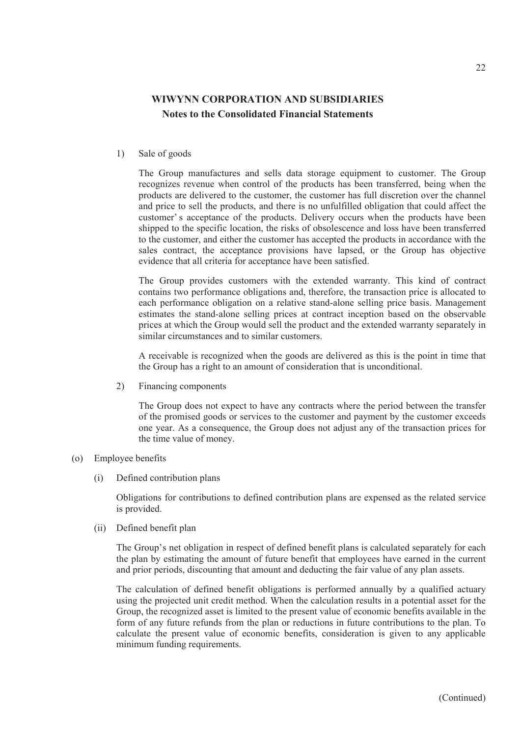1) Sale of goods

The Group manufactures and sells data storage equipment to customer. The Group recognizes revenue when control of the products has been transferred, being when the products are delivered to the customer, the customer has full discretion over the channel and price to sell the products, and there is no unfulfilled obligation that could affect the customer' s acceptance of the products. Delivery occurs when the products have been shipped to the specific location, the risks of obsolescence and loss have been transferred to the customer, and either the customer has accepted the products in accordance with the sales contract, the acceptance provisions have lapsed, or the Group has objective evidence that all criteria for acceptance have been satisfied.

The Group provides customers with the extended warranty. This kind of contract contains two performance obligations and, therefore, the transaction price is allocated to each performance obligation on a relative stand-alone selling price basis. Management estimates the stand-alone selling prices at contract inception based on the observable prices at which the Group would sell the product and the extended warranty separately in similar circumstances and to similar customers.

A receivable is recognized when the goods are delivered as this is the point in time that the Group has a right to an amount of consideration that is unconditional.

2) Financing components

The Group does not expect to have any contracts where the period between the transfer of the promised goods or services to the customer and payment by the customer exceeds one year. As a consequence, the Group does not adjust any of the transaction prices for the time value of money.

### (o) Employee benefits

(i) Defined contribution plans

Obligations for contributions to defined contribution plans are expensed as the related service is provided.

(ii) Defined benefit plan

The Group's net obligation in respect of defined benefit plans is calculated separately for each the plan by estimating the amount of future benefit that employees have earned in the current and prior periods, discounting that amount and deducting the fair value of any plan assets.

The calculation of defined benefit obligations is performed annually by a qualified actuary using the projected unit credit method. When the calculation results in a potential asset for the Group, the recognized asset is limited to the present value of economic benefits available in the form of any future refunds from the plan or reductions in future contributions to the plan. To calculate the present value of economic benefits, consideration is given to any applicable minimum funding requirements.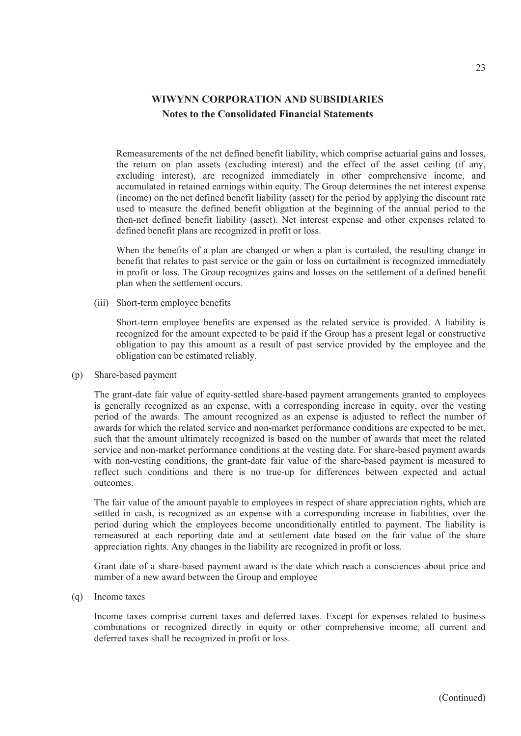Remeasurements of the net defined benefit liability, which comprise actuarial gains and losses, the return on plan assets (excluding interest) and the effect of the asset ceiling (if any, excluding interest), are recognized immediately in other comprehensive income, and accumulated in retained earnings within equity. The Group determines the net interest expense (income) on the net defined benefit liability (asset) for the period by applying the discount rate used to measure the defined benefit obligation at the beginning of the annual period to the then-net defined benefit liability (asset). Net interest expense and other expenses related to defined benefit plans are recognized in profit or loss.

When the benefits of a plan are changed or when a plan is curtailed, the resulting change in benefit that relates to past service or the gain or loss on curtailment is recognized immediately in profit or loss. The Group recognizes gains and losses on the settlement of a defined benefit plan when the settlement occurs.

(iii) Short-term employee benefits

Short-term employee benefits are expensed as the related service is provided. A liability is recognized for the amount expected to be paid if the Group has a present legal or constructive obligation to pay this amount as a result of past service provided by the employee and the obligation can be estimated reliably.

(p) Share-based payment

The grant-date fair value of equity-settled share-based payment arrangements granted to employees is generally recognized as an expense, with a corresponding increase in equity, over the vesting period of the awards. The amount recognized as an expense is adjusted to reflect the number of awards for which the related service and non-market performance conditions are expected to be met, such that the amount ultimately recognized is based on the number of awards that meet the related service and non-market performance conditions at the vesting date. For share-based payment awards with non-vesting conditions, the grant-date fair value of the share-based payment is measured to reflect such conditions and there is no true-up for differences between expected and actual outcomes.

The fair value of the amount payable to employees in respect of share appreciation rights, which are settled in cash, is recognized as an expense with a corresponding increase in liabilities, over the period during which the employees become unconditionally entitled to payment. The liability is remeasured at each reporting date and at settlement date based on the fair value of the share appreciation rights. Any changes in the liability are recognized in profit or loss.

Grant date of a share-based payment award is the date which reach a consciences about price and number of a new award between the Group and employee

(q) Income taxes

Income taxes comprise current taxes and deferred taxes. Except for expenses related to business combinations or recognized directly in equity or other comprehensive income, all current and deferred taxes shall be recognized in profit or loss.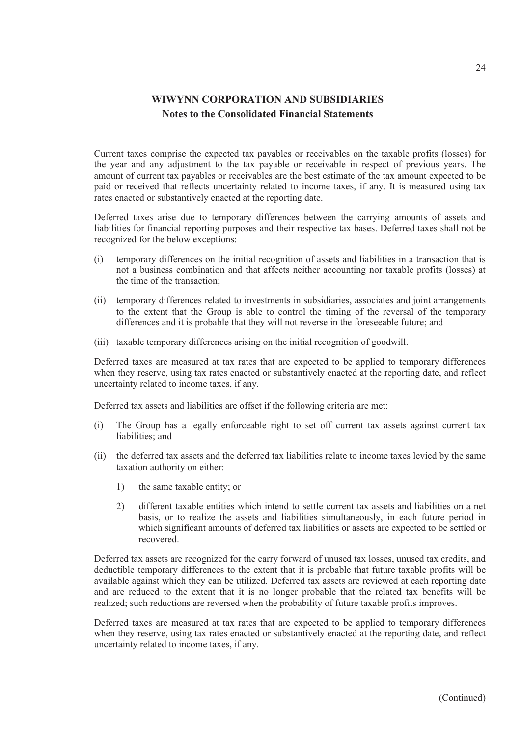Current taxes comprise the expected tax payables or receivables on the taxable profits (losses) for the year and any adjustment to the tax payable or receivable in respect of previous years. The amount of current tax payables or receivables are the best estimate of the tax amount expected to be paid or received that reflects uncertainty related to income taxes, if any. It is measured using tax rates enacted or substantively enacted at the reporting date.

Deferred taxes arise due to temporary differences between the carrying amounts of assets and liabilities for financial reporting purposes and their respective tax bases. Deferred taxes shall not be recognized for the below exceptions:

- (i) temporary differences on the initial recognition of assets and liabilities in a transaction that is not a business combination and that affects neither accounting nor taxable profits (losses) at the time of the transaction;
- (ii) temporary differences related to investments in subsidiaries, associates and joint arrangements to the extent that the Group is able to control the timing of the reversal of the temporary differences and it is probable that they will not reverse in the foreseeable future; and
- (iii) taxable temporary differences arising on the initial recognition of goodwill.

Deferred taxes are measured at tax rates that are expected to be applied to temporary differences when they reserve, using tax rates enacted or substantively enacted at the reporting date, and reflect uncertainty related to income taxes, if any.

Deferred tax assets and liabilities are offset if the following criteria are met:

- (i) The Group has a legally enforceable right to set off current tax assets against current tax liabilities; and
- (ii) the deferred tax assets and the deferred tax liabilities relate to income taxes levied by the same taxation authority on either:
	- 1) the same taxable entity; or
	- 2) different taxable entities which intend to settle current tax assets and liabilities on a net basis, or to realize the assets and liabilities simultaneously, in each future period in which significant amounts of deferred tax liabilities or assets are expected to be settled or recovered.

Deferred tax assets are recognized for the carry forward of unused tax losses, unused tax credits, and deductible temporary differences to the extent that it is probable that future taxable profits will be available against which they can be utilized. Deferred tax assets are reviewed at each reporting date and are reduced to the extent that it is no longer probable that the related tax benefits will be realized; such reductions are reversed when the probability of future taxable profits improves.

Deferred taxes are measured at tax rates that are expected to be applied to temporary differences when they reserve, using tax rates enacted or substantively enacted at the reporting date, and reflect uncertainty related to income taxes, if any.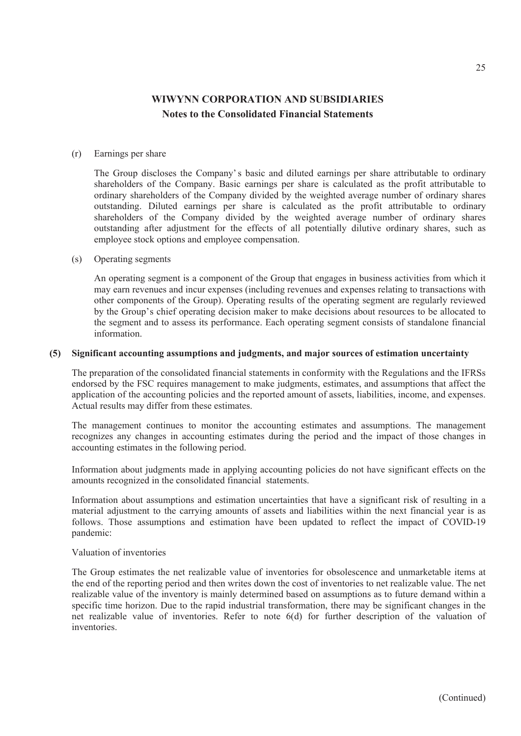#### (r) Earnings per share

The Group discloses the Company's basic and diluted earnings per share attributable to ordinary shareholders of the Company. Basic earnings per share is calculated as the profit attributable to ordinary shareholders of the Company divided by the weighted average number of ordinary shares outstanding. Diluted earnings per share is calculated as the profit attributable to ordinary shareholders of the Company divided by the weighted average number of ordinary shares outstanding after adjustment for the effects of all potentially dilutive ordinary shares, such as employee stock options and employee compensation.

#### (s) Operating segments

An operating segment is a component of the Group that engages in business activities from which it may earn revenues and incur expenses (including revenues and expenses relating to transactions with other components of the Group). Operating results of the operating segment are regularly reviewed by the Group's chief operating decision maker to make decisions about resources to be allocated to the segment and to assess its performance. Each operating segment consists of standalone financial information.

### **(5) Significant accounting assumptions and judgments, and major sources of estimation uncertainty**

The preparation of the consolidated financial statements in conformity with the Regulations and the IFRSs endorsed by the FSC requires management to make judgments, estimates, and assumptions that affect the application of the accounting policies and the reported amount of assets, liabilities, income, and expenses. Actual results may differ from these estimates.

The management continues to monitor the accounting estimates and assumptions. The management recognizes any changes in accounting estimates during the period and the impact of those changes in accounting estimates in the following period.

Information about judgments made in applying accounting policies do not have significant effects on the amounts recognized in the consolidated financial statements.

Information about assumptions and estimation uncertainties that have a significant risk of resulting in a material adjustment to the carrying amounts of assets and liabilities within the next financial year is as follows. Those assumptions and estimation have been updated to reflect the impact of COVID-19 pandemic:

### Valuation of inventories

The Group estimates the net realizable value of inventories for obsolescence and unmarketable items at the end of the reporting period and then writes down the cost of inventories to net realizable value. The net realizable value of the inventory is mainly determined based on assumptions as to future demand within a specific time horizon. Due to the rapid industrial transformation, there may be significant changes in the net realizable value of inventories. Refer to note 6(d) for further description of the valuation of inventories.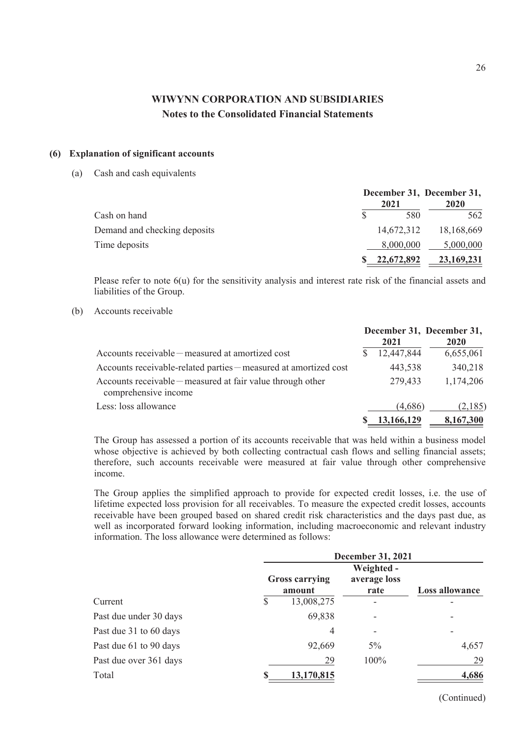#### **(6) Explanation of significant accounts**

(a) Cash and cash equivalents

|                              | December 31, December 31, |              |  |
|------------------------------|---------------------------|--------------|--|
|                              | 2021                      | 2020         |  |
| Cash on hand                 | 580                       | 562          |  |
| Demand and checking deposits | 14,672,312                | 18,168,669   |  |
| Time deposits                | 8,000,000                 | 5,000,000    |  |
|                              | 22,672,892                | 23, 169, 231 |  |

Please refer to note  $6(u)$  for the sensitivity analysis and interest rate risk of the financial assets and liabilities of the Group.

(b) Accounts receivable

|                                                                                    | 2021       | December 31, December 31,<br>2020 |
|------------------------------------------------------------------------------------|------------|-----------------------------------|
| Accounts receivable – measured at amortized cost                                   | 12,447,844 | 6,655,061                         |
| Accounts receivable-related parties – measured at amortized cost                   | 443,538    | 340,218                           |
| Accounts receivable – measured at fair value through other<br>comprehensive income | 279,433    | 1,174,206                         |
| Less: loss allowance                                                               | (4,686)    | (2,185)                           |
|                                                                                    | 13,166,129 | 8,167,300                         |

The Group has assessed a portion of its accounts receivable that was held within a business model whose objective is achieved by both collecting contractual cash flows and selling financial assets; therefore, such accounts receivable were measured at fair value through other comprehensive income.

The Group applies the simplified approach to provide for expected credit losses, i.e. the use of lifetime expected loss provision for all receivables. To measure the expected credit losses, accounts receivable have been grouped based on shared credit risk characteristics and the days past due, as well as incorporated forward looking information, including macroeconomic and relevant industry information. The loss allowance were determined as follows:

|                        | <b>December 31, 2021</b> |                                 |                      |                       |  |
|------------------------|--------------------------|---------------------------------|----------------------|-----------------------|--|
|                        |                          |                                 | Weighted -           |                       |  |
|                        |                          | <b>Gross carrying</b><br>amount | average loss<br>rate | <b>Loss allowance</b> |  |
| Current                | \$                       | 13,008,275                      |                      |                       |  |
| Past due under 30 days |                          | 69,838                          |                      | -                     |  |
| Past due 31 to 60 days |                          | 4                               | ۰                    | -                     |  |
| Past due 61 to 90 days |                          | 92,669                          | $5\%$                | 4,657                 |  |
| Past due over 361 days |                          | 29                              | 100%                 | 29                    |  |
| Total                  |                          | 13,170,815                      |                      | 4,686                 |  |

(Continued)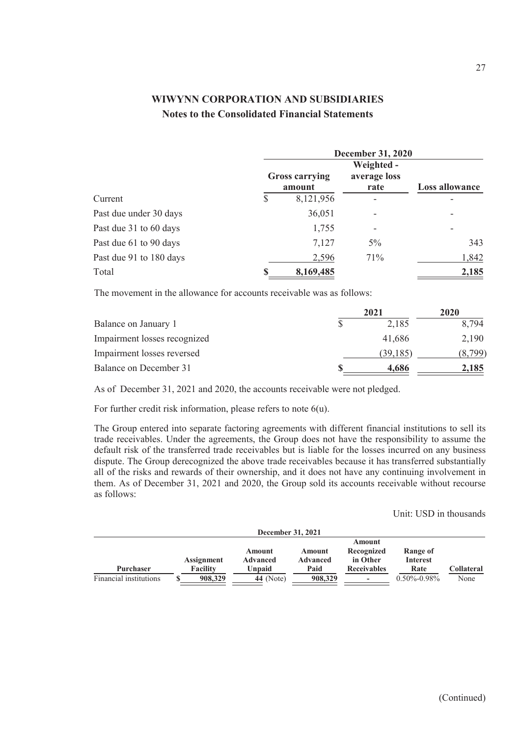|                         | <b>December 31, 2020</b> |                                 |                                    |                |  |
|-------------------------|--------------------------|---------------------------------|------------------------------------|----------------|--|
|                         |                          | <b>Gross carrying</b><br>amount | Weighted -<br>average loss<br>rate | Loss allowance |  |
| Current                 | \$                       | 8,121,956                       | -                                  |                |  |
| Past due under 30 days  |                          | 36,051                          |                                    | -              |  |
| Past due 31 to 60 days  |                          | 1,755                           |                                    | -              |  |
| Past due 61 to 90 days  |                          | 7,127                           | $5\%$                              | 343            |  |
| Past due 91 to 180 days |                          | 2,596                           | 71%                                | 1,842          |  |
| Total                   |                          | 8,169,485                       |                                    | 2,185          |  |

The movement in the allowance for accounts receivable was as follows:

|                              | 2021     | 2020    |  |
|------------------------------|----------|---------|--|
| Balance on January 1         | 2,185    | 8.794   |  |
| Impairment losses recognized | 41.686   | 2,190   |  |
| Impairment losses reversed   | (39,185) | (8,799) |  |
| Balance on December 31       | 4.686    | 2,185   |  |

As of December 31, 2021 and 2020, the accounts receivable were not pledged.

For further credit risk information, please refers to note 6(u).

The Group entered into separate factoring agreements with different financial institutions to sell its trade receivables. Under the agreements, the Group does not have the responsibility to assume the default risk of the transferred trade receivables but is liable for the losses incurred on any business dispute. The Group derecognized the above trade receivables because it has transferred substantially all of the risks and rewards of their ownership, and it does not have any continuing involvement in them. As of December 31, 2021 and 2020, the Group sold its accounts receivable without recourse as follows:

### Unit: USD in thousands

| December 31, 2021      |                   |             |                 |                          |                   |                   |
|------------------------|-------------------|-------------|-----------------|--------------------------|-------------------|-------------------|
|                        |                   |             |                 | Amount                   |                   |                   |
|                        |                   | Amount      | Amount          | Recognized               | Range of          |                   |
|                        | <b>Assignment</b> | Advanced    | <b>Advanced</b> | in Other                 | <b>Interest</b>   |                   |
| <b>Purchaser</b>       | Facility          | Unpaid      | Paid            | <b>Receivables</b>       | Rate              | <b>Collateral</b> |
| Financial institutions | 908,329           | $44$ (Note) | 908,329         | $\overline{\phantom{a}}$ | $0.50\% - 0.98\%$ | None              |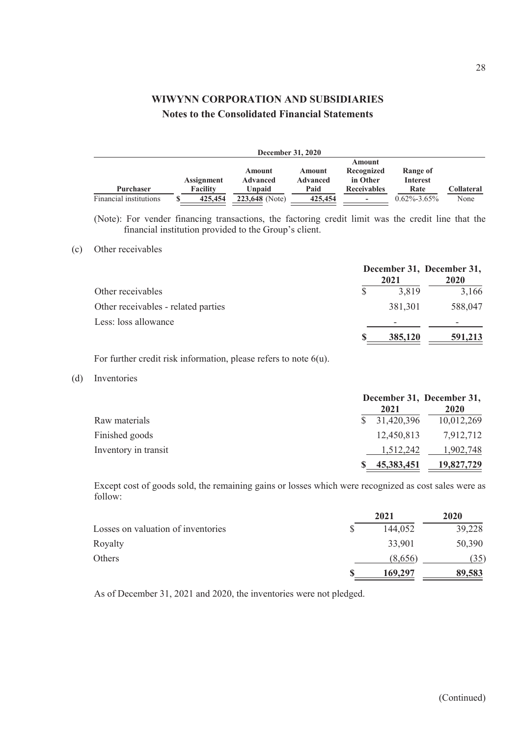| <b>December 31, 2020</b> |  |                   |                 |                 |                          |                   |            |
|--------------------------|--|-------------------|-----------------|-----------------|--------------------------|-------------------|------------|
|                          |  |                   |                 |                 | Amount                   |                   |            |
|                          |  |                   | Amount          | Amount          | Recognized               | Range of          |            |
|                          |  | <b>Assignment</b> | <b>Advanced</b> | <b>Advanced</b> | in Other                 | <b>Interest</b>   |            |
| <b>Purchaser</b>         |  | <b>Facility</b>   | Unpaid          | Paid            | <b>Receivables</b>       | Rate              | Collateral |
| Financial institutions   |  | 425,454           | 223,648 (Note)  | 425,454         | $\overline{\phantom{a}}$ | $0.62\% - 3.65\%$ | None       |

(Note): For vender financing transactions, the factoring credit limit was the credit line that the financial institution provided to the Group's client.

### (c) Other receivables

|                                     | 2021    | December 31, December 31,<br>2020 |
|-------------------------------------|---------|-----------------------------------|
| Other receivables                   | 3,819   | 3,166                             |
| Other receivables - related parties | 381,301 | 588,047                           |
| Less: loss allowance                |         |                                   |
|                                     | 385,120 | 591,213                           |

For further credit risk information, please refers to note 6(u).

(d) Inventories

|                      | December 31, December 31, |             |
|----------------------|---------------------------|-------------|
|                      | 2021                      | <b>2020</b> |
| Raw materials        | \$31,420,396              | 10,012,269  |
| Finished goods       | 12,450,813                | 7,912,712   |
| Inventory in transit | 1.512.242                 | 1,902,748   |
|                      | 45, 383, 451              | 19,827,729  |

Except cost of goods sold, the remaining gains or losses which were recognized as cost sales were as follow:

|                                    | 2021    | 2020   |
|------------------------------------|---------|--------|
| Losses on valuation of inventories | 144,052 | 39,228 |
| Royalty                            | 33,901  | 50,390 |
| Others                             | (8.656) | (35)   |
|                                    | 169,297 | 89,583 |

As of December 31, 2021 and 2020, the inventories were not pledged.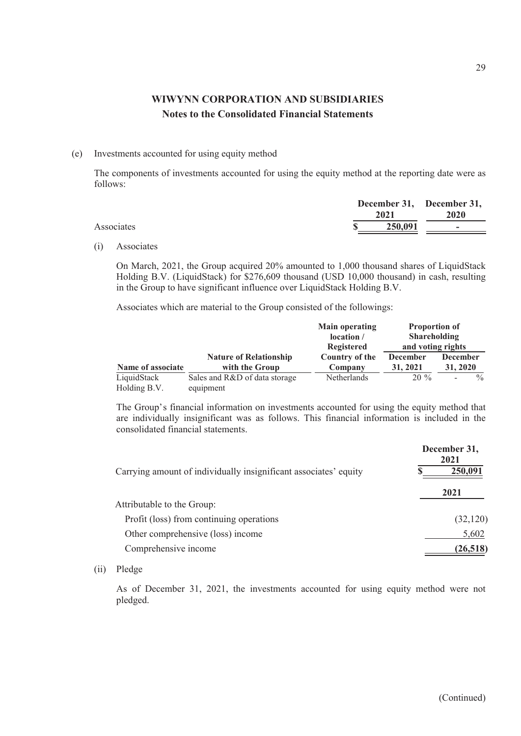#### (e) Investments accounted for using equity method

The components of investments accounted for using the equity method at the reporting date were as follows:

|            | 2021    | December 31, December 31,<br>2020 |
|------------|---------|-----------------------------------|
| Associates | 250,091 | $\overline{\phantom{a}}$          |

(i) Associates

On March, 2021, the Group acquired 20% amounted to 1,000 thousand shares of LiquidStack Holding B.V. (LiquidStack) for \$276,609 thousand (USD 10,000 thousand) in cash, resulting in the Group to have significant influence over LiquidStack Holding B.V.

Associates which are material to the Group consisted of the followings:

|                   |                               | <b>Main operating</b> | Proportion of       |                                           |
|-------------------|-------------------------------|-----------------------|---------------------|-------------------------------------------|
|                   |                               | location /            | <b>Shareholding</b> |                                           |
|                   |                               | <b>Registered</b>     | and voting rights   |                                           |
|                   | <b>Nature of Relationship</b> | Country of the        | <b>December</b>     | <b>December</b>                           |
| Name of associate | with the Group                | Company               | 31, 2021            | 31, 2020                                  |
| LiquidStack       | Sales and R&D of data storage | Netherlands           | $20\%$              | $\frac{0}{0}$<br>$\overline{\phantom{a}}$ |
| Holding B.V.      | equipment                     |                       |                     |                                           |

The Group's financial information on investments accounted for using the equity method that are individually insignificant was as follows. This financial information is included in the consolidated financial statements.

|                                                                  | December 31,<br>2021 |
|------------------------------------------------------------------|----------------------|
| Carrying amount of individually insignificant associates' equity | 250,091              |
|                                                                  | 2021                 |
| Attributable to the Group:                                       |                      |
| Profit (loss) from continuing operations                         | (32, 120)            |
| Other comprehensive (loss) income                                | 5,602                |
| Comprehensive income                                             | (26, 518)            |

### (ii) Pledge

As of December 31, 2021, the investments accounted for using equity method were not pledged.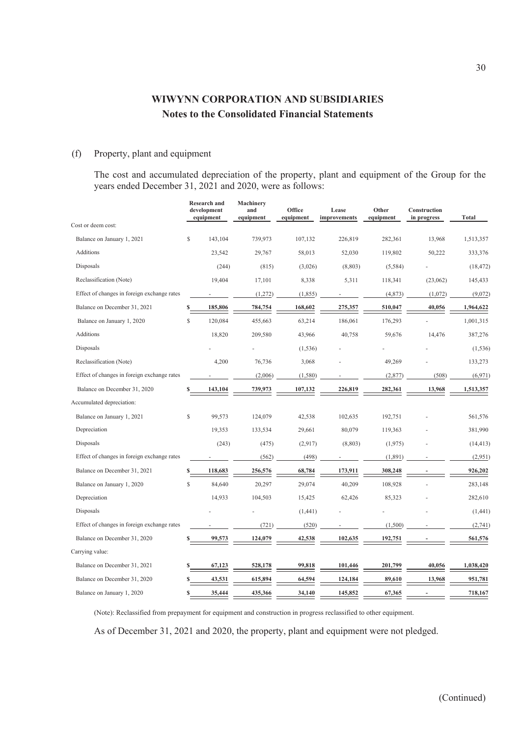### (f) Property, plant and equipment

The cost and accumulated depreciation of the property, plant and equipment of the Group for the years ended December 31, 2021 and 2020, were as follows:

|                                             |              | <b>Research and</b><br>development<br>equipment | Machinery<br>and<br>equipment | Office<br>equipment | Lease<br>improvements | Other<br>equipment | Construction<br>in progress | <b>Total</b> |
|---------------------------------------------|--------------|-------------------------------------------------|-------------------------------|---------------------|-----------------------|--------------------|-----------------------------|--------------|
| Cost or deem cost:                          |              |                                                 |                               |                     |                       |                    |                             |              |
| Balance on January 1, 2021                  | S            | 143,104                                         | 739,973                       | 107,132             | 226,819               | 282,361            | 13,968                      | 1,513,357    |
| Additions                                   |              | 23,542                                          | 29,767                        | 58,013              | 52,030                | 119,802            | 50,222                      | 333,376      |
| Disposals                                   |              | (244)                                           | (815)                         | (3,026)             | (8, 803)              | (5,584)            |                             | (18, 472)    |
| Reclassification (Note)                     |              | 19,404                                          | 17,101                        | 8,338               | 5,311                 | 118,341            | (23,062)                    | 145,433      |
| Effect of changes in foreign exchange rates |              |                                                 | (1,272)                       | (1, 855)            |                       | (4,873)            | (1,072)                     | (9,072)      |
| Balance on December 31, 2021                |              | 185,806                                         | 784,754                       | 168,602             | 275,357               | 510,047            | 40,056                      | 1,964,622    |
| Balance on January 1, 2020                  | $\mathbf S$  | 120.084                                         | 455,663                       | 63,214              | 186,061               | 176,293            |                             | 1,001,315    |
| Additions                                   |              | 18,820                                          | 209,580                       | 43,966              | 40,758                | 59,676             | 14,476                      | 387,276      |
| Disposals                                   |              |                                                 |                               | (1, 536)            |                       |                    |                             | (1, 536)     |
| Reclassification (Note)                     |              | 4,200                                           | 76,736                        | 3,068               |                       | 49,269             |                             | 133,273      |
| Effect of changes in foreign exchange rates |              |                                                 | (2,006)                       | (1,580)             |                       | (2,877)            | (508)                       | (6, 971)     |
| Balance on December 31, 2020                |              | 143,104                                         | 739,973                       | 107,132             | 226,819               | 282,361            | 13,968                      | 1,513,357    |
| Accumulated depreciation:                   |              |                                                 |                               |                     |                       |                    |                             |              |
| Balance on January 1, 2021                  | $\mathbb{S}$ | 99,573                                          | 124,079                       | 42,538              | 102,635               | 192,751            |                             | 561,576      |
| Depreciation                                |              | 19,353                                          | 133,534                       | 29,661              | 80,079                | 119,363            |                             | 381,990      |
| Disposals                                   |              | (243)                                           | (475)                         | (2,917)             | (8, 803)              | (1,975)            |                             | (14, 413)    |
| Effect of changes in foreign exchange rates |              |                                                 | (562)                         | (498)               |                       | (1,891)            |                             | (2,951)      |
| Balance on December 31, 2021                | $\mathbf{s}$ | 118,683                                         | 256,576                       | 68,784              | 173,911               | 308,248            |                             | 926,202      |
| Balance on January 1, 2020                  | S.           | 84,640                                          | 20,297                        | 29,074              | 40,209                | 108,928            |                             | 283,148      |
| Depreciation                                |              | 14,933                                          | 104,503                       | 15,425              | 62,426                | 85,323             |                             | 282,610      |
| Disposals                                   |              |                                                 |                               | (1,441)             |                       |                    |                             | (1, 441)     |
| Effect of changes in foreign exchange rates |              |                                                 | (721)                         | (520)               |                       | (1,500)            |                             | (2,741)      |
| Balance on December 31, 2020                |              | 99,573                                          | 124,079                       | 42,538              | 102,635               | 192,751            |                             | 561,576      |
| Carrying value:                             |              |                                                 |                               |                     |                       |                    |                             |              |
| Balance on December 31, 2021                |              | 67,123                                          | 528,178                       | 99,818              | 101,446               | 201,799            | 40,056                      | 1,038,420    |
| Balance on December 31, 2020                |              | 43,531                                          | 615,894                       | 64,594              | 124,184               | 89,610             | 13,968                      | 951,781      |
| Balance on January 1, 2020                  | S            | 35,444                                          | 435,366                       | 34,140              | 145,852               | 67,365             |                             | 718,167      |

(Note): Reclassified from prepayment for equipment and construction in progress reclassified to other equipment.

As of December 31, 2021 and 2020, the property, plant and equipment were not pledged.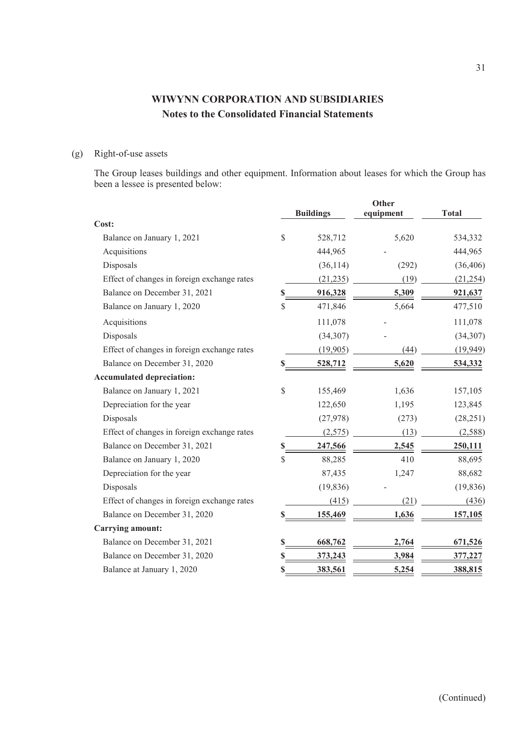## (g) Right-of-use assets

The Group leases buildings and other equipment. Information about leases for which the Group has been a lessee is presented below:

|                                             |    | <b>Buildings</b> | Other<br>equipment | <b>Total</b> |
|---------------------------------------------|----|------------------|--------------------|--------------|
| Cost:                                       |    |                  |                    |              |
| Balance on January 1, 2021                  | \$ | 528,712          | 5,620              | 534,332      |
| Acquisitions                                |    | 444,965          |                    | 444,965      |
| Disposals                                   |    | (36, 114)        | (292)              | (36, 406)    |
| Effect of changes in foreign exchange rates |    | (21, 235)        | (19)               | (21, 254)    |
| Balance on December 31, 2021                | S  | 916,328          | 5,309              | 921,637      |
| Balance on January 1, 2020                  | \$ | 471,846          | 5,664              | 477,510      |
| Acquisitions                                |    | 111,078          |                    | 111,078      |
| Disposals                                   |    | (34, 307)        |                    | (34, 307)    |
| Effect of changes in foreign exchange rates |    | (19,905)         | (44)               | (19,949)     |
| Balance on December 31, 2020                | S  | 528,712          | 5,620              | 534,332      |
| <b>Accumulated depreciation:</b>            |    |                  |                    |              |
| Balance on January 1, 2021                  | \$ | 155,469          | 1,636              | 157,105      |
| Depreciation for the year                   |    | 122,650          | 1,195              | 123,845      |
| Disposals                                   |    | (27,978)         | (273)              | (28, 251)    |
| Effect of changes in foreign exchange rates |    | (2,575)          | (13)               | (2, 588)     |
| Balance on December 31, 2021                | \$ | 247,566          | 2,545              | 250,111      |
| Balance on January 1, 2020                  | \$ | 88,285           | 410                | 88,695       |
| Depreciation for the year                   |    | 87,435           | 1,247              | 88,682       |
| Disposals                                   |    | (19, 836)        |                    | (19, 836)    |
| Effect of changes in foreign exchange rates |    | (415)            | (21)               | (436)        |
| Balance on December 31, 2020                | \$ | 155,469          | 1,636              | 157,105      |
| <b>Carrying amount:</b>                     |    |                  |                    |              |
| Balance on December 31, 2021                | \$ | 668,762          | 2,764              | 671,526      |
| Balance on December 31, 2020                | \$ | 373,243          | 3,984              | 377,227      |
| Balance at January 1, 2020                  | \$ | 383,561          | 5,254              | 388,815      |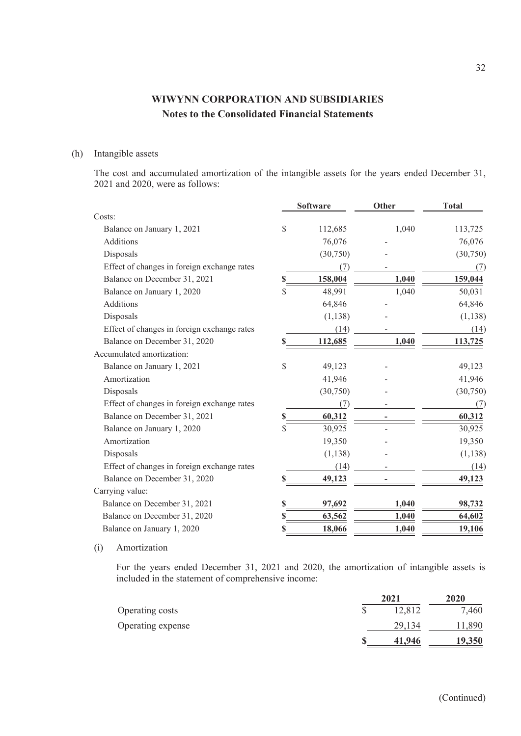### (h) Intangible assets

The cost and accumulated amortization of the intangible assets for the years ended December 31, 2021 and 2020, were as follows:

|                                             | <b>Software</b> |          | Other | <b>Total</b> |  |
|---------------------------------------------|-----------------|----------|-------|--------------|--|
| Costs:                                      |                 |          |       |              |  |
| Balance on January 1, 2021                  | \$              | 112,685  | 1,040 | 113,725      |  |
| Additions                                   |                 | 76,076   |       | 76,076       |  |
| Disposals                                   |                 | (30,750) |       | (30,750)     |  |
| Effect of changes in foreign exchange rates |                 | (7)      |       | (7)          |  |
| Balance on December 31, 2021                | \$              | 158,004  | 1,040 | 159,044      |  |
| Balance on January 1, 2020                  | \$              | 48,991   | 1,040 | 50,031       |  |
| Additions                                   |                 | 64,846   |       | 64,846       |  |
| Disposals                                   |                 | (1, 138) |       | (1, 138)     |  |
| Effect of changes in foreign exchange rates |                 | (14)     |       | (14)         |  |
| Balance on December 31, 2020                | \$              | 112,685  | 1,040 | 113,725      |  |
| Accumulated amortization:                   |                 |          |       |              |  |
| Balance on January 1, 2021                  | \$              | 49,123   |       | 49,123       |  |
| Amortization                                |                 | 41,946   |       | 41,946       |  |
| Disposals                                   |                 | (30,750) |       | (30,750)     |  |
| Effect of changes in foreign exchange rates |                 | (7)      |       | (7)          |  |
| Balance on December 31, 2021                | \$              | 60,312   |       | 60,312       |  |
| Balance on January 1, 2020                  | \$              | 30,925   |       | 30,925       |  |
| Amortization                                |                 | 19,350   |       | 19,350       |  |
| Disposals                                   |                 | (1, 138) |       | (1, 138)     |  |
| Effect of changes in foreign exchange rates |                 | (14)     |       | (14)         |  |
| Balance on December 31, 2020                | S               | 49,123   |       | 49,123       |  |
| Carrying value:                             |                 |          |       |              |  |
| Balance on December 31, 2021                | \$              | 97,692   | 1,040 | 98,732       |  |
| Balance on December 31, 2020                | \$              | 63,562   | 1,040 | 64,602       |  |
| Balance on January 1, 2020                  | \$              | 18,066   | 1,040 | 19,106       |  |

### (i) Amortization

For the years ended December 31, 2021 and 2020, the amortization of intangible assets is included in the statement of comprehensive income:

|                   | 2021   | 2020   |
|-------------------|--------|--------|
| Operating costs   | 12,812 | 7,460  |
| Operating expense | 29,134 | 11,890 |
|                   | 41.946 | 19,350 |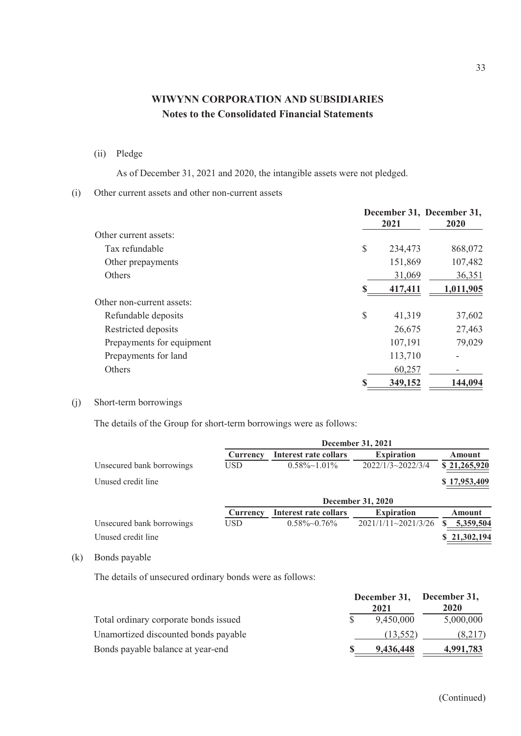(ii) Pledge

As of December 31, 2021 and 2020, the intangible assets were not pledged.

(i) Other current assets and other non-current assets

|                           |    | 2021    | December 31, December 31,<br>2020 |
|---------------------------|----|---------|-----------------------------------|
| Other current assets:     |    |         |                                   |
| Tax refundable            | \$ | 234,473 | 868,072                           |
| Other prepayments         |    | 151,869 | 107,482                           |
| <b>Others</b>             |    | 31,069  | 36,351                            |
|                           | S  | 417,411 | 1,011,905                         |
| Other non-current assets: |    |         |                                   |
| Refundable deposits       | \$ | 41,319  | 37,602                            |
| Restricted deposits       |    | 26,675  | 27,463                            |
| Prepayments for equipment |    | 107,191 | 79,029                            |
| Prepayments for land      |    | 113,710 |                                   |
| <b>Others</b>             |    | 60,257  |                                   |
|                           |    | 349,152 | 144,094                           |

(j) Short-term borrowings

The details of the Group for short-term borrowings were as follows:

|                           | December 31, 2021 |                          |                          |               |  |
|---------------------------|-------------------|--------------------------|--------------------------|---------------|--|
|                           | Currency          | Interest rate collars    | <b>Expiration</b>        | Amount        |  |
| Unsecured bank borrowings | USD               | $0.58\% \sim 1.01\%$     | $2022/1/3 \sim 2022/3/4$ | \$21,265,920  |  |
| Unused credit line        |                   |                          |                          | \$17,953,409  |  |
|                           |                   | <b>December 31, 2020</b> |                          |               |  |
|                           | Currency          | Interest rate collars    | <b>Expiration</b>        | <b>Amount</b> |  |
| Unsecured bank borrowings | <b>USD</b>        | $0.58\%$ ~ $0.76\%$      | $2021/1/11 - 2021/3/26$  | 5,359,504     |  |
| Unused credit line        |                   |                          |                          | \$21,302,194  |  |

(k) Bonds payable

The details of unsecured ordinary bonds were as follows:

|                                       | December 31, December 31,<br>2021 |           | 2020      |  |
|---------------------------------------|-----------------------------------|-----------|-----------|--|
| Total ordinary corporate bonds issued |                                   | 9,450,000 | 5,000,000 |  |
| Unamortized discounted bonds payable  |                                   | (13, 552) | (8,217)   |  |
| Bonds payable balance at year-end     |                                   | 9,436,448 | 4,991,783 |  |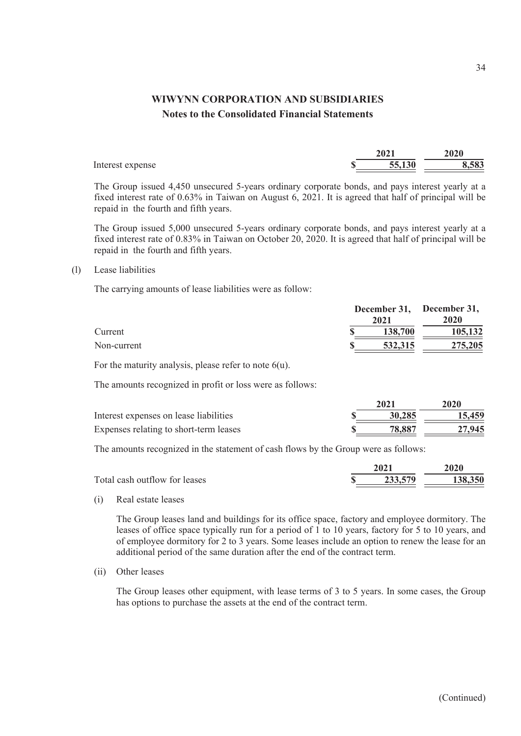|                  | 2021   | $20^{10}$ |
|------------------|--------|-----------|
| Interest expense | 55,130 | 3,583     |

The Group issued 4,450 unsecured 5-years ordinary corporate bonds, and pays interest yearly at a fixed interest rate of 0.63% in Taiwan on August 6, 2021. It is agreed that half of principal will be repaid in the fourth and fifth years.

The Group issued 5,000 unsecured 5-years ordinary corporate bonds, and pays interest yearly at a fixed interest rate of 0.83% in Taiwan on October 20, 2020. It is agreed that half of principal will be repaid in the fourth and fifth years.

#### (l) Lease liabilities

The carrying amounts of lease liabilities were as follow:

|             | December 31, December 31, |             |  |
|-------------|---------------------------|-------------|--|
|             | 2021                      | <b>2020</b> |  |
| Current     | 138,700                   | 105,132     |  |
| Non-current | 532,315                   | 275,205     |  |

For the maturity analysis, please refer to note  $6(u)$ .

The amounts recognized in profit or loss were as follows:

|                                        | 2021   | 2020   |
|----------------------------------------|--------|--------|
| Interest expenses on lease liabilities | 30,285 | 15,459 |
| Expenses relating to short-term leases | 78.887 | 27,945 |

The amounts recognized in the statement of cash flows by the Group were as follows:

|                               | 2021    | 2020    |
|-------------------------------|---------|---------|
| Total cash outflow for leases | 233,579 | 138,350 |

(i) Real estate leases

The Group leases land and buildings for its office space, factory and employee dormitory. The leases of office space typically run for a period of 1 to 10 years, factory for 5 to 10 years, and of employee dormitory for 2 to 3 years. Some leases include an option to renew the lease for an additional period of the same duration after the end of the contract term.

(ii) Other leases

The Group leases other equipment, with lease terms of 3 to 5 years. In some cases, the Group has options to purchase the assets at the end of the contract term.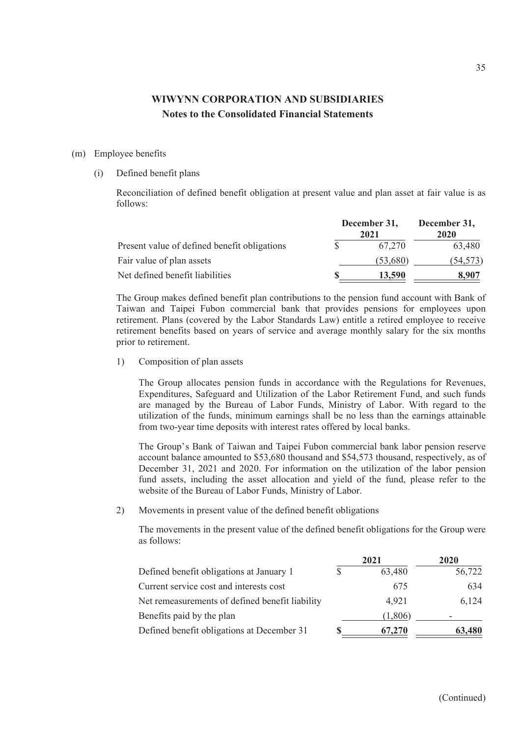#### (m) Employee benefits

#### (i) Defined benefit plans

Reconciliation of defined benefit obligation at present value and plan asset at fair value is as follows:

|                                              | December 31,<br>2021 | December 31,<br>2020 |  |
|----------------------------------------------|----------------------|----------------------|--|
| Present value of defined benefit obligations | 67.270               | 63,480               |  |
| Fair value of plan assets                    | (53,680)             | (54,573)             |  |
| Net defined benefit liabilities              | 13.590               | 8.907                |  |

The Group makes defined benefit plan contributions to the pension fund account with Bank of Taiwan and Taipei Fubon commercial bank that provides pensions for employees upon retirement. Plans (covered by the Labor Standards Law) entitle a retired employee to receive retirement benefits based on years of service and average monthly salary for the six months prior to retirement.

1) Composition of plan assets

The Group allocates pension funds in accordance with the Regulations for Revenues, Expenditures, Safeguard and Utilization of the Labor Retirement Fund, and such funds are managed by the Bureau of Labor Funds, Ministry of Labor. With regard to the utilization of the funds, minimum earnings shall be no less than the earnings attainable from two-year time deposits with interest rates offered by local banks.

The Group's Bank of Taiwan and Taipei Fubon commercial bank labor pension reserve account balance amounted to \$53,680 thousand and \$54,573 thousand, respectively, as of December 31, 2021 and 2020. For information on the utilization of the labor pension fund assets, including the asset allocation and yield of the fund, please refer to the website of the Bureau of Labor Funds, Ministry of Labor.

2) Movements in present value of the defined benefit obligations

The movements in the present value of the defined benefit obligations for the Group were as follows:

|   | 2021    | 2020   |
|---|---------|--------|
| S | 63,480  | 56,722 |
|   | 675     | 634    |
|   | 4,921   | 6,124  |
|   | (1,806) |        |
|   | 67,270  | 63,480 |
|   |         |        |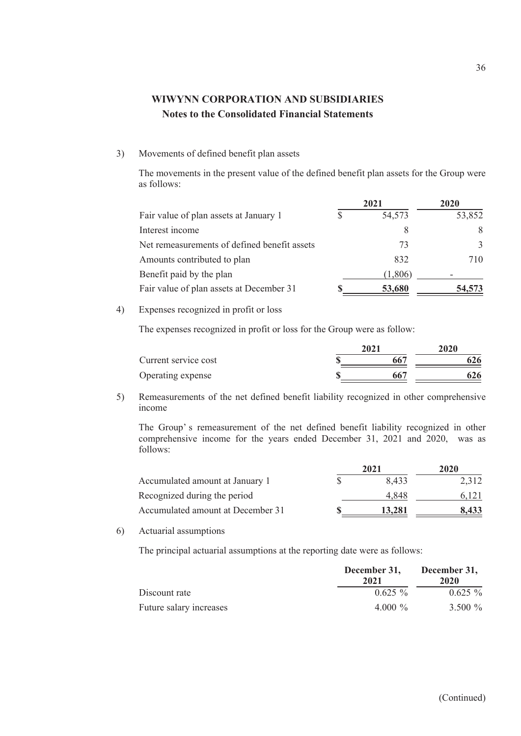### 3) Movements of defined benefit plan assets

The movements in the present value of the defined benefit plan assets for the Group were as follows:

|                                              | 2021    | 2020          |  |
|----------------------------------------------|---------|---------------|--|
| Fair value of plan assets at January 1       | 54,573  | 53,852        |  |
| Interest income                              | 8       | 8             |  |
| Net remeasurements of defined benefit assets | 73      | $\mathcal{F}$ |  |
| Amounts contributed to plan                  | 832     | 710           |  |
| Benefit paid by the plan                     | (1,806) |               |  |
| Fair value of plan assets at December 31     | 53,680  | 54.573        |  |

4) Expenses recognized in profit or loss

The expenses recognized in profit or loss for the Group were as follow:

| Current service cost | 2021 | 2020 |     |
|----------------------|------|------|-----|
|                      |      |      | 526 |
| Operating expense    |      |      | 526 |

5) Remeasurements of the net defined benefit liability recognized in other comprehensive income

The Group' s remeasurement of the net defined benefit liability recognized in other comprehensive income for the years ended December 31, 2021 and 2020, was as follows:

|                                   | 2021   | 2020  |  |
|-----------------------------------|--------|-------|--|
| Accumulated amount at January 1   | 8.433  | 2,312 |  |
| Recognized during the period      | 4.848  | 6.121 |  |
| Accumulated amount at December 31 | 13,281 | 8.433 |  |

6) Actuarial assumptions

The principal actuarial assumptions at the reporting date were as follows:

|                         | December 31,<br>2021 | December 31,<br>2020 |  |
|-------------------------|----------------------|----------------------|--|
| Discount rate           | $0.625\%$            | $0.625\%$            |  |
| Future salary increases | 4.000 $\%$           | 3.500 %              |  |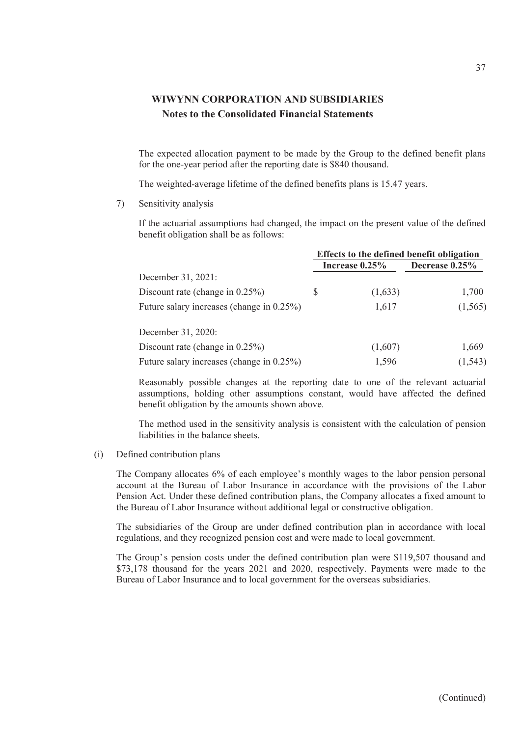The expected allocation payment to be made by the Group to the defined benefit plans for the one-year period after the reporting date is \$840 thousand.

The weighted-average lifetime of the defined benefits plans is 15.47 years.

7) Sensitivity analysis

If the actuarial assumptions had changed, the impact on the present value of the defined benefit obligation shall be as follows:

|                                           | Effects to the defined benefit obligation |                   |                   |
|-------------------------------------------|-------------------------------------------|-------------------|-------------------|
|                                           |                                           | Increase $0.25\%$ | Decrease $0.25\%$ |
| December 31, 2021:                        |                                           |                   |                   |
| Discount rate (change in $0.25\%$ )       | S                                         | (1,633)           | 1,700             |
| Future salary increases (change in 0.25%) |                                           | 1,617             | (1, 565)          |
| December 31, 2020:                        |                                           |                   |                   |
| Discount rate (change in $0.25\%$ )       |                                           | (1,607)           | 1,669             |
| Future salary increases (change in 0.25%) |                                           | 1,596             | (1, 543)          |

Reasonably possible changes at the reporting date to one of the relevant actuarial assumptions, holding other assumptions constant, would have affected the defined benefit obligation by the amounts shown above.

The method used in the sensitivity analysis is consistent with the calculation of pension liabilities in the balance sheets.

### (i) Defined contribution plans

The Company allocates 6% of each employee's monthly wages to the labor pension personal account at the Bureau of Labor Insurance in accordance with the provisions of the Labor Pension Act. Under these defined contribution plans, the Company allocates a fixed amount to the Bureau of Labor Insurance without additional legal or constructive obligation.

The subsidiaries of the Group are under defined contribution plan in accordance with local regulations, and they recognized pension cost and were made to local government.

The Group's pension costs under the defined contribution plan were \$119,507 thousand and \$73,178 thousand for the years 2021 and 2020, respectively. Payments were made to the Bureau of Labor Insurance and to local government for the overseas subsidiaries.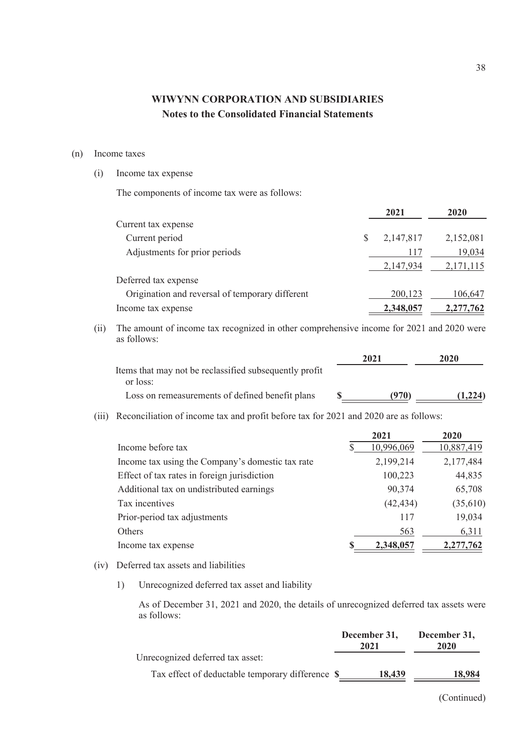### (n) Income taxes

### (i) Income tax expense

The components of income tax were as follows:

|                                                 | 2021      | 2020      |
|-------------------------------------------------|-----------|-----------|
| Current tax expense                             |           |           |
| Current period                                  | 2,147,817 | 2,152,081 |
| Adjustments for prior periods                   | 117       | 19,034    |
|                                                 | 2,147,934 | 2,171,115 |
| Deferred tax expense                            |           |           |
| Origination and reversal of temporary different | 200,123   | 106,647   |
| Income tax expense                              | 2,348,057 | 2,277,762 |
|                                                 |           |           |

(ii) The amount of income tax recognized in other comprehensive income for 2021 and 2020 were as follows:

|                                                        | 2021  | 2020    |
|--------------------------------------------------------|-------|---------|
| Items that may not be reclassified subsequently profit |       |         |
| or loss:                                               |       |         |
| Loss on remeasurements of defined benefit plans        | (970) | (1.224) |

(iii) Reconciliation of income tax and profit before tax for 2021 and 2020 are as follows:

|                                                  | 2021       | 2020       |
|--------------------------------------------------|------------|------------|
| Income before tax                                | 10,996,069 | 10,887,419 |
| Income tax using the Company's domestic tax rate | 2,199,214  | 2,177,484  |
| Effect of tax rates in foreign jurisdiction      | 100,223    | 44,835     |
| Additional tax on undistributed earnings         | 90,374     | 65,708     |
| Tax incentives                                   | (42, 434)  | (35,610)   |
| Prior-period tax adjustments                     | 117        | 19,034     |
| Others                                           | 563        | 6,311      |
| Income tax expense                               | 2,348,057  | 2,277,762  |

### (iv) Deferred tax assets and liabilities

1) Unrecognized deferred tax asset and liability

As of December 31, 2021 and 2020, the details of unrecognized deferred tax assets were as follows:

|                                                  | December 31,<br>2021 | December 31,<br>2020 |
|--------------------------------------------------|----------------------|----------------------|
| Unrecognized deferred tax asset:                 |                      |                      |
| Tax effect of deductable temporary difference \$ | 18,439               | 18.984               |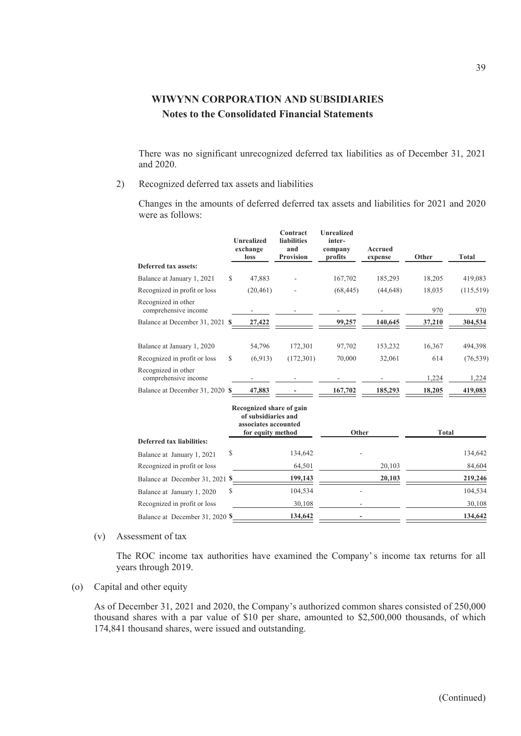There was no significant unrecognized deferred tax liabilities as of December 31, 2021 and 2020.

2) Recognized deferred tax assets and liabilities

Changes in the amounts of deferred deferred tax assets and liabilities for 2021 and 2020 were as follows:

|                                             |               | <b>Unrealized</b><br>exchange<br>loss                                                        | Contract<br><b>liabilities</b><br>and<br>Provision | <b>Unrealized</b><br>inter-<br>company<br>profits | <b>Accrued</b><br>expense | Other        | <b>Total</b> |
|---------------------------------------------|---------------|----------------------------------------------------------------------------------------------|----------------------------------------------------|---------------------------------------------------|---------------------------|--------------|--------------|
| Deferred tax assets:                        |               |                                                                                              |                                                    |                                                   |                           |              |              |
| Balance at January 1, 2021                  | $\mathcal{S}$ | 47,883                                                                                       |                                                    | 167,702                                           | 185,293                   | 18,205       | 419,083      |
| Recognized in profit or loss                |               | (20, 461)                                                                                    |                                                    | (68, 445)                                         | (44, 648)                 | 18,035       | (115,519)    |
| Recognized in other<br>comprehensive income |               |                                                                                              |                                                    |                                                   |                           | 970          | 970          |
| Balance at December 31, 2021 \$             |               | 27,422                                                                                       |                                                    | 99,257                                            | 140,645                   | 37,210       | 304,534      |
| Balance at January 1, 2020                  |               | 54,796                                                                                       | 172,301                                            | 97,702                                            | 153,232                   | 16,367       | 494,398      |
| Recognized in profit or loss                | \$            | (6,913)                                                                                      | (172, 301)                                         | 70,000                                            | 32,061                    | 614          | (76, 539)    |
| Recognized in other<br>comprehensive income |               |                                                                                              |                                                    |                                                   |                           | 1,224        | 1,224        |
| Balance at December 31, 2020 \$             |               | 47,883                                                                                       |                                                    | 167,702                                           | 185,293                   | 18,205       | 419,083      |
|                                             |               | Recognized share of gain<br>of subsidiaries and<br>associates accounted<br>for equity method |                                                    | Other                                             |                           | <b>Total</b> |              |
| Deferred tax liabilities:                   |               |                                                                                              |                                                    |                                                   |                           |              |              |
| Balance at January 1, 2021                  | \$            |                                                                                              | 134,642                                            |                                                   |                           |              | 134,642      |
| Recognized in profit or loss                |               |                                                                                              | 64,501                                             |                                                   | 20,103                    |              | 84,604       |
| Balance at December 31, 2021 \$             |               |                                                                                              | 199,143                                            |                                                   | 20,103                    |              | 219,246      |
| Balance at January 1, 2020                  | \$            |                                                                                              | 104,534                                            |                                                   |                           |              | 104,534      |
| Recognized in profit or loss                |               |                                                                                              | 30,108                                             |                                                   |                           |              | 30,108       |
| Balance at December 31, 2020 \$             |               |                                                                                              | 134,642                                            |                                                   |                           |              | 134,642      |

### (v) Assessment of tax

The ROC income tax authorities have examined the Company' s income tax returns for all years through 2019.

### (o) Capital and other equity

As of December 31, 2021 and 2020, the Company's authorized common shares consisted of 250,000 thousand shares with a par value of \$10 per share, amounted to \$2,500,000 thousands, of which 174,841 thousand shares, were issued and outstanding.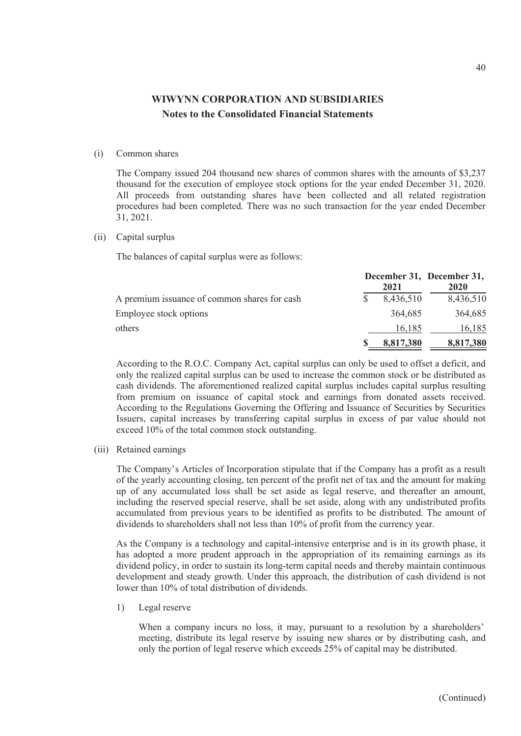#### (i) Common shares

The Company issued 204 thousand new shares of common shares with the amounts of \$3,237 thousand for the execution of employee stock options for the year ended December 31, 2020. All proceeds from outstanding shares have been collected and all related registration procedures had been completed. There was no such transaction for the year ended December 31, 2021.

(ii) Capital surplus

The balances of capital surplus were as follows:

|                                              | 2021      | December 31, December 31,<br>2020 |
|----------------------------------------------|-----------|-----------------------------------|
| A premium issuance of common shares for cash | 8,436,510 | 8,436,510                         |
| Employee stock options                       | 364,685   | 364,685                           |
| others                                       | 16.185    | 16,185                            |
|                                              | 8,817,380 | 8,817,380                         |

According to the R.O.C. Company Act, capital surplus can only be used to offset a deficit, and only the realized capital surplus can be used to increase the common stock or be distributed as cash dividends. The aforementioned realized capital surplus includes capital surplus resulting from premium on issuance of capital stock and earnings from donated assets received. According to the Regulations Governing the Offering and Issuance of Securities by Securities Issuers, capital increases by transferring capital surplus in excess of par value should not exceed 10% of the total common stock outstanding.

(iii) Retained earnings

The Company's Articles of Incorporation stipulate that if the Company has a profit as a result of the yearly accounting closing, ten percent of the profit net of tax and the amount for making up of any accumulated loss shall be set aside as legal reserve, and thereafter an amount, including the reserved special reserve, shall be set aside, along with any undistributed profits accumulated from previous years to be identified as profits to be distributed. The amount of dividends to shareholders shall not less than 10% of profit from the currency year.

As the Company is a technology and capital-intensive enterprise and is in its growth phase, it has adopted a more prudent approach in the appropriation of its remaining earnings as its dividend policy, in order to sustain its long-term capital needs and thereby maintain continuous development and steady growth. Under this approach, the distribution of cash dividend is not lower than 10% of total distribution of dividends.

1) Legal reserve

When a company incurs no loss, it may, pursuant to a resolution by a shareholders' meeting, distribute its legal reserve by issuing new shares or by distributing cash, and only the portion of legal reserve which exceeds 25% of capital may be distributed.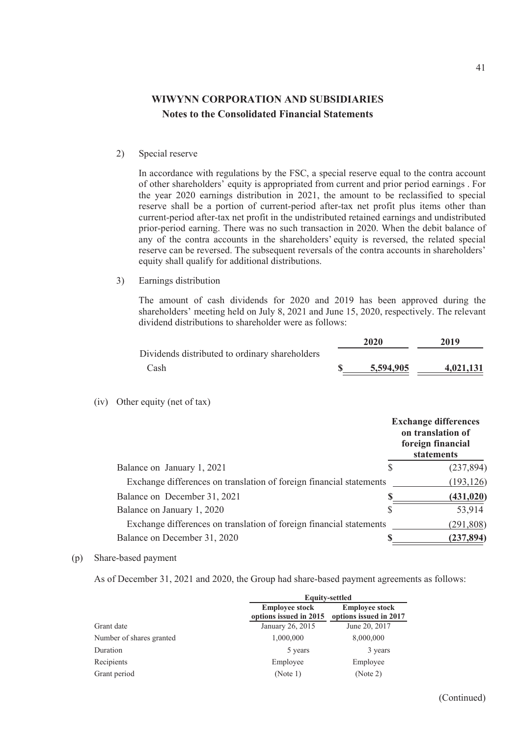2) Special reserve

In accordance with regulations by the FSC, a special reserve equal to the contra account of other shareholders' equity is appropriated from current and prior period earnings . For the year 2020 earnings distribution in 2021, the amount to be reclassified to special reserve shall be a portion of current-period after-tax net profit plus items other than current-period after-tax net profit in the undistributed retained earnings and undistributed prior-period earning. There was no such transaction in 2020. When the debit balance of any of the contra accounts in the shareholders' equity is reversed, the related special reserve can be reversed. The subsequent reversals of the contra accounts in shareholders' equity shall qualify for additional distributions.

3) Earnings distribution

The amount of cash dividends for 2020 and 2019 has been approved during the shareholders' meeting held on July 8, 2021 and June 15, 2020, respectively. The relevant dividend distributions to shareholder were as follows:

|                                                | 2020      | 2019      |
|------------------------------------------------|-----------|-----------|
| Dividends distributed to ordinary shareholders |           |           |
| Cash                                           | 5,594,905 | 4,021,131 |

(iv) Other equity (net of tax)

|                                                                     | <b>Exchange differences</b><br>on translation of<br>foreign financial<br>statements |            |  |
|---------------------------------------------------------------------|-------------------------------------------------------------------------------------|------------|--|
| Balance on January 1, 2021                                          |                                                                                     | (237, 894) |  |
| Exchange differences on translation of foreign financial statements |                                                                                     | (193, 126) |  |
| Balance on December 31, 2021                                        |                                                                                     | (431, 020) |  |
| Balance on January 1, 2020                                          | S                                                                                   | 53,914     |  |
| Exchange differences on translation of foreign financial statements |                                                                                     | (291, 808) |  |
| Balance on December 31, 2020                                        |                                                                                     | (237, 894) |  |

(p) Share-based payment

As of December 31, 2021 and 2020, the Group had share-based payment agreements as follows:

|                          | <b>Equity-settled</b>                           |                                                 |  |
|--------------------------|-------------------------------------------------|-------------------------------------------------|--|
|                          | <b>Employee stock</b><br>options issued in 2015 | <b>Employee stock</b><br>options issued in 2017 |  |
| Grant date               | January 26, 2015                                | June 20, 2017                                   |  |
| Number of shares granted | 1,000,000                                       | 8,000,000                                       |  |
| Duration                 | 5 years                                         | 3 years                                         |  |
| Recipients               | Employee                                        | Employee                                        |  |
| Grant period             | (Note 1)                                        | (Note 2)                                        |  |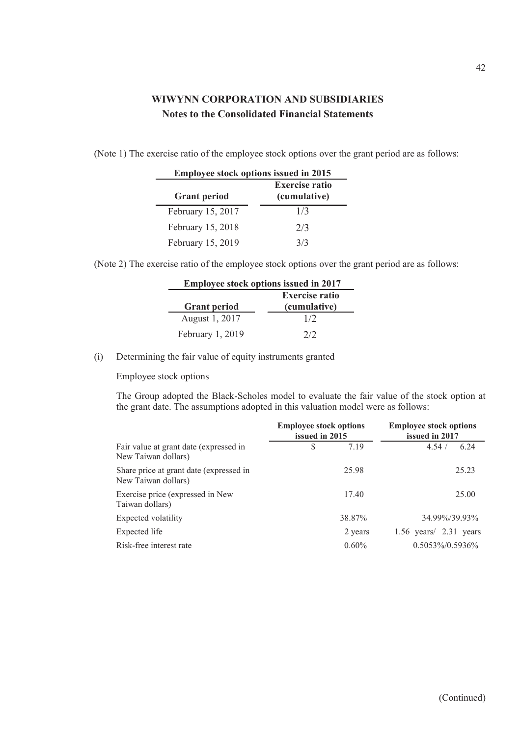(Note 1) The exercise ratio of the employee stock options over the grant period are as follows:

| <b>Employee stock options issued in 2015</b> |                                       |  |  |
|----------------------------------------------|---------------------------------------|--|--|
| <b>Grant period</b>                          | <b>Exercise ratio</b><br>(cumulative) |  |  |
| February 15, 2017                            | 1/3                                   |  |  |
| February 15, 2018                            | 2/3                                   |  |  |
| February 15, 2019                            | 3/3                                   |  |  |

(Note 2) The exercise ratio of the employee stock options over the grant period are as follows:

| <b>Employee stock options issued in 2017</b> |              |  |  |
|----------------------------------------------|--------------|--|--|
| <b>Exercise ratio</b>                        |              |  |  |
| <b>Grant period</b>                          | (cumulative) |  |  |
| August 1, 2017                               | 1/2          |  |  |
| February 1, 2019                             | 2/2          |  |  |

(i) Determining the fair value of equity instruments granted

Employee stock options

The Group adopted the Black-Scholes model to evaluate the fair value of the stock option at the grant date. The assumptions adopted in this valuation model were as follows:

|                                                                | <b>Employee stock options</b><br>issued in 2015 |          | <b>Employee stock options</b><br>issued in 2017 |  |  |
|----------------------------------------------------------------|-------------------------------------------------|----------|-------------------------------------------------|--|--|
| Fair value at grant date (expressed in<br>New Taiwan dollars)  | S                                               | 7.19     | 6.24<br>4.54/                                   |  |  |
| Share price at grant date (expressed in<br>New Taiwan dollars) |                                                 | 25.98    | 25.23                                           |  |  |
| Exercise price (expressed in New<br>Taiwan dollars)            |                                                 | 17.40    | 25.00                                           |  |  |
| Expected volatility                                            |                                                 | 38.87%   | 34.99%/39.93%                                   |  |  |
| Expected life                                                  |                                                 | 2 years  | $1.56$ years/ $2.31$ years                      |  |  |
| Risk-free interest rate                                        |                                                 | $0.60\%$ | $0.5053\%/0.5936\%$                             |  |  |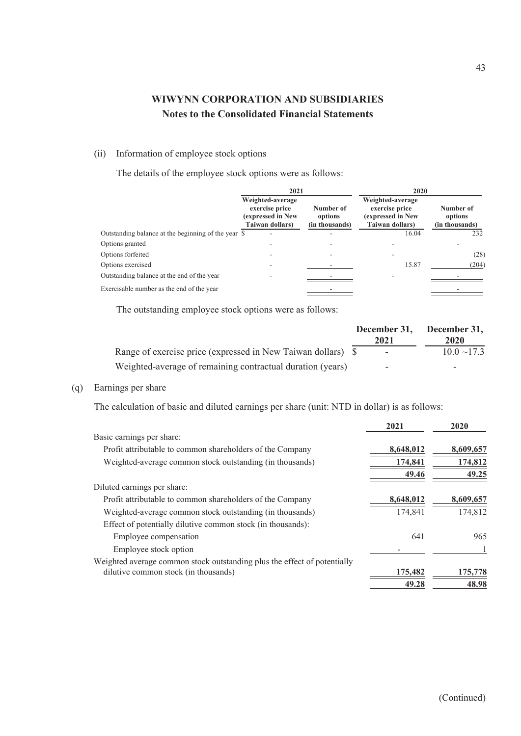### (ii) Information of employee stock options

The details of the employee stock options were as follows:

|                                                     | 2021                                                                       |                                        | 2020                                                                       |                                        |  |
|-----------------------------------------------------|----------------------------------------------------------------------------|----------------------------------------|----------------------------------------------------------------------------|----------------------------------------|--|
|                                                     | Weighted-average<br>exercise price<br>(expressed in New<br>Taiwan dollars) | Number of<br>options<br>(in thousands) | Weighted-average<br>exercise price<br>(expressed in New<br>Taiwan dollars) | Number of<br>options<br>(in thousands) |  |
| Outstanding balance at the beginning of the year \$ |                                                                            |                                        | 16.04                                                                      | 232                                    |  |
| Options granted                                     |                                                                            |                                        |                                                                            |                                        |  |
| Options forfeited                                   |                                                                            |                                        |                                                                            | (28)                                   |  |
| Options exercised                                   |                                                                            |                                        | 15.87                                                                      | (204)                                  |  |
| Outstanding balance at the end of the year          |                                                                            |                                        |                                                                            |                                        |  |
| Exercisable number as the end of the year           |                                                                            |                                        |                                                                            |                                        |  |

The outstanding employee stock options were as follows:

|                                                              | December 31,<br>2021 | December 31,<br>2020 |
|--------------------------------------------------------------|----------------------|----------------------|
| Range of exercise price (expressed in New Taiwan dollars) \$ |                      | $10.0 \sim 17.3$     |
| Weighted-average of remaining contractual duration (years)   | -                    | -                    |

### (q) Earnings per share

The calculation of basic and diluted earnings per share (unit: NTD in dollar) is as follows:

|                                                                          | 2021      | 2020      |
|--------------------------------------------------------------------------|-----------|-----------|
| Basic earnings per share:                                                |           |           |
| Profit attributable to common shareholders of the Company                | 8,648,012 | 8,609,657 |
| Weighted-average common stock outstanding (in thousands)                 | 174,841   | 174,812   |
|                                                                          | 49.46     | 49.25     |
| Diluted earnings per share:                                              |           |           |
| Profit attributable to common shareholders of the Company                | 8,648,012 | 8,609,657 |
| Weighted-average common stock outstanding (in thousands)                 | 174,841   | 174,812   |
| Effect of potentially dilutive common stock (in thousands):              |           |           |
| Employee compensation                                                    | 641       | 965       |
| Employee stock option                                                    |           |           |
| Weighted average common stock outstanding plus the effect of potentially |           |           |
| dilutive common stock (in thousands)                                     | 175,482   | 175,778   |
|                                                                          | 49.28     | 48.98     |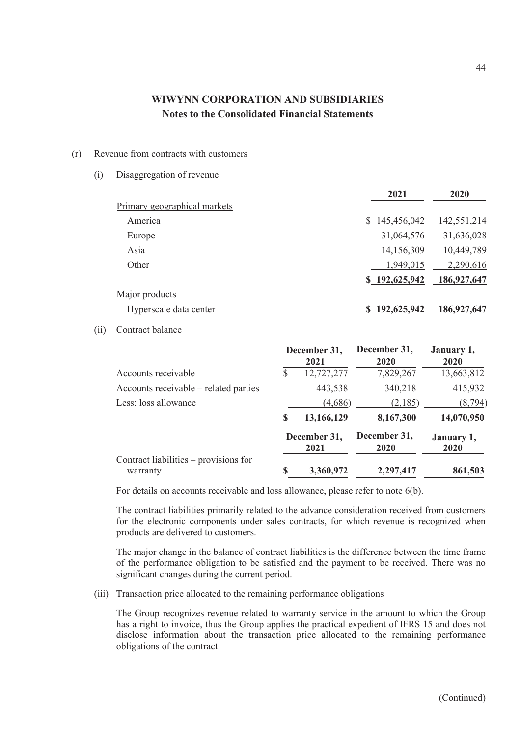#### (r) Revenue from contracts with customers

(i) Disaggregation of revenue

|                              | 2021          | 2020        |
|------------------------------|---------------|-------------|
| Primary geographical markets |               |             |
| America                      | \$145,456,042 | 142,551,214 |
| Europe                       | 31,064,576    | 31,636,028  |
| Asia                         | 14,156,309    | 10,449,789  |
| Other                        | 1,949,015     | 2,290,616   |
|                              | \$192,625,942 | 186,927,647 |
| Major products               |               |             |
| Hyperscale data center       | \$192,625,942 | 186,927,647 |

### (ii) Contract balance

|                                                   |                      | December 31,<br>2021 | December 31,<br>2020 | January 1,<br>2020 |
|---------------------------------------------------|----------------------|----------------------|----------------------|--------------------|
| Accounts receivable                               | \$                   | 12,727,277           | 7,829,267            | 13,663,812         |
| Accounts receivable – related parties             |                      | 443,538              | 340,218              | 415,932            |
| Less: loss allowance                              |                      | (4,686)              | (2,185)              | (8, 794)           |
|                                                   | S                    | 13,166,129           | 8,167,300            | 14,070,950         |
|                                                   | December 31,<br>2021 |                      | December 31,<br>2020 | January 1,<br>2020 |
| Contract liabilities – provisions for<br>warranty | S                    | 3,360,972            | 2,297,417            | 861,503            |

For details on accounts receivable and loss allowance, please refer to note 6(b).

The contract liabilities primarily related to the advance consideration received from customers for the electronic components under sales contracts, for which revenue is recognized when products are delivered to customers.

The major change in the balance of contract liabilities is the difference between the time frame of the performance obligation to be satisfied and the payment to be received. There was no significant changes during the current period.

(iii) Transaction price allocated to the remaining performance obligations

The Group recognizes revenue related to warranty service in the amount to which the Group has a right to invoice, thus the Group applies the practical expedient of IFRS 15 and does not disclose information about the transaction price allocated to the remaining performance obligations of the contract.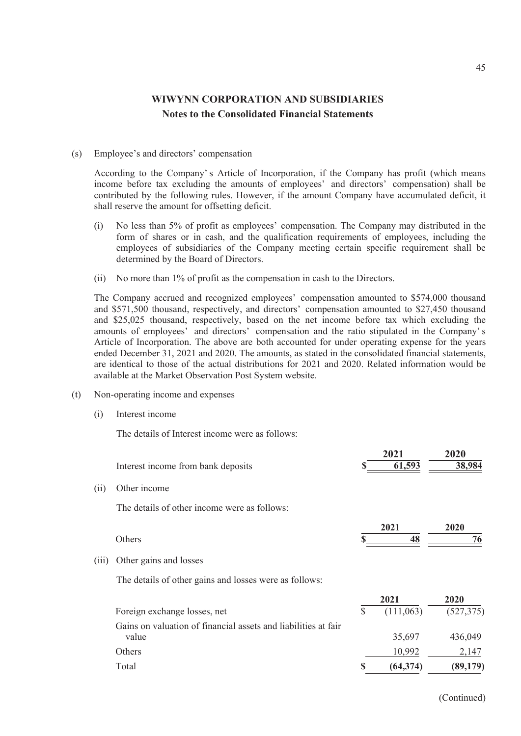#### (s) Employee's and directors' compensation

According to the Company' s Article of Incorporation, if the Company has profit (which means income before tax excluding the amounts of employees' and directors' compensation) shall be contributed by the following rules. However, if the amount Company have accumulated deficit, it shall reserve the amount for offsetting deficit.

- (i) No less than 5% of profit as employees' compensation. The Company may distributed in the form of shares or in cash, and the qualification requirements of employees, including the employees of subsidiaries of the Company meeting certain specific requirement shall be determined by the Board of Directors.
- (ii) No more than 1% of profit as the compensation in cash to the Directors.

The Company accrued and recognized employees' compensation amounted to \$574,000 thousand and \$571,500 thousand, respectively, and directors' compensation amounted to \$27,450 thousand and \$25,025 thousand, respectively, based on the net income before tax which excluding the amounts of employees' and directors' compensation and the ratio stipulated in the Company' s Article of Incorporation. The above are both accounted for under operating expense for the years ended December 31, 2021 and 2020. The amounts, as stated in the consolidated financial statements, are identical to those of the actual distributions for 2021 and 2020. Related information would be available at the Market Observation Post System website.

- (t) Non-operating income and expenses
	- (i) Interest income

The details of Interest income were as follows:

|       | Interest income from bank deposits                                      |              | 2021<br>61,593    | 2020<br>38,984     |
|-------|-------------------------------------------------------------------------|--------------|-------------------|--------------------|
| (ii)  | Other income                                                            |              |                   |                    |
|       | The details of other income were as follows:                            |              |                   |                    |
|       | Others                                                                  |              | 2021<br>48        | 2020<br>76         |
| (iii) | Other gains and losses                                                  |              |                   |                    |
|       | The details of other gains and losses were as follows:                  |              |                   |                    |
|       | Foreign exchange losses, net                                            | $\mathbb{S}$ | 2021<br>(111,063) | 2020<br>(527, 375) |
|       | Gains on valuation of financial assets and liabilities at fair<br>value |              | 35,697            | 436,049            |
|       | Others                                                                  |              | 10,992            | 2,147              |
|       | Total                                                                   |              | (64, 374)         | (89,179)           |

(Continued)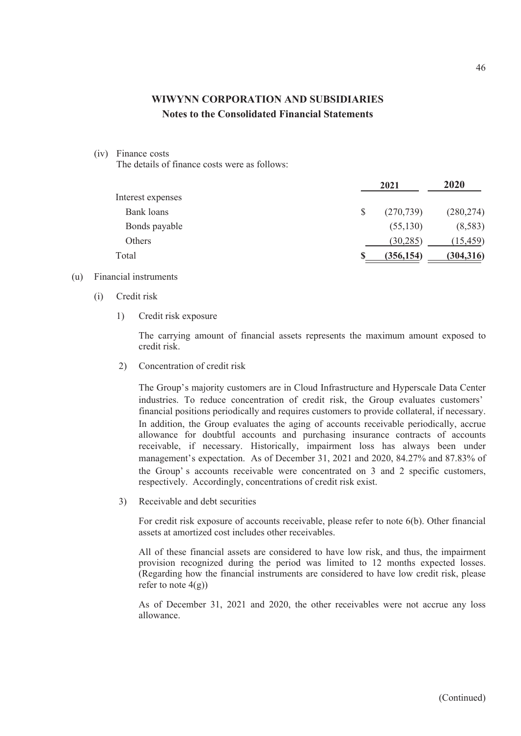#### (iv) Finance costs

The details of finance costs were as follows:

|                   |    | 2021       |            |  |
|-------------------|----|------------|------------|--|
| Interest expenses |    |            |            |  |
| Bank loans        | \$ | (270, 739) | (280, 274) |  |
| Bonds payable     |    | (55,130)   | (8,583)    |  |
| Others            |    | (30, 285)  | (15, 459)  |  |
| Total             | S  | (356, 154) | (304, 316) |  |

#### (u) Financial instruments

- (i) Credit risk
	- 1) Credit risk exposure

The carrying amount of financial assets represents the maximum amount exposed to credit risk.

2) Concentration of credit risk

The Group's majority customers are in Cloud Infrastructure and Hyperscale Data Center industries. To reduce concentration of credit risk, the Group evaluates customers' financial positions periodically and requires customers to provide collateral, if necessary. In addition, the Group evaluates the aging of accounts receivable periodically, accrue allowance for doubtful accounts and purchasing insurance contracts of accounts receivable, if necessary. Historically, impairment loss has always been under management's expectation. As of December 31, 2021 and 2020, 84.27% and 87.83% of the Group' s accounts receivable were concentrated on 3 and 2 specific customers, respectively. Accordingly, concentrations of credit risk exist.

3) Receivable and debt securities

For credit risk exposure of accounts receivable, please refer to note 6(b). Other financial assets at amortized cost includes other receivables.

All of these financial assets are considered to have low risk, and thus, the impairment provision recognized during the period was limited to 12 months expected losses. (Regarding how the financial instruments are considered to have low credit risk, please refer to note  $4(g)$ )

As of December 31, 2021 and 2020, the other receivables were not accrue any loss allowance.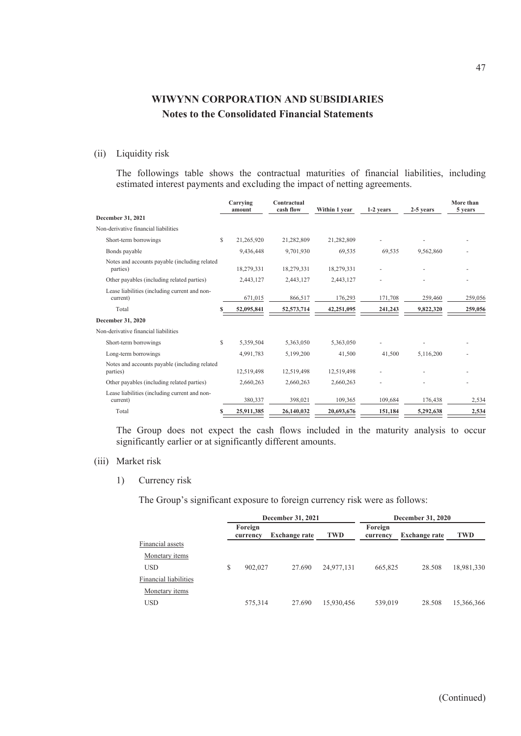### (ii) Liquidity risk

The followings table shows the contractual maturities of financial liabilities, including estimated interest payments and excluding the impact of netting agreements.

|                                                           |    | Carrying<br>amount | Contractual<br>cash flow | Within 1 year | 1-2 years | 2-5 years | More than<br>5 years |
|-----------------------------------------------------------|----|--------------------|--------------------------|---------------|-----------|-----------|----------------------|
| December 31, 2021                                         |    |                    |                          |               |           |           |                      |
| Non-derivative financial liabilities                      |    |                    |                          |               |           |           |                      |
| Short-term borrowings                                     | \$ | 21,265,920         | 21,282,809               | 21,282,809    |           |           |                      |
| Bonds payable                                             |    | 9,436,448          | 9,701,930                | 69,535        | 69,535    | 9,562,860 |                      |
| Notes and accounts payable (including related<br>parties) |    | 18,279,331         | 18,279,331               | 18,279,331    |           |           |                      |
| Other payables (including related parties)                |    | 2,443,127          | 2,443,127                | 2,443,127     |           |           |                      |
| Lease liabilities (including current and non-<br>current) |    | 671,015            | 866,517                  | 176,293       | 171,708   | 259,460   | 259,056              |
| Total                                                     |    | 52,095,841         | 52,573,714               | 42,251,095    | 241,243   | 9,822,320 | 259,056              |
| December 31, 2020                                         |    |                    |                          |               |           |           |                      |
| Non-derivative financial liabilities                      |    |                    |                          |               |           |           |                      |
| Short-term borrowings                                     | S  | 5,359,504          | 5,363,050                | 5,363,050     |           |           |                      |
| Long-term borrowings                                      |    | 4,991,783          | 5,199,200                | 41,500        | 41,500    | 5,116,200 |                      |
| Notes and accounts payable (including related<br>parties) |    | 12,519,498         | 12,519,498               | 12,519,498    |           |           |                      |
| Other payables (including related parties)                |    | 2,660,263          | 2,660,263                | 2,660,263     |           |           |                      |
| Lease liabilities (including current and non-<br>current) |    | 380,337            | 398,021                  | 109,365       | 109,684   | 176,438   | 2,534                |
| Total                                                     |    | 25,911,385         | 26,140,032               | 20,693,676    | 151,184   | 5,292,638 | 2,534                |

The Group does not expect the cash flows included in the maturity analysis to occur significantly earlier or at significantly different amounts.

#### (iii) Market risk

### 1) Currency risk

The Group's significant exposure to foreign currency risk were as follows:

|                       |   |                     | December 31, 2021    |            | <b>December 31, 2020</b> |                      |            |  |
|-----------------------|---|---------------------|----------------------|------------|--------------------------|----------------------|------------|--|
|                       |   | Foreign<br>currency | <b>Exchange rate</b> | <b>TWD</b> | Foreign<br>currency      | <b>Exchange rate</b> | <b>TWD</b> |  |
| Financial assets      |   |                     |                      |            |                          |                      |            |  |
| Monetary <i>items</i> |   |                     |                      |            |                          |                      |            |  |
| <b>USD</b>            | S | 902,027             | 27.690               | 24,977,131 | 665,825                  | 28.508               | 18,981,330 |  |
| Financial liabilities |   |                     |                      |            |                          |                      |            |  |
| Monetary items        |   |                     |                      |            |                          |                      |            |  |
| <b>USD</b>            |   | 575,314             | 27.690               | 15,930,456 | 539,019                  | 28.508               | 15,366,366 |  |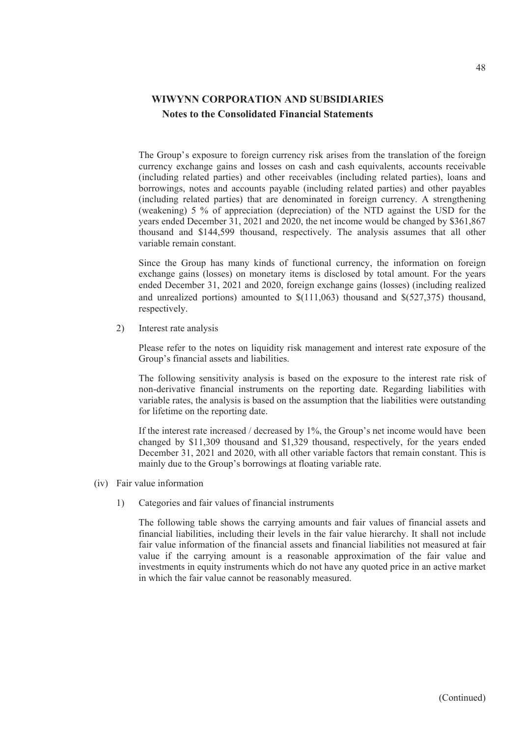The Group's exposure to foreign currency risk arises from the translation of the foreign currency exchange gains and losses on cash and cash equivalents, accounts receivable (including related parties) and other receivables (including related parties), loans and borrowings, notes and accounts payable (including related parties) and other payables (including related parties) that are denominated in foreign currency. A strengthening (weakening) 5 % of appreciation (depreciation) of the NTD against the USD for the years ended December 31, 2021 and 2020, the net income would be changed by \$361,867 thousand and \$144,599 thousand, respectively. The analysis assumes that all other variable remain constant.

Since the Group has many kinds of functional currency, the information on foreign exchange gains (losses) on monetary items is disclosed by total amount. For the years ended December 31, 2021 and 2020, foreign exchange gains (losses) (including realized and unrealized portions) amounted to  $\frac{111,063}{111,063}$  thousand and  $\frac{1527,375}{111,063}$  thousand, respectively.

2) Interest rate analysis

Please refer to the notes on liquidity risk management and interest rate exposure of the Group's financial assets and liabilities.

The following sensitivity analysis is based on the exposure to the interest rate risk of non-derivative financial instruments on the reporting date. Regarding liabilities with variable rates, the analysis is based on the assumption that the liabilities were outstanding for lifetime on the reporting date.

If the interest rate increased / decreased by 1%, the Group's net income would have been changed by \$11,309 thousand and \$1,329 thousand, respectively, for the years ended December 31, 2021 and 2020, with all other variable factors that remain constant. This is mainly due to the Group's borrowings at floating variable rate.

- (iv) Fair value information
	- 1) Categories and fair values of financial instruments

The following table shows the carrying amounts and fair values of financial assets and financial liabilities, including their levels in the fair value hierarchy. It shall not include fair value information of the financial assets and financial liabilities not measured at fair value if the carrying amount is a reasonable approximation of the fair value and investments in equity instruments which do not have any quoted price in an active market in which the fair value cannot be reasonably measured.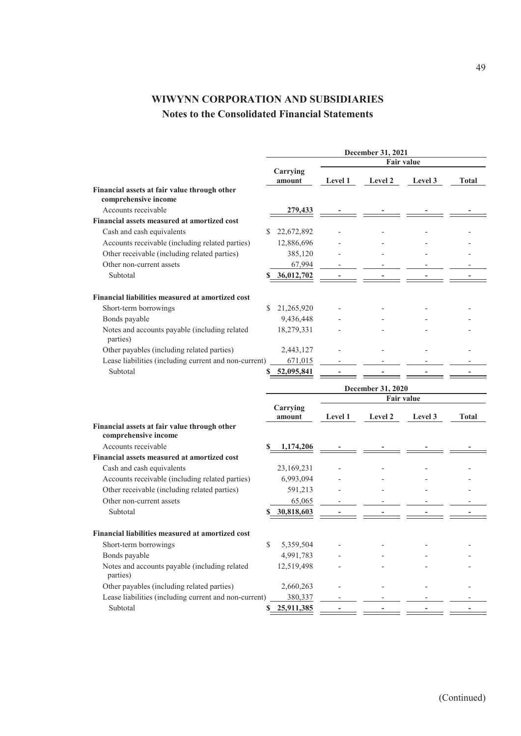| <b>Fair value</b><br>Carrying<br>Level 1<br>Level 2<br>Level 3<br>Total<br>amount<br>Financial assets at fair value through other<br>comprehensive income<br>Accounts receivable<br>279,433<br>Financial assets measured at amortized cost<br>Cash and cash equivalents<br>22,672,892<br>S<br>Accounts receivable (including related parties)<br>12,886,696<br>Other receivable (including related parties)<br>385,120<br>Other non-current assets<br>67,994<br>Subtotal<br>36,012,702<br>Financial liabilities measured at amortized cost<br>Short-term borrowings<br>21,265,920<br>S<br>Bonds payable<br>9,436,448<br>Notes and accounts payable (including related<br>18,279,331<br>parties)<br>Other payables (including related parties)<br>2,443,127<br>Lease liabilities (including current and non-current)<br>671,015<br>Subtotal<br>52,095,841<br>December 31, 2020<br><b>Fair value</b><br>Carrying<br>Level 1<br>Level 2<br>Level 3<br><b>Total</b><br>amount<br>Financial assets at fair value through other<br>comprehensive income<br>Accounts receivable<br>1,174,206<br>S<br>Financial assets measured at amortized cost<br>Cash and cash equivalents<br>23,169,231<br>Accounts receivable (including related parties)<br>6,993,094<br>Other receivable (including related parties)<br>591,213<br>Other non-current assets<br>65,065<br>Subtotal<br>30,818,603<br>S<br>Financial liabilities measured at amortized cost<br>Short-term borrowings<br>\$<br>5,359,504<br>Bonds payable<br>4,991,783<br>Notes and accounts payable (including related<br>12,519,498<br>parties)<br>Other payables (including related parties)<br>2,660,263<br>Lease liabilities (including current and non-current)<br>380,337<br>Subtotal<br>25,911,385 | December 31, 2021 |  |  |  |  |  |
|--------------------------------------------------------------------------------------------------------------------------------------------------------------------------------------------------------------------------------------------------------------------------------------------------------------------------------------------------------------------------------------------------------------------------------------------------------------------------------------------------------------------------------------------------------------------------------------------------------------------------------------------------------------------------------------------------------------------------------------------------------------------------------------------------------------------------------------------------------------------------------------------------------------------------------------------------------------------------------------------------------------------------------------------------------------------------------------------------------------------------------------------------------------------------------------------------------------------------------------------------------------------------------------------------------------------------------------------------------------------------------------------------------------------------------------------------------------------------------------------------------------------------------------------------------------------------------------------------------------------------------------------------------------------------------------------------------------------------------------------------------|-------------------|--|--|--|--|--|
|                                                                                                                                                                                                                                                                                                                                                                                                                                                                                                                                                                                                                                                                                                                                                                                                                                                                                                                                                                                                                                                                                                                                                                                                                                                                                                                                                                                                                                                                                                                                                                                                                                                                                                                                                        |                   |  |  |  |  |  |
|                                                                                                                                                                                                                                                                                                                                                                                                                                                                                                                                                                                                                                                                                                                                                                                                                                                                                                                                                                                                                                                                                                                                                                                                                                                                                                                                                                                                                                                                                                                                                                                                                                                                                                                                                        |                   |  |  |  |  |  |
|                                                                                                                                                                                                                                                                                                                                                                                                                                                                                                                                                                                                                                                                                                                                                                                                                                                                                                                                                                                                                                                                                                                                                                                                                                                                                                                                                                                                                                                                                                                                                                                                                                                                                                                                                        |                   |  |  |  |  |  |
|                                                                                                                                                                                                                                                                                                                                                                                                                                                                                                                                                                                                                                                                                                                                                                                                                                                                                                                                                                                                                                                                                                                                                                                                                                                                                                                                                                                                                                                                                                                                                                                                                                                                                                                                                        |                   |  |  |  |  |  |
|                                                                                                                                                                                                                                                                                                                                                                                                                                                                                                                                                                                                                                                                                                                                                                                                                                                                                                                                                                                                                                                                                                                                                                                                                                                                                                                                                                                                                                                                                                                                                                                                                                                                                                                                                        |                   |  |  |  |  |  |
|                                                                                                                                                                                                                                                                                                                                                                                                                                                                                                                                                                                                                                                                                                                                                                                                                                                                                                                                                                                                                                                                                                                                                                                                                                                                                                                                                                                                                                                                                                                                                                                                                                                                                                                                                        |                   |  |  |  |  |  |
|                                                                                                                                                                                                                                                                                                                                                                                                                                                                                                                                                                                                                                                                                                                                                                                                                                                                                                                                                                                                                                                                                                                                                                                                                                                                                                                                                                                                                                                                                                                                                                                                                                                                                                                                                        |                   |  |  |  |  |  |
|                                                                                                                                                                                                                                                                                                                                                                                                                                                                                                                                                                                                                                                                                                                                                                                                                                                                                                                                                                                                                                                                                                                                                                                                                                                                                                                                                                                                                                                                                                                                                                                                                                                                                                                                                        |                   |  |  |  |  |  |
|                                                                                                                                                                                                                                                                                                                                                                                                                                                                                                                                                                                                                                                                                                                                                                                                                                                                                                                                                                                                                                                                                                                                                                                                                                                                                                                                                                                                                                                                                                                                                                                                                                                                                                                                                        |                   |  |  |  |  |  |
|                                                                                                                                                                                                                                                                                                                                                                                                                                                                                                                                                                                                                                                                                                                                                                                                                                                                                                                                                                                                                                                                                                                                                                                                                                                                                                                                                                                                                                                                                                                                                                                                                                                                                                                                                        |                   |  |  |  |  |  |
|                                                                                                                                                                                                                                                                                                                                                                                                                                                                                                                                                                                                                                                                                                                                                                                                                                                                                                                                                                                                                                                                                                                                                                                                                                                                                                                                                                                                                                                                                                                                                                                                                                                                                                                                                        |                   |  |  |  |  |  |
|                                                                                                                                                                                                                                                                                                                                                                                                                                                                                                                                                                                                                                                                                                                                                                                                                                                                                                                                                                                                                                                                                                                                                                                                                                                                                                                                                                                                                                                                                                                                                                                                                                                                                                                                                        |                   |  |  |  |  |  |
|                                                                                                                                                                                                                                                                                                                                                                                                                                                                                                                                                                                                                                                                                                                                                                                                                                                                                                                                                                                                                                                                                                                                                                                                                                                                                                                                                                                                                                                                                                                                                                                                                                                                                                                                                        |                   |  |  |  |  |  |
|                                                                                                                                                                                                                                                                                                                                                                                                                                                                                                                                                                                                                                                                                                                                                                                                                                                                                                                                                                                                                                                                                                                                                                                                                                                                                                                                                                                                                                                                                                                                                                                                                                                                                                                                                        |                   |  |  |  |  |  |
|                                                                                                                                                                                                                                                                                                                                                                                                                                                                                                                                                                                                                                                                                                                                                                                                                                                                                                                                                                                                                                                                                                                                                                                                                                                                                                                                                                                                                                                                                                                                                                                                                                                                                                                                                        |                   |  |  |  |  |  |
|                                                                                                                                                                                                                                                                                                                                                                                                                                                                                                                                                                                                                                                                                                                                                                                                                                                                                                                                                                                                                                                                                                                                                                                                                                                                                                                                                                                                                                                                                                                                                                                                                                                                                                                                                        |                   |  |  |  |  |  |
|                                                                                                                                                                                                                                                                                                                                                                                                                                                                                                                                                                                                                                                                                                                                                                                                                                                                                                                                                                                                                                                                                                                                                                                                                                                                                                                                                                                                                                                                                                                                                                                                                                                                                                                                                        |                   |  |  |  |  |  |
|                                                                                                                                                                                                                                                                                                                                                                                                                                                                                                                                                                                                                                                                                                                                                                                                                                                                                                                                                                                                                                                                                                                                                                                                                                                                                                                                                                                                                                                                                                                                                                                                                                                                                                                                                        |                   |  |  |  |  |  |
|                                                                                                                                                                                                                                                                                                                                                                                                                                                                                                                                                                                                                                                                                                                                                                                                                                                                                                                                                                                                                                                                                                                                                                                                                                                                                                                                                                                                                                                                                                                                                                                                                                                                                                                                                        |                   |  |  |  |  |  |
|                                                                                                                                                                                                                                                                                                                                                                                                                                                                                                                                                                                                                                                                                                                                                                                                                                                                                                                                                                                                                                                                                                                                                                                                                                                                                                                                                                                                                                                                                                                                                                                                                                                                                                                                                        |                   |  |  |  |  |  |
|                                                                                                                                                                                                                                                                                                                                                                                                                                                                                                                                                                                                                                                                                                                                                                                                                                                                                                                                                                                                                                                                                                                                                                                                                                                                                                                                                                                                                                                                                                                                                                                                                                                                                                                                                        |                   |  |  |  |  |  |
|                                                                                                                                                                                                                                                                                                                                                                                                                                                                                                                                                                                                                                                                                                                                                                                                                                                                                                                                                                                                                                                                                                                                                                                                                                                                                                                                                                                                                                                                                                                                                                                                                                                                                                                                                        |                   |  |  |  |  |  |
|                                                                                                                                                                                                                                                                                                                                                                                                                                                                                                                                                                                                                                                                                                                                                                                                                                                                                                                                                                                                                                                                                                                                                                                                                                                                                                                                                                                                                                                                                                                                                                                                                                                                                                                                                        |                   |  |  |  |  |  |
|                                                                                                                                                                                                                                                                                                                                                                                                                                                                                                                                                                                                                                                                                                                                                                                                                                                                                                                                                                                                                                                                                                                                                                                                                                                                                                                                                                                                                                                                                                                                                                                                                                                                                                                                                        |                   |  |  |  |  |  |
|                                                                                                                                                                                                                                                                                                                                                                                                                                                                                                                                                                                                                                                                                                                                                                                                                                                                                                                                                                                                                                                                                                                                                                                                                                                                                                                                                                                                                                                                                                                                                                                                                                                                                                                                                        |                   |  |  |  |  |  |
|                                                                                                                                                                                                                                                                                                                                                                                                                                                                                                                                                                                                                                                                                                                                                                                                                                                                                                                                                                                                                                                                                                                                                                                                                                                                                                                                                                                                                                                                                                                                                                                                                                                                                                                                                        |                   |  |  |  |  |  |
|                                                                                                                                                                                                                                                                                                                                                                                                                                                                                                                                                                                                                                                                                                                                                                                                                                                                                                                                                                                                                                                                                                                                                                                                                                                                                                                                                                                                                                                                                                                                                                                                                                                                                                                                                        |                   |  |  |  |  |  |
|                                                                                                                                                                                                                                                                                                                                                                                                                                                                                                                                                                                                                                                                                                                                                                                                                                                                                                                                                                                                                                                                                                                                                                                                                                                                                                                                                                                                                                                                                                                                                                                                                                                                                                                                                        |                   |  |  |  |  |  |
|                                                                                                                                                                                                                                                                                                                                                                                                                                                                                                                                                                                                                                                                                                                                                                                                                                                                                                                                                                                                                                                                                                                                                                                                                                                                                                                                                                                                                                                                                                                                                                                                                                                                                                                                                        |                   |  |  |  |  |  |
|                                                                                                                                                                                                                                                                                                                                                                                                                                                                                                                                                                                                                                                                                                                                                                                                                                                                                                                                                                                                                                                                                                                                                                                                                                                                                                                                                                                                                                                                                                                                                                                                                                                                                                                                                        |                   |  |  |  |  |  |
|                                                                                                                                                                                                                                                                                                                                                                                                                                                                                                                                                                                                                                                                                                                                                                                                                                                                                                                                                                                                                                                                                                                                                                                                                                                                                                                                                                                                                                                                                                                                                                                                                                                                                                                                                        |                   |  |  |  |  |  |
|                                                                                                                                                                                                                                                                                                                                                                                                                                                                                                                                                                                                                                                                                                                                                                                                                                                                                                                                                                                                                                                                                                                                                                                                                                                                                                                                                                                                                                                                                                                                                                                                                                                                                                                                                        |                   |  |  |  |  |  |
|                                                                                                                                                                                                                                                                                                                                                                                                                                                                                                                                                                                                                                                                                                                                                                                                                                                                                                                                                                                                                                                                                                                                                                                                                                                                                                                                                                                                                                                                                                                                                                                                                                                                                                                                                        |                   |  |  |  |  |  |
|                                                                                                                                                                                                                                                                                                                                                                                                                                                                                                                                                                                                                                                                                                                                                                                                                                                                                                                                                                                                                                                                                                                                                                                                                                                                                                                                                                                                                                                                                                                                                                                                                                                                                                                                                        |                   |  |  |  |  |  |
|                                                                                                                                                                                                                                                                                                                                                                                                                                                                                                                                                                                                                                                                                                                                                                                                                                                                                                                                                                                                                                                                                                                                                                                                                                                                                                                                                                                                                                                                                                                                                                                                                                                                                                                                                        |                   |  |  |  |  |  |
|                                                                                                                                                                                                                                                                                                                                                                                                                                                                                                                                                                                                                                                                                                                                                                                                                                                                                                                                                                                                                                                                                                                                                                                                                                                                                                                                                                                                                                                                                                                                                                                                                                                                                                                                                        |                   |  |  |  |  |  |
|                                                                                                                                                                                                                                                                                                                                                                                                                                                                                                                                                                                                                                                                                                                                                                                                                                                                                                                                                                                                                                                                                                                                                                                                                                                                                                                                                                                                                                                                                                                                                                                                                                                                                                                                                        |                   |  |  |  |  |  |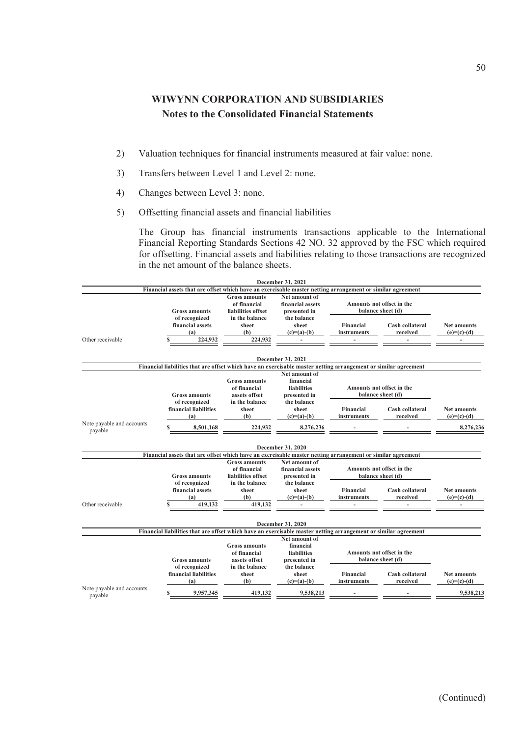- 2) Valuation techniques for financial instruments measured at fair value: none.
- 3) Transfers between Level 1 and Level 2: none.
- 4) Changes between Level 3: none.
- 5) Offsetting financial assets and financial liabilities

The Group has financial instruments transactions applicable to the International Financial Reporting Standards Sections 42 NO. 32 approved by the FSC which required for offsetting. Financial assets and liabilities relating to those transactions are recognized in the net amount of the balance sheets.

|                                      |                                                                                                                                    |                                                                         | December 31, 2021                                                               |                                 |                                                |                                     |
|--------------------------------------|------------------------------------------------------------------------------------------------------------------------------------|-------------------------------------------------------------------------|---------------------------------------------------------------------------------|---------------------------------|------------------------------------------------|-------------------------------------|
|                                      | Financial assets that are offset which have an exercisable master netting arrangement or similar agreement<br><b>Gross amounts</b> | <b>Gross amounts</b><br>of financial<br>liabilities offset              | Net amount of<br>financial assets<br>presented in                               |                                 | Amounts not offset in the<br>balance sheet (d) |                                     |
|                                      | of recognized<br>financial assets<br>(a)                                                                                           | in the balance<br>sheet<br>(b)                                          | the balance<br>sheet<br>$(c)=(a)-(b)$                                           | Financial<br>instruments        | Cash collateral<br>received                    | <b>Net amounts</b><br>$(e)=(c)-(d)$ |
| Other receivable                     | 224,932                                                                                                                            | 224,932                                                                 |                                                                                 | $\overline{a}$                  |                                                |                                     |
|                                      | Financial liabilities that are offset which have an exercisable master netting arrangement or similar agreement                    |                                                                         | December 31, 2021                                                               |                                 |                                                |                                     |
|                                      | <b>Gross amounts</b><br>of recognized                                                                                              | <b>Gross amounts</b><br>of financial<br>assets offset<br>in the balance | Net amount of<br>financial<br><b>liabilities</b><br>presented in<br>the balance |                                 | Amounts not offset in the<br>balance sheet (d) |                                     |
|                                      | financial liabilities<br>(a)                                                                                                       | sheet<br>(b)                                                            | sheet<br>$(c)=(a)-(b)$                                                          | Financial<br>instruments        | Cash collateral<br>received                    | <b>Net amounts</b><br>$(e)=(c)-(d)$ |
| Note payable and accounts<br>payable | 8,501,168                                                                                                                          | 224,932                                                                 | 8,276,236                                                                       |                                 |                                                | 8,276,236                           |
|                                      | Financial assets that are offset which have an exercisable master netting arrangement or similar agreement                         |                                                                         | <b>December 31, 2020</b>                                                        |                                 |                                                |                                     |
|                                      |                                                                                                                                    | <b>Gross amounts</b>                                                    | Net amount of                                                                   |                                 |                                                |                                     |
|                                      | <b>Gross amounts</b>                                                                                                               | of financial<br>liabilities offset                                      | financial assets<br>presented in                                                |                                 | Amounts not offset in the<br>balance sheet (d) |                                     |
|                                      | of recognized<br>financial assets<br>(a)                                                                                           | in the balance<br>sheet<br>(b)                                          | the balance<br>sheet<br>$(c)=(a)-(b)$                                           | <b>Financial</b><br>instruments | Cash collateral<br>received                    | <b>Net amounts</b><br>$(e)=(c)-(d)$ |
| Other receivable                     | 419,132                                                                                                                            | 419,132                                                                 |                                                                                 |                                 |                                                |                                     |
|                                      |                                                                                                                                    |                                                                         | December 31, 2020                                                               |                                 |                                                |                                     |
|                                      | Financial liabilities that are offset which have an exercisable master netting arrangement or similar agreement                    |                                                                         | Net amount of                                                                   |                                 |                                                |                                     |
|                                      | <b>Gross amounts</b>                                                                                                               | <b>Gross amounts</b><br>of financial<br>assets offset                   | financial<br><b>liabilities</b><br>presented in                                 |                                 | Amounts not offset in the<br>balance sheet (d) |                                     |
|                                      | of recognized<br>financial liabilities<br>(a)                                                                                      | in the balance<br>sheet<br>(b)                                          | the balance<br>sheet<br>$(c)=(a)-(b)$                                           | Financial<br>instruments        | Cash collateral<br>received                    | <b>Net amounts</b><br>$(e)=(c)-(d)$ |
| Note payable and accounts<br>payable | 9,957,345                                                                                                                          | 419,132                                                                 | 9,538,213                                                                       |                                 |                                                | 9.538.213                           |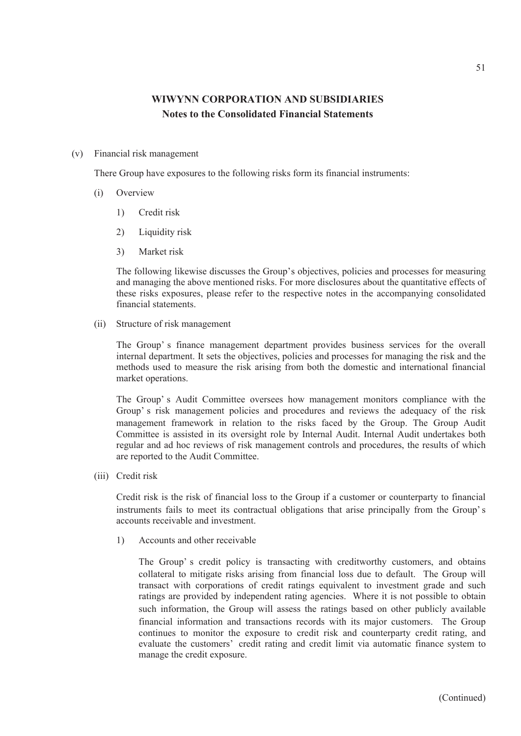(v) Financial risk management

There Group have exposures to the following risks form its financial instruments:

- (i) Overview
	- 1) Credit risk
	- 2) Liquidity risk
	- 3) Market risk

The following likewise discusses the Group's objectives, policies and processes for measuring and managing the above mentioned risks. For more disclosures about the quantitative effects of these risks exposures, please refer to the respective notes in the accompanying consolidated financial statements.

(ii) Structure of risk management

The Group' s finance management department provides business services for the overall internal department. It sets the objectives, policies and processes for managing the risk and the methods used to measure the risk arising from both the domestic and international financial market operations.

The Group' s Audit Committee oversees how management monitors compliance with the Group' s risk management policies and procedures and reviews the adequacy of the risk management framework in relation to the risks faced by the Group. The Group Audit Committee is assisted in its oversight role by Internal Audit. Internal Audit undertakes both regular and ad hoc reviews of risk management controls and procedures, the results of which are reported to the Audit Committee.

(iii) Credit risk

Credit risk is the risk of financial loss to the Group if a customer or counterparty to financial instruments fails to meet its contractual obligations that arise principally from the Group' s accounts receivable and investment.

1) Accounts and other receivable

The Group' s credit policy is transacting with creditworthy customers, and obtains collateral to mitigate risks arising from financial loss due to default. The Group will transact with corporations of credit ratings equivalent to investment grade and such ratings are provided by independent rating agencies. Where it is not possible to obtain such information, the Group will assess the ratings based on other publicly available financial information and transactions records with its major customers. The Group continues to monitor the exposure to credit risk and counterparty credit rating, and evaluate the customers' credit rating and credit limit via automatic finance system to manage the credit exposure.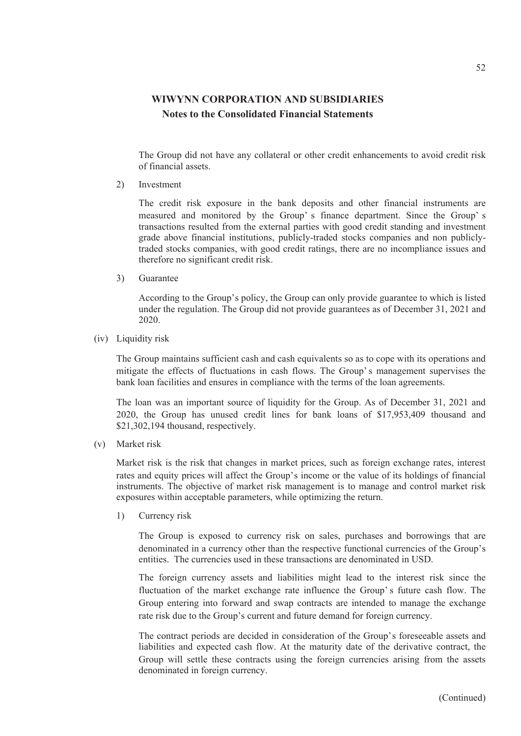The Group did not have any collateral or other credit enhancements to avoid credit risk of financial assets.

2) Investment

The credit risk exposure in the bank deposits and other financial instruments are measured and monitored by the Group' s finance department. Since the Group' s transactions resulted from the external parties with good credit standing and investment grade above financial institutions, publicly-traded stocks companies and non publiclytraded stocks companies, with good credit ratings, there are no incompliance issues and therefore no significant credit risk.

3) Guarantee

According to the Group's policy, the Group can only provide guarantee to which is listed under the regulation. The Group did not provide guarantees as of December 31, 2021 and 2020.

(iv) Liquidity risk

The Group maintains sufficient cash and cash equivalents so as to cope with its operations and mitigate the effects of fluctuations in cash flows. The Group's management supervises the bank loan facilities and ensures in compliance with the terms of the loan agreements.

The loan was an important source of liquidity for the Group. As of December 31, 2021 and 2020, the Group has unused credit lines for bank loans of \$17,953,409 thousand and \$21,302,194 thousand, respectively.

(v) Market risk

Market risk is the risk that changes in market prices, such as foreign exchange rates, interest rates and equity prices will affect the Group's income or the value of its holdings of financial instruments. The objective of market risk management is to manage and control market risk exposures within acceptable parameters, while optimizing the return.

1) Currency risk

The Group is exposed to currency risk on sales, purchases and borrowings that are denominated in a currency other than the respective functional currencies of the Group's entities. The currencies used in these transactions are denominated in USD.

The foreign currency assets and liabilities might lead to the interest risk since the fluctuation of the market exchange rate influence the Group's future cash flow. The Group entering into forward and swap contracts are intended to manage the exchange rate risk due to the Group's current and future demand for foreign currency.

The contract periods are decided in consideration of the Group's foreseeable assets and liabilities and expected cash flow. At the maturity date of the derivative contract, the Group will settle these contracts using the foreign currencies arising from the assets denominated in foreign currency.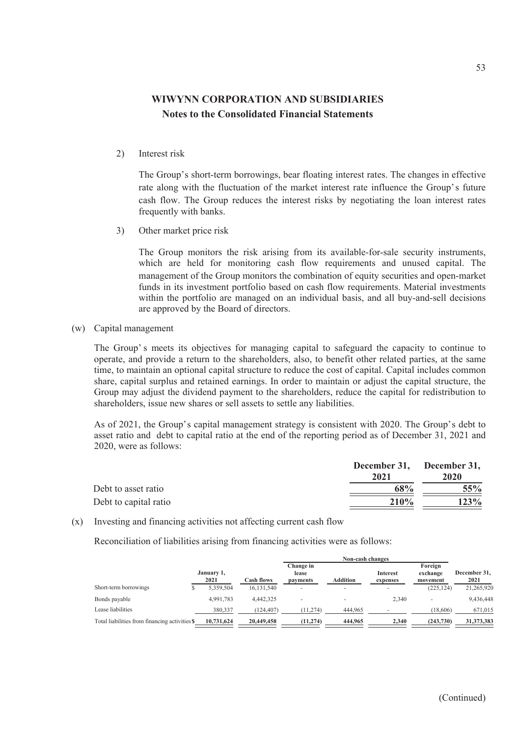2) Interest risk

The Group's short-term borrowings, bear floating interest rates. The changes in effective rate along with the fluctuation of the market interest rate influence the Group's future cash flow. The Group reduces the interest risks by negotiating the loan interest rates frequently with banks.

3) Other market price risk

The Group monitors the risk arising from its available-for-sale security instruments, which are held for monitoring cash flow requirements and unused capital. The management of the Group monitors the combination of equity securities and open-market funds in its investment portfolio based on cash flow requirements. Material investments within the portfolio are managed on an individual basis, and all buy-and-sell decisions are approved by the Board of directors.

(w) Capital management

The Group' s meets its objectives for managing capital to safeguard the capacity to continue to operate, and provide a return to the shareholders, also, to benefit other related parties, at the same time, to maintain an optional capital structure to reduce the cost of capital. Capital includes common share, capital surplus and retained earnings. In order to maintain or adjust the capital structure, the Group may adjust the dividend payment to the shareholders, reduce the capital for redistribution to shareholders, issue new shares or sell assets to settle any liabilities.

As of 2021, the Group's capital management strategy is consistent with 2020. The Group's debt to asset ratio and debt to capital ratio at the end of the reporting period as of December 31, 2021 and 2020, were as follows:

|                       | December 31, December 31,<br>2021 | 2020   |
|-----------------------|-----------------------------------|--------|
| Debt to asset ratio   | 68 <sup>%</sup>                   | $55\%$ |
| Debt to capital ratio | <b>210%</b>                       | 123%   |

(x) Investing and financing activities not affecting current cash flow

Reconciliation of liabilities arising from financing activities were as follows:

|                                                | <b>Non-cash changes</b> |                   |                    |                 |                 |                     |              |
|------------------------------------------------|-------------------------|-------------------|--------------------|-----------------|-----------------|---------------------|--------------|
|                                                | January 1,              |                   | Change in<br>lease |                 | <b>Interest</b> | Foreign<br>exchange | December 31, |
|                                                | 2021                    | <b>Cash flows</b> | payments           | <b>Addition</b> | expenses        | movement            | 2021         |
| Short-term borrowings                          | 5.359.504               | 16, 131, 540      | -                  | <b>.</b>        | -               | (225, 124)          | 21,265,920   |
| Bonds payable                                  | 4.991.783               | 4,442,325         |                    |                 | 2,340           |                     | 9,436,448    |
| Lease liabilities                              | 380,337                 | (124, 407)        | (11, 274)          | 444,965         |                 | (18,606)            | 671,015      |
| Total liabilities from financing activities \$ | 10,731,624              | 20,449,458        | (11, 274)          | 444,965         | 2,340           | (243,730)           | 31,373,383   |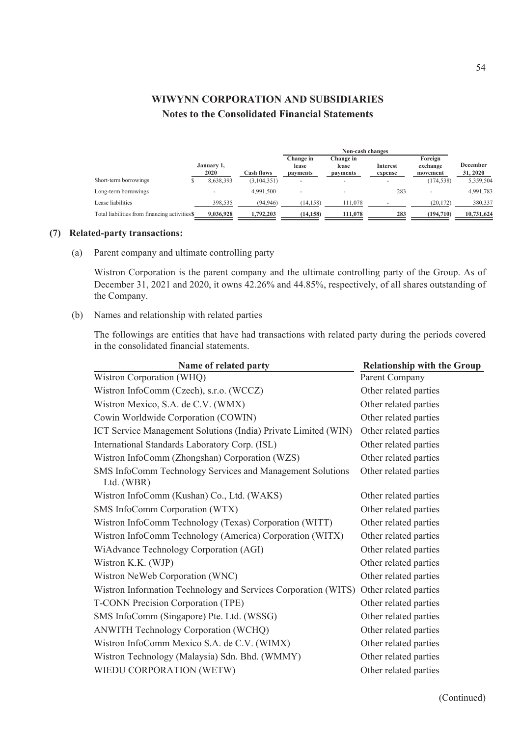|                                                |                    |               | Non-cash changes               |                                       |                     |                                 |                      |
|------------------------------------------------|--------------------|---------------|--------------------------------|---------------------------------------|---------------------|---------------------------------|----------------------|
|                                                | January 1,<br>2020 | Cash flows    | Change in<br>lease<br>payments | Change in<br>lease<br><i>payments</i> | Interest<br>expense | Foreign<br>exchange<br>movement | December<br>31, 2020 |
| Short-term borrowings                          | 8.638.393          | (3, 104, 351) |                                | -                                     |                     | (174, 538)                      | 5,359,504            |
| Long-term borrowings                           | -                  | 4,991,500     |                                |                                       | 283                 | -                               | 4,991,783            |
| Lease liabilities                              | 398,535            | (94, 946)     | (14, 158)                      | 111.078                               |                     | (20, 172)                       | 380,337              |
| Total liabilities from financing activities \$ | 9,036,928          | 1,792,203     | (14, 158)                      | 111,078                               | 283                 | (194,710)                       | 10,731,624           |

#### **(7) Related-party transactions:**

(a) Parent company and ultimate controlling party

Wistron Corporation is the parent company and the ultimate controlling party of the Group. As of December 31, 2021 and 2020, it owns 42.26% and 44.85%, respectively, of all shares outstanding of the Company.

(b) Names and relationship with related parties

The followings are entities that have had transactions with related party during the periods covered in the consolidated financial statements.

| Name of related party                                                   | <b>Relationship with the Group</b> |
|-------------------------------------------------------------------------|------------------------------------|
| Wistron Corporation (WHQ)                                               | Parent Company                     |
| Wistron InfoComm (Czech), s.r.o. (WCCZ)                                 | Other related parties              |
| Wistron Mexico, S.A. de C.V. (WMX)                                      | Other related parties              |
| Cowin Worldwide Corporation (COWIN)                                     | Other related parties              |
| ICT Service Management Solutions (India) Private Limited (WIN)          | Other related parties              |
| International Standards Laboratory Corp. (ISL)                          | Other related parties              |
| Wistron InfoComm (Zhongshan) Corporation (WZS)                          | Other related parties              |
| SMS InfoComm Technology Services and Management Solutions<br>Ltd. (WBR) | Other related parties              |
| Wistron InfoComm (Kushan) Co., Ltd. (WAKS)                              | Other related parties              |
| SMS InfoComm Corporation (WTX)                                          | Other related parties              |
| Wistron InfoComm Technology (Texas) Corporation (WITT)                  | Other related parties              |
| Wistron InfoComm Technology (America) Corporation (WITX)                | Other related parties              |
| WiAdvance Technology Corporation (AGI)                                  | Other related parties              |
| Wistron K.K. (WJP)                                                      | Other related parties              |
| Wistron NeWeb Corporation (WNC)                                         | Other related parties              |
| Wistron Information Technology and Services Corporation (WITS)          | Other related parties              |
| T-CONN Precision Corporation (TPE)                                      | Other related parties              |
| SMS InfoComm (Singapore) Pte. Ltd. (WSSG)                               | Other related parties              |
| <b>ANWITH Technology Corporation (WCHQ)</b>                             | Other related parties              |
| Wistron InfoComm Mexico S.A. de C.V. (WIMX)                             | Other related parties              |
| Wistron Technology (Malaysia) Sdn. Bhd. (WMMY)                          | Other related parties              |
| WIEDU CORPORATION (WETW)                                                | Other related parties              |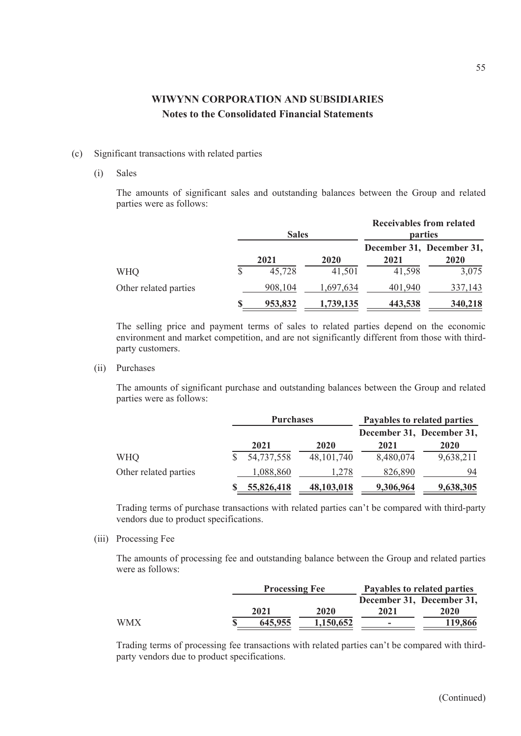### (c) Significant transactions with related parties

#### (i) Sales

The amounts of significant sales and outstanding balances between the Group and related parties were as follows:

|                       |   | <b>Sales</b> |           |         | <b>Receivables from related</b><br>parties |
|-----------------------|---|--------------|-----------|---------|--------------------------------------------|
|                       |   | 2021         | 2020      | 2021    | December 31, December 31,<br>2020          |
| <b>WHQ</b>            | S | 45,728       | 41,501    | 41,598  | 3,075                                      |
| Other related parties |   | 908,104      | 1,697,634 | 401,940 | 337,143                                    |
|                       |   | 953,832      | 1,739,135 | 443,538 | 340,218                                    |

The selling price and payment terms of sales to related parties depend on the economic environment and market competition, and are not significantly different from those with thirdparty customers.

(ii) Purchases

The amounts of significant purchase and outstanding balances between the Group and related parties were as follows:

|                       | <b>Purchases</b> |              | Payables to related parties |                           |  |
|-----------------------|------------------|--------------|-----------------------------|---------------------------|--|
|                       |                  |              |                             | December 31, December 31, |  |
|                       | 2021             | 2020         | 2021                        | <b>2020</b>               |  |
| <b>WHQ</b>            | 54,737,558       | 48, 101, 740 | 8,480,074                   | 9,638,211                 |  |
| Other related parties | 1,088,860        | 1.278        | 826,890                     | 94                        |  |
|                       | 55,826,418       | 48, 103, 018 | 9,306,964                   | 9,638,305                 |  |

Trading terms of purchase transactions with related parties can't be compared with third-party vendors due to product specifications.

(iii) Processing Fee

The amounts of processing fee and outstanding balance between the Group and related parties were as follows:

|            |         | <b>Processing Fee</b> |      | Payables to related parties |
|------------|---------|-----------------------|------|-----------------------------|
|            |         |                       |      | December 31, December 31,   |
|            | 2021    | 2020                  | 2021 | 2020                        |
| <b>WMX</b> | 645.955 | 1,150,652             | ۰    | 119,866                     |

Trading terms of processing fee transactions with related parties can't be compared with thirdparty vendors due to product specifications.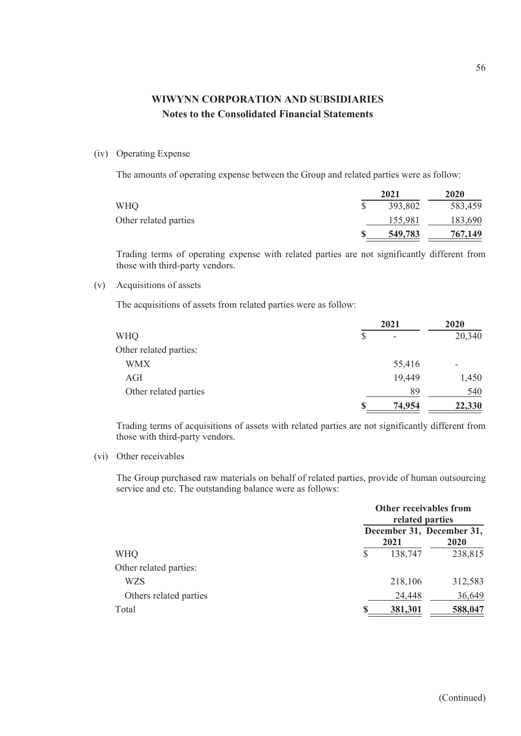### (iv) Operating Expense

The amounts of operating expense between the Group and related parties were as follow:

|                       | 2021    | 2020    |
|-----------------------|---------|---------|
| <b>WHQ</b>            | 393,802 | 583,459 |
| Other related parties | 155,981 | 183,690 |
|                       | 549,783 | 767,149 |

Trading terms of operating expense with related parties are not significantly different from those with third-party vendors.

### (v) Acquisitions of assets

The acquisitions of assets from related parties were as follow:

|                        |          | 2021                     |        |  |
|------------------------|----------|--------------------------|--------|--|
| <b>WHQ</b>             | \$       | $\overline{\phantom{a}}$ | 20,340 |  |
| Other related parties: |          |                          |        |  |
| <b>WMX</b>             |          | 55,416                   |        |  |
| AGI                    |          | 19,449                   | 1,450  |  |
| Other related parties  |          | 89                       | 540    |  |
|                        | <b>S</b> | 74,954                   | 22,330 |  |

Trading terms of acquisitions of assets with related parties are not significantly different from those with third-party vendors.

### (vi) Other receivables

The Group purchased raw materials on behalf of related parties, provide of human outsourcing service and etc. The outstanding balance were as follows:

|                        | Other receivables from<br>related parties |         |                                   |  |
|------------------------|-------------------------------------------|---------|-----------------------------------|--|
|                        |                                           | 2021    | December 31, December 31,<br>2020 |  |
| <b>WHQ</b>             | S                                         | 138,747 | 238,815                           |  |
| Other related parties: |                                           |         |                                   |  |
| <b>WZS</b>             |                                           | 218,106 | 312,583                           |  |
| Others related parties |                                           | 24,448  | 36,649                            |  |
| Total                  |                                           | 381,301 | 588,047                           |  |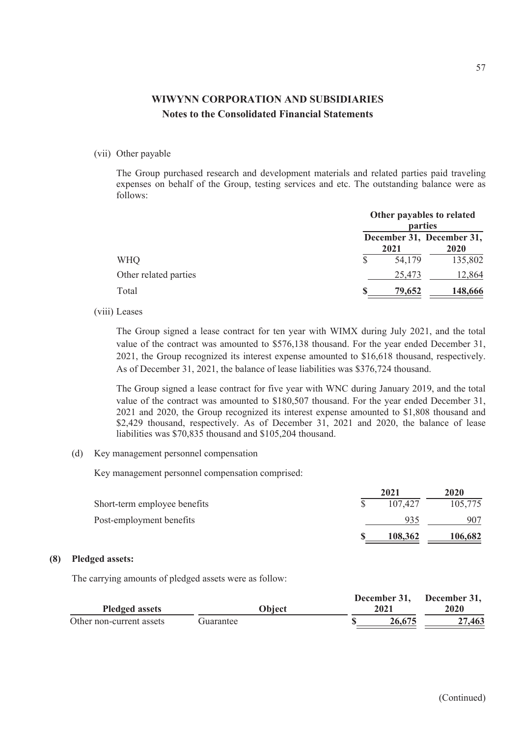#### (vii) Other payable

The Group purchased research and development materials and related parties paid traveling expenses on behalf of the Group, testing services and etc. The outstanding balance were as follows:

|                       |   | Other payables to related<br>parties |                                   |  |  |
|-----------------------|---|--------------------------------------|-----------------------------------|--|--|
|                       |   | 2021                                 | December 31, December 31,<br>2020 |  |  |
| <b>WHQ</b>            |   | 54,179                               | 135,802                           |  |  |
| Other related parties |   | 25,473                               | 12,864                            |  |  |
| Total                 | S | 79,652                               | 148,666                           |  |  |

(viii) Leases

The Group signed a lease contract for ten year with WIMX during July 2021, and the total value of the contract was amounted to \$576,138 thousand. For the year ended December 31, 2021, the Group recognized its interest expense amounted to \$16,618 thousand, respectively. As of December 31, 2021, the balance of lease liabilities was \$376,724 thousand.

The Group signed a lease contract for five year with WNC during January 2019, and the total value of the contract was amounted to \$180,507 thousand. For the year ended December 31, 2021 and 2020, the Group recognized its interest expense amounted to \$1,808 thousand and \$2,429 thousand, respectively. As of December 31, 2021 and 2020, the balance of lease liabilities was \$70,835 thousand and \$105,204 thousand.

(d) Key management personnel compensation

Key management personnel compensation comprised:

|                              | 2021    | 2020    |
|------------------------------|---------|---------|
| Short-term employee benefits | 107.427 | 105,775 |
| Post-employment benefits     | 935     | 907     |
|                              | 108.362 | 106,682 |

### **(8) Pledged assets:**

The carrying amounts of pledged assets were as follow:

|                          |           | December 31. | December 31,<br>2020 |
|--------------------------|-----------|--------------|----------------------|
| <b>Pledged assets</b>    | Obiect    | 2021         |                      |
| Other non-current assets | Guarantee | 26.675       | 27,463               |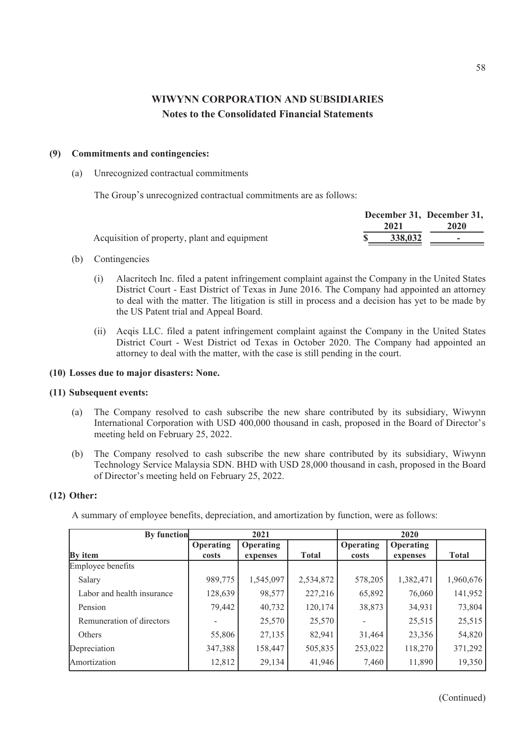### **(9) Commitments and contingencies:**

(a) Unrecognized contractual commitments

The Group's unrecognized contractual commitments are as follows:

|                                              | December 31, December 31, |        |
|----------------------------------------------|---------------------------|--------|
|                                              | 2021                      | 2020   |
| Acquisition of property, plant and equipment | 338,032                   | $\sim$ |

### (b) Contingencies

- (i) Alacritech Inc. filed a patent infringement complaint against the Company in the United States District Court - East District of Texas in June 2016. The Company had appointed an attorney to deal with the matter. The litigation is still in process and a decision has yet to be made by the US Patent trial and Appeal Board.
- (ii) Acqis LLC. filed a patent infringement complaint against the Company in the United States District Court - West District od Texas in October 2020. The Company had appointed an attorney to deal with the matter, with the case is still pending in the court.

### **(10) Losses due to major disasters: None.**

#### **(11) Subsequent events:**

- (a) The Company resolved to cash subscribe the new share contributed by its subsidiary, Wiwynn International Corporation with USD 400,000 thousand in cash, proposed in the Board of Director's meeting held on February 25, 2022.
- (b) The Company resolved to cash subscribe the new share contributed by its subsidiary, Wiwynn Technology Service Malaysia SDN. BHD with USD 28,000 thousand in cash, proposed in the Board of Director's meeting held on February 25, 2022.

### **(12) Other:**

A summary of employee benefits, depreciation, and amortization by function, were as follows:

| By function                |           | 2021             |              |                  | 2020      |              |
|----------------------------|-----------|------------------|--------------|------------------|-----------|--------------|
|                            | Operating | <b>Operating</b> |              | <b>Operating</b> | Operating |              |
| <b>By</b> item             | costs     | expenses         | <b>Total</b> | costs            | expenses  | <b>Total</b> |
| Employee benefits          |           |                  |              |                  |           |              |
| Salary                     | 989,775   | 1,545,097        | 2,534,872    | 578,205          | 1,382,471 | 1,960,676    |
| Labor and health insurance | 128,639   | 98,577           | 227,216      | 65,892           | 76,060    | 141,952      |
| Pension                    | 79,442    | 40,732           | 120,174      | 38,873           | 34,931    | 73,804       |
| Remuneration of directors  |           | 25,570           | 25,570       |                  | 25,515    | 25,515       |
| Others                     | 55,806    | 27,135           | 82,941       | 31,464           | 23,356    | 54,820       |
| Depreciation               | 347,388   | 158,447          | 505,835      | 253,022          | 118,270   | 371,292      |
| Amortization               | 12,812    | 29,134           | 41,946       | 7,460            | 11,890    | 19,350       |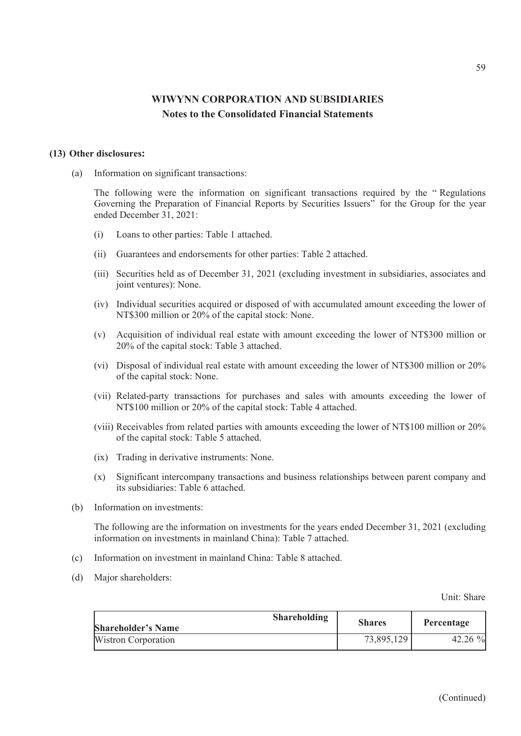#### **(13) Other disclosures:**

(a) Information on significant transactions:

The following were the information on significant transactions required by the " Regulations Governing the Preparation of Financial Reports by Securities Issuers" for the Group for the year ended December 31, 2021:

- (i) Loans to other parties: Table 1 attached.
- (ii) Guarantees and endorsements for other parties: Table 2 attached.
- (iii) Securities held as of December 31, 2021 (excluding investment in subsidiaries, associates and joint ventures): None.
- (iv) Individual securities acquired or disposed of with accumulated amount exceeding the lower of NT\$300 million or 20% of the capital stock: None.
- (v) Acquisition of individual real estate with amount exceeding the lower of NT\$300 million or 20% of the capital stock: Table 3 attached.
- (vi) Disposal of individual real estate with amount exceeding the lower of NT\$300 million or 20% of the capital stock: None.
- (vii) Related-party transactions for purchases and sales with amounts exceeding the lower of NT\$100 million or 20% of the capital stock: Table 4 attached.
- (viii) Receivables from related parties with amounts exceeding the lower of NT\$100 million or 20% of the capital stock: Table 5 attached.
- (ix) Trading in derivative instruments: None.
- (x) Significant intercompany transactions and business relationships between parent company and its subsidiaries: Table 6 attached.
- (b) Information on investments:

The following are the information on investments for the years ended December 31, 2021 (excluding information on investments in mainland China): Table 7 attached.

- (c) Information on investment in mainland China: Table 8 attached.
- (d) Major shareholders:

Unit: Share

| <b>Shareholding</b><br><b>Shareholder's Name</b> | <b>Shares</b> | Percentage |
|--------------------------------------------------|---------------|------------|
| Wistron Corporation                              | 73,895,129    | $42.26\%$  |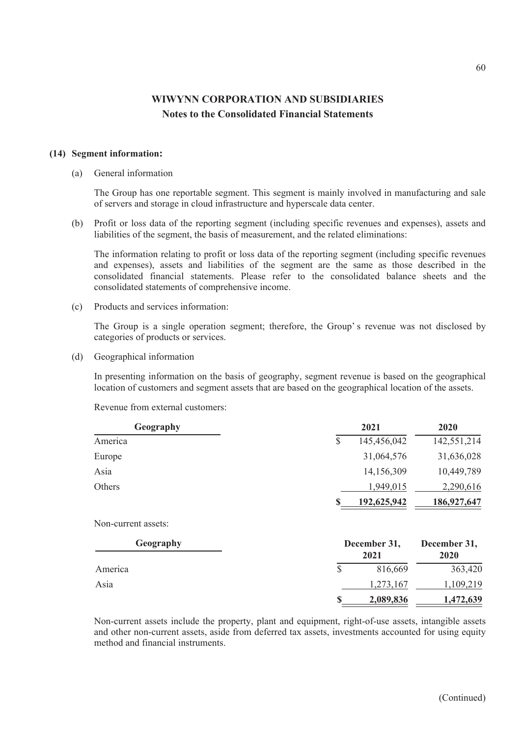#### **(14) Segment information:**

#### (a) General information

The Group has one reportable segment. This segment is mainly involved in manufacturing and sale of servers and storage in cloud infrastructure and hyperscale data center.

(b) Profit or loss data of the reporting segment (including specific revenues and expenses), assets and liabilities of the segment, the basis of measurement, and the related eliminations:

The information relating to profit or loss data of the reporting segment (including specific revenues and expenses), assets and liabilities of the segment are the same as those described in the consolidated financial statements. Please refer to the consolidated balance sheets and the consolidated statements of comprehensive income.

(c) Products and services information:

The Group is a single operation segment; therefore, the Group's revenue was not disclosed by categories of products or services.

(d) Geographical information

In presenting information on the basis of geography, segment revenue is based on the geographical location of customers and segment assets that are based on the geographical location of the assets.

Revenue from external customers:

| Geography | 2021        | 2020        |
|-----------|-------------|-------------|
| America   | 145,456,042 | 142,551,214 |
| Europe    | 31,064,576  | 31,636,028  |
| Asia      | 14,156,309  | 10,449,789  |
| Others    | 1,949,015   | 2,290,616   |
|           | 192,625,942 | 186,927,647 |

Non-current assets:

| Geography | December 31,<br>2021 | December 31,<br>2020 |
|-----------|----------------------|----------------------|
| America   | 816,669              | 363,420              |
| Asia      | 1,273,167            | 1,109,219            |
|           | 2,089,836            | 1,472,639            |

Non-current assets include the property, plant and equipment, right-of-use assets, intangible assets and other non-current assets, aside from deferred tax assets, investments accounted for using equity method and financial instruments.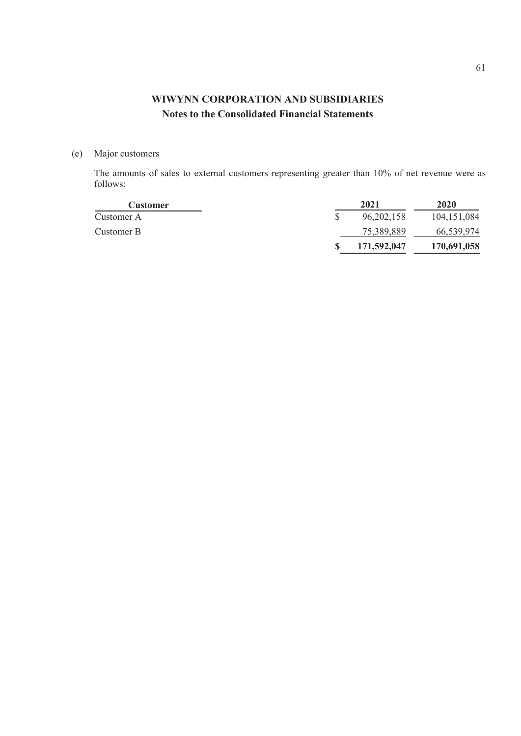(e) Major customers

The amounts of sales to external customers representing greater than 10% of net revenue were as follows:

| <b>Customer</b> | 2021         | 2020          |
|-----------------|--------------|---------------|
| Customer A      | 96, 202, 158 | 104, 151, 084 |
| Customer B      | 75,389,889   | 66,539,974    |
|                 | 171,592,047  | 170,691,058   |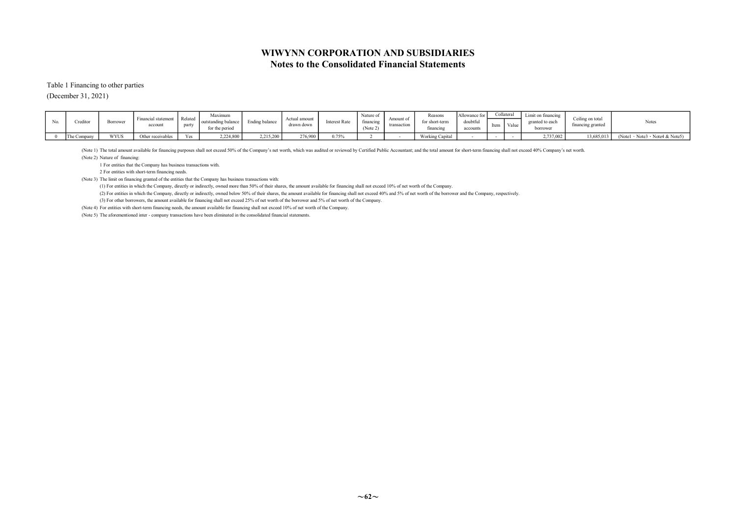Table 1 Financing to other parties

(December 31, 2021)

|  | Credito     | Borrower | Financial statement<br>account | Related<br>party | Maximum<br>outstanding balance<br>for the period | Ending balance | Actual amount<br>drawn down | <b>Interest Rate</b> | Nature of<br>financing<br>(Note 2) | Amount of<br>transaction | Reasons<br>financing | Allowance for<br>doubtful<br>accounts | Item | Collateral<br>Value | Limit on financing<br>borrower | Ceiling on total<br>financing granted | Notes                                                    |
|--|-------------|----------|--------------------------------|------------------|--------------------------------------------------|----------------|-----------------------------|----------------------|------------------------------------|--------------------------|----------------------|---------------------------------------|------|---------------------|--------------------------------|---------------------------------------|----------------------------------------------------------|
|  | The Company | WYUS     | Other receivables              | Yes              | 2,224,800                                        | 2,215,200      | 276,900                     | 0.75%                |                                    |                          | Working Capital      |                                       |      |                     | 2,737,002                      |                                       | $13,685,013$ (Notel $\cdot$ Notes $\cdot$ Notes & Notes) |

(Note 1) The total amount available for financing purposes shall not exceed 50% of the Company's net worth, which was audited or reviewed by Certified Public Accountant; and the total amount for short-term financing shall

(Note 2) Nature of financing:

1 For entities that the Company has business transactions with.

2 For entities with short-term financing needs.

(Note 3) The limit on financing granted of the entities that the Company has business transactions with:

(1) For entities in which the Company, directly or indirectly, owned more than 50% of their shares, the amount available for financing shall not exceed 10% of net worth of the Company.

(2) For entities in which the Company, directly or indirectly, owned below 50% of their shares, the amount available for financing shall not exceed 40% and 5% of net worth of the borrower and the Company, respectively.

(3) For other borrowers, the amount available for financing shall not exceed 25% of net worth of the borrower and 5% of net worth of the Company.

(Note 4) For entities with short-term financing needs, the amount available for financing shall not exceed 10% of net worth of the Company.

(Note 5) The aforementioned inter - company transactions have been eliminated in the consolidated financial statements.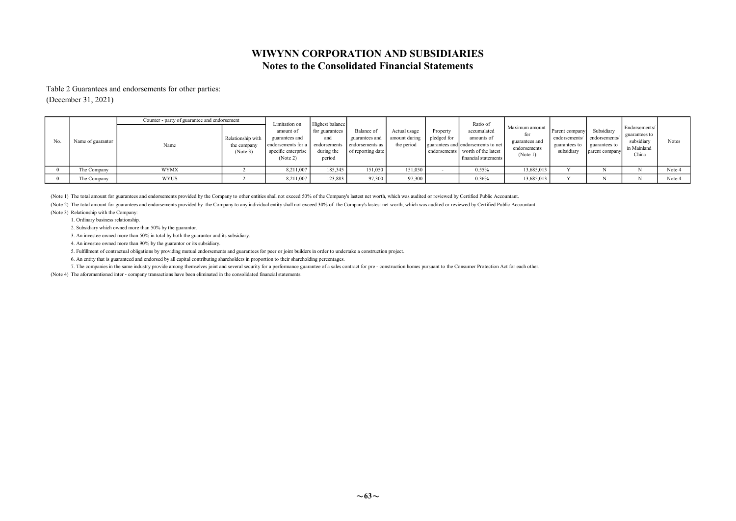### Notes to the Consolidated Financial Statements WIWYNN CORPORATION AND SUBSIDIARIES

#### Table 2 Guarantees and endorsements for other parties:

(December 31, 2021)

|     |                   | Counter - party of guarantee and endorsement |                                              | Limitation on                                                                        | Highest balance                                               |                                                                      |                                             |                                         | Ratio of                                                                                                       |                                                                     |                                                                |                                                                |                                                                      |        |
|-----|-------------------|----------------------------------------------|----------------------------------------------|--------------------------------------------------------------------------------------|---------------------------------------------------------------|----------------------------------------------------------------------|---------------------------------------------|-----------------------------------------|----------------------------------------------------------------------------------------------------------------|---------------------------------------------------------------------|----------------------------------------------------------------|----------------------------------------------------------------|----------------------------------------------------------------------|--------|
| No. | Name of guarantor | Name                                         | Relationship with<br>the company<br>(Note 3) | amount of<br>guarantees and<br>endorsements for a<br>specific enterprise<br>(Note 2) | for guarantees<br>and<br>endorsements<br>during the<br>period | Balance of<br>guarantees and<br>endorsements as<br>of reporting date | Actual usage<br>amount during<br>the period | Property<br>pledged for<br>endorsements | accumulated<br>amounts of<br>guarantees and endorsements to net<br>worth of the latest<br>financial statements | Maximum amount<br>for<br>guarantees and<br>endorsements<br>(Note 1) | Parent company<br>endorsements/<br>guarantees to<br>subsidiary | Subsidiary<br>endorsements/<br>guarantees to<br>parent company | Endorsements/<br>guarantees to<br>subsidiary<br>in Mainland<br>China | Notes  |
|     | The Company       | <b>WYMX</b>                                  |                                              | 8,211,007                                                                            | 185,345                                                       | 151,050                                                              | 151,050                                     |                                         | 0.55%                                                                                                          | 13,685,013                                                          |                                                                |                                                                |                                                                      | Note 4 |
|     | The Company       | <b>WYUS</b>                                  |                                              | 8,211,007                                                                            | 123,883                                                       | 97,300                                                               | 97,300                                      |                                         | 0.36%                                                                                                          | 13,685,013                                                          |                                                                |                                                                |                                                                      | Note 4 |

(Note 1) The total amount for guarantees and endorsements provided by the Company to other entities shall not exceed 50% of the Company's lastest net worth, which was audited or reviewed by Certified Public Accountant.

(Note 2) The total amount for guarantees and endorsements provided by the Company to any individual entity shall not exceed 30% of the Company's lastest net worth, which was audited or reviewed by Certified Public Accounta

(Note 3) Relationship with the Company:

1. Ordinary business relationship.

2. Subsidiary which owned more than 50% by the guarantor.

3. An investee owned more than 50% in total by both the guarantor and its subsidiary.

4. An investee owned more than 90% by the guarantor or its subsidiary.

5. Fulfillment of contractual obligations by providing mutual endorsements and guarantees for peer or joint builders in order to undertake a construction project.

6. An entity that is guaranteed and endorsed by all capital contributing shareholders in proportion to their shareholding percentages.

7. The companies in the same industry provide among themselves joint and several security for a performance guarantee of a sales contract for pre - construction homes pursuant to the Consumer Protection Act for each other.

(Note 4) The aforementioned inter - company transactions have been eliminated in the consolidated financial statements.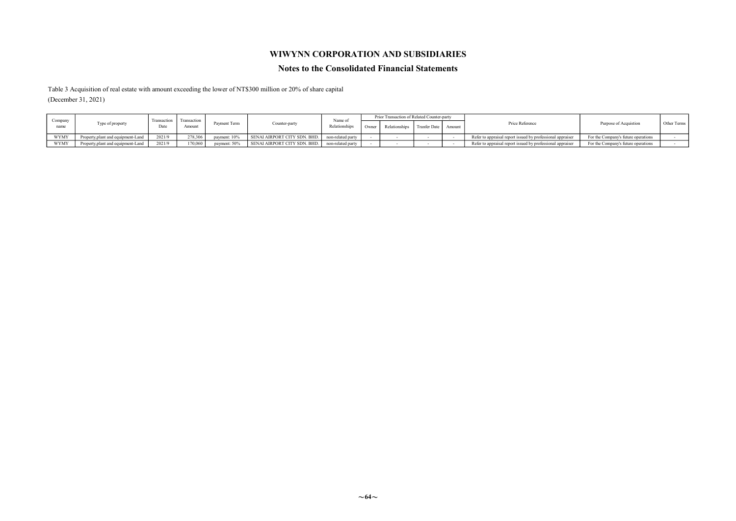### WIWYNN CORPORATION AND SUBSIDIARIES

#### Notes to the Consolidated Financial Statements

Table 3 Acquisition of real estate with amount exceeding the lower of NT\$300 million or 20% of share capital (December 31, 2021)

|                 |                                    |                     |                      |              |                              |                         | Prior Transaction of Related Counter-party |               |                     |        |                                                            |                                     |             |
|-----------------|------------------------------------|---------------------|----------------------|--------------|------------------------------|-------------------------|--------------------------------------------|---------------|---------------------|--------|------------------------------------------------------------|-------------------------------------|-------------|
| Company<br>name | Type of property                   | Transaction<br>Date | I ransactiv<br>Amoun | Payment Term | Counter-party                | Name o<br>Relationships | Owner                                      | Relationships | <b>Tranfer Date</b> | Amount | Price Reference                                            | Purpose of Acquistion               | Other Terms |
| <b>WYMY</b>     | Property plant and equipment-Land. | 2021/9              | '78.306              | payment: 10% | SENAI AIRPORT CITY SDN. BHD. | non-related party       |                                            |               |                     |        | Refer to appraisal report issued by professional appraiser | For the Company's future operations |             |
| WYMY            | Property, plant and equipment-Land | 2021/9              | $170,060$ +          | payment: 50% | SENAI AIRPORT CITY SDN. BHD. | non-related party       |                                            |               |                     |        | Refer to appraisal report issued by professional appraiser | For the Company's future operations |             |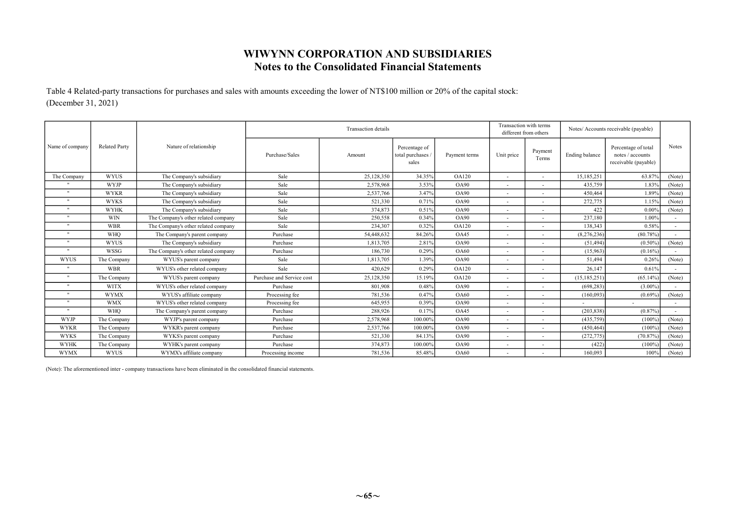Table 4 Related-party transactions for purchases and sales with amounts exceeding the lower of NT\$100 million or 20% of the capital stock: (December 31, 2021)

|                 |                      |                                     |                           | <b>Transaction</b> details |                                            |                   |                          | Transaction with terms<br>different from others | Notes/ Accounts receivable (payable) |                                                                 |        |
|-----------------|----------------------|-------------------------------------|---------------------------|----------------------------|--------------------------------------------|-------------------|--------------------------|-------------------------------------------------|--------------------------------------|-----------------------------------------------------------------|--------|
| Name of company | <b>Related Party</b> | Nature of relationship              | Purchase/Sales            | Amount                     | Percentage of<br>total purchases.<br>sales | Payment terms     | Unit price               | Payment<br>Terms                                | Ending balance                       | Percentage of total<br>notes / accounts<br>receivable (payable) | Notes  |
| The Company     | <b>WYUS</b>          | The Company's subsidiary            | Sale                      | 25,128,350                 | 34.35%                                     | <b>OA120</b>      | ٠                        |                                                 | 15,185,251                           | 63.87%                                                          | (Note) |
|                 | <b>WYJP</b>          | The Company's subsidiary            | Sale                      | 2.578.968                  | 3.53%                                      | <b>OA90</b>       |                          |                                                 | 435,759                              | 1.83%                                                           | (Note) |
| $\mathbf{H}$    | <b>WYKR</b>          | The Company's subsidiary            | Sale                      | 2,537,766                  | 3.47%                                      | <b>OA90</b>       |                          |                                                 | 450,464                              | 1.89%                                                           | (Note) |
| $\mathbf{H}$    | <b>WYKS</b>          | The Company's subsidiary            | Sale                      | 521.330                    | 0.71%                                      | <b>OA90</b>       |                          |                                                 | 272,775                              | 1.15%                                                           | (Note) |
|                 | <b>WYHK</b>          | The Company's subsidiary            | Sale                      | 374,873                    | 0.51%                                      | O <sub>A</sub> 90 |                          |                                                 | 422                                  | 0.00%                                                           | (Note) |
| $\mathbf{H}$    | <b>WIN</b>           | The Company's other related company | Sale                      | 250,558                    | 0.34%                                      | O <sub>A</sub> 90 |                          |                                                 | 237,180                              | 1.00%                                                           |        |
| $\mathbf{H}$    | <b>WBR</b>           | The Company's other related company | Sale                      | 234,307                    | 0.32%                                      | <b>OA120</b>      | ٠                        |                                                 | 138,343                              | 0.58%                                                           |        |
| $\mathbf{H}$    | <b>WHO</b>           | The Company's parent company        | Purchase                  | 54,448,632                 | 84.26%                                     | OA45              |                          |                                                 | (8,276,236)                          | $(80.78\%)$                                                     |        |
|                 | <b>WYUS</b>          | The Company's subsidiary            | Purchase                  | 1.813.705                  | 2.81%                                      | OA90              |                          |                                                 | (51, 494)                            | (0.50%                                                          | (Note) |
| $\mathbf{H}$    | <b>WSSG</b>          | The Company's other related company | Purchase                  | 186,730                    | 0.29%                                      | <b>OA60</b>       |                          |                                                 | (15,963)                             | (0.16%                                                          |        |
| <b>WYUS</b>     | The Company          | WYUS's parent company               | Sale                      | 1,813,705                  | 1.39%                                      | <b>OA90</b>       |                          |                                                 | 51,494                               | 0.26%                                                           | (Note) |
| $\mathbf{H}$    | <b>WBR</b>           | WYUS's other related company        | Sale                      | 420.629                    | 0.29%                                      | <b>OA120</b>      |                          |                                                 | 26.147                               | 0.61%                                                           |        |
| $\cdot$         | The Company          | WYUS's parent company               | Purchase and Service cost | 25,128,350                 | 15.19%                                     | <b>OA120</b>      |                          |                                                 | (15, 185, 251)                       | (65.14%                                                         | (Note) |
| $\mathbf{u}$    | <b>WITX</b>          | WYUS's other related company        | Purchase                  | 801.908                    | 0.48%                                      | <b>OA90</b>       |                          |                                                 | (698, 283)                           | (3.00%                                                          |        |
|                 | <b>WYMX</b>          | WYUS's affiliate company            | Processing fee            | 781,536                    | 0.47%                                      | <b>OA60</b>       |                          |                                                 | (160,093)                            | (0.69%                                                          | (Note) |
| $\mathbf{H}$    | <b>WMX</b>           | WYUS's other related company        | Processing fee            | 645.955                    | 0.39%                                      | <b>OA90</b>       |                          |                                                 |                                      |                                                                 |        |
| $\mathbf{H}$    | <b>WHO</b>           | The Company's parent company        | Purchase                  | 288,926                    | 0.17%                                      | OA45              | $\overline{\phantom{a}}$ |                                                 | (203, 838)                           | (0.87%                                                          |        |
| <b>WYJP</b>     | The Company          | WYJP's parent company               | Purchase                  | 2,578,968                  | 100.00%                                    | <b>OA90</b>       |                          |                                                 | (435,759)                            | (100%                                                           | (Note) |
| <b>WYKR</b>     | The Company          | WYKR's parent company               | Purchase                  | 2,537,766                  | 100.00%                                    | <b>OA90</b>       |                          |                                                 | (450, 464)                           | (100%                                                           | (Note) |
| <b>WYKS</b>     | The Company          | WYKS's parent company               | Purchase                  | 521,330                    | 84.13%                                     | <b>OA90</b>       |                          |                                                 | (272, 775)                           | (70.87%                                                         | (Note) |
| <b>WYHK</b>     | The Company          | WYHK's parent company               | Purchase                  | 374,873                    | 100.00%                                    | O <sub>A</sub> 90 |                          |                                                 | (422)                                | (100%                                                           | (Note) |
| <b>WYMX</b>     | <b>WYUS</b>          | WYMX's affiliate company            | Processing income         | 781,536                    | 85.48%                                     | <b>OA60</b>       |                          |                                                 | 160,093                              | 100%                                                            | (Note) |

(Note): The aforementioned inter - company transactions have been eliminated in the consolidated financial statements.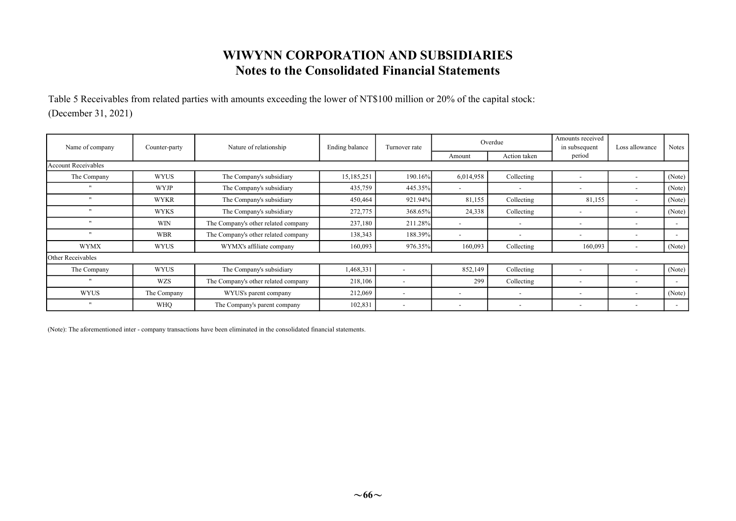Table 5 Receivables from related parties with amounts exceeding the lower of NT\$100 million or 20% of the capital stock: (December 31, 2021)

| Name of company            | Counter-party | Nature of relationship              | Ending balance | Turnover rate            |                          | Overdue                  | Amounts received<br>in subsequent | Loss allowance           | <b>Notes</b>             |
|----------------------------|---------------|-------------------------------------|----------------|--------------------------|--------------------------|--------------------------|-----------------------------------|--------------------------|--------------------------|
|                            |               |                                     |                |                          | Amount                   | Action taken             | period                            |                          |                          |
| <b>Account Receivables</b> |               |                                     |                |                          |                          |                          |                                   |                          |                          |
| The Company                | <b>WYUS</b>   | The Company's subsidiary            | 15,185,251     | 190.16%                  | 6,014,958                | Collecting               | $\overline{\phantom{a}}$          |                          | (Note)                   |
| $^{\prime\prime}$          | <b>WYJP</b>   | The Company's subsidiary            | 435,759        | 445.35%                  | $\overline{\phantom{a}}$ | $\overline{\phantom{a}}$ | $\overline{\phantom{a}}$          |                          | (Note)                   |
| $\cdot$                    | <b>WYKR</b>   | The Company's subsidiary            | 450,464        | 921.94%                  | 81,155                   | Collecting               | 81,155                            | $\overline{\phantom{a}}$ | (Note)                   |
| $^{\prime\prime}$          | <b>WYKS</b>   | The Company's subsidiary            | 272,775        | 368.65%                  | 24,338                   | Collecting               | $\overline{\phantom{a}}$          |                          | (Note)                   |
| $\cdot$                    | <b>WIN</b>    | The Company's other related company | 237,180        | 211.28%                  | $\overline{\phantom{a}}$ | $\overline{\phantom{a}}$ | $\overline{\phantom{a}}$          | $\overline{\phantom{a}}$ | $\overline{\phantom{a}}$ |
| $\mathbf{u}$               | <b>WBR</b>    | The Company's other related company | 138,343        | 188.39%                  | $\overline{\phantom{a}}$ | $\overline{\phantom{a}}$ | $\overline{\phantom{a}}$          | $\overline{\phantom{a}}$ | $\overline{\phantom{a}}$ |
| <b>WYMX</b>                | <b>WYUS</b>   | WYMX's affiliate company            | 160,093        | 976.35%                  | 160,093                  | Collecting               | 160,093                           | $\overline{\phantom{a}}$ | (Note)                   |
| Other Receivables          |               |                                     |                |                          |                          |                          |                                   |                          |                          |
| The Company                | <b>WYUS</b>   | The Company's subsidiary            | 1,468,331      |                          | 852,149                  | Collecting               | $\overline{\phantom{a}}$          |                          | (Note)                   |
| $\mathbf{u}$               | <b>WZS</b>    | The Company's other related company | 218,106        | $\overline{\phantom{a}}$ | 299                      | Collecting               | $\overline{a}$                    | $\overline{\phantom{a}}$ | $\overline{\phantom{a}}$ |
| <b>WYUS</b>                | The Company   | WYUS's parent company               | 212,069        | $\overline{\phantom{a}}$ | $\overline{\phantom{a}}$ | $\overline{\phantom{a}}$ | $\overline{\phantom{a}}$          | $\overline{\phantom{a}}$ | (Note)                   |
| $^{\prime\prime}$          | <b>WHQ</b>    | The Company's parent company        | 102,831        | $\overline{\phantom{a}}$ | $\overline{\phantom{a}}$ | $\overline{\phantom{a}}$ | $\overline{\phantom{a}}$          | $\overline{\phantom{0}}$ | $\overline{\phantom{a}}$ |

(Note): The aforementioned inter - company transactions have been eliminated in the consolidated financial statements.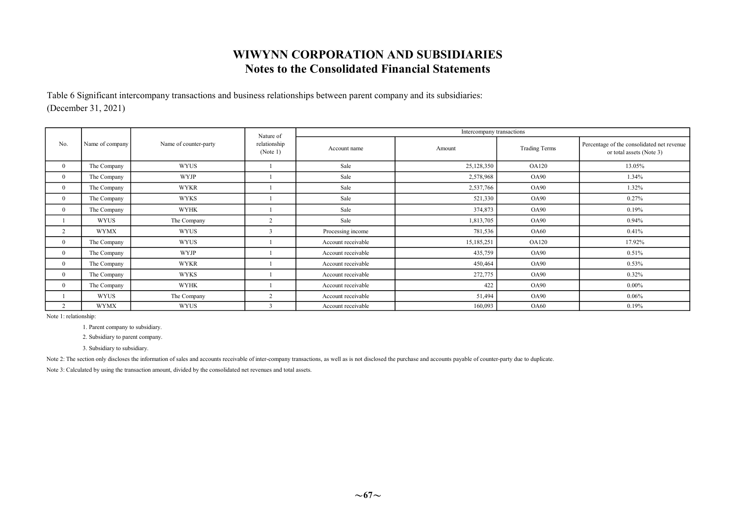Table 6 Significant intercompany transactions and business relationships between parent company and its subsidiaries: (December 31, 2021)

|                |                 |                       | Nature of                |                    | Intercompany transactions |                      |                                                                        |
|----------------|-----------------|-----------------------|--------------------------|--------------------|---------------------------|----------------------|------------------------------------------------------------------------|
| No.            | Name of company | Name of counter-party | relationship<br>(Note 1) | Account name       | Amount                    | <b>Trading Terms</b> | Percentage of the consolidated net revenue<br>or total assets (Note 3) |
| $\overline{0}$ | The Company     | <b>WYUS</b>           |                          | Sale               | 25,128,350                | <b>OA120</b>         | 13.05%                                                                 |
| $\overline{0}$ | The Company     | <b>WYJP</b>           |                          | Sale               | 2,578,968                 | <b>OA90</b>          | 1.34%                                                                  |
| $\mathbf{0}$   | The Company     | <b>WYKR</b>           |                          | Sale               | 2,537,766                 | <b>OA90</b>          | 1.32%                                                                  |
| $\theta$       | The Company     | <b>WYKS</b>           |                          | Sale               | 521,330                   | OA90                 | 0.27%                                                                  |
| $\Omega$       | The Company     | <b>WYHK</b>           |                          | Sale               | 374,873                   | <b>OA90</b>          | 0.19%                                                                  |
|                | <b>WYUS</b>     | The Company           | $\overline{2}$           | Sale               | 1,813,705                 | <b>OA90</b>          | 0.94%                                                                  |
|                | <b>WYMX</b>     | <b>WYUS</b>           | $\mathbf{3}$             | Processing income  | 781,536                   | <b>OA60</b>          | 0.41%                                                                  |
| $\Omega$       | The Company     | <b>WYUS</b>           |                          | Account receivable | 15,185,251                | <b>OA120</b>         | 17.92%                                                                 |
| $\Omega$       | The Company     | <b>WYJP</b>           |                          | Account receivable | 435,759                   | OA90                 | 0.51%                                                                  |
| $\overline{0}$ | The Company     | <b>WYKR</b>           |                          | Account receivable | 450,464                   | OA90                 | 0.53%                                                                  |
| $\mathbf{0}$   | The Company     | <b>WYKS</b>           |                          | Account receivable | 272,775                   | OA90                 | 0.32%                                                                  |
| $\Omega$       | The Company     | <b>WYHK</b>           |                          | Account receivable | 422                       | OA90                 | $0.00\%$                                                               |
|                | <b>WYUS</b>     | The Company           | 2                        | Account receivable | 51,494                    | OA90                 | 0.06%                                                                  |
|                | <b>WYMX</b>     | WYUS                  |                          | Account receivable | 160,093                   | <b>OA60</b>          | 0.19%                                                                  |

Note 1: relationship:

1. Parent company to subsidiary.

2. Subsidiary to parent company.

3. Subsidiary to subsidiary.

Note 2: The section only discloses the information of sales and accounts receivable of inter-company transactions, as well as is not disclosed the purchase and accounts payable of counter-party due to duplicate.

Note 3: Calculated by using the transaction amount, divided by the consolidated net revenues and total assets.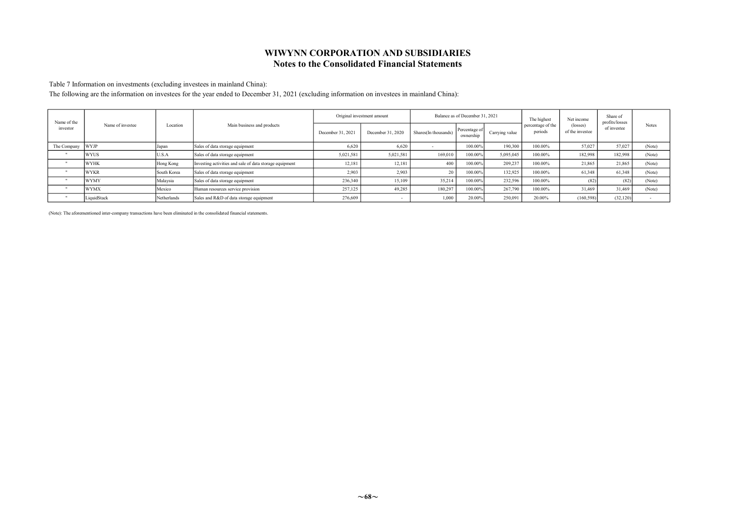Table 7 Information on investments (excluding investees in mainland China):

The following are the information on investees for the year ended to December 31, 2021 (excluding information on investees in mainland China):

| Name of the |                  |             |                                                         |                   | Original investment amount |                      | Balance as of December 31, 2021 |                | The highest                  | Net income                  | Share of<br>profits/losses |        |
|-------------|------------------|-------------|---------------------------------------------------------|-------------------|----------------------------|----------------------|---------------------------------|----------------|------------------------------|-----------------------------|----------------------------|--------|
| investor    | Name of investee | Location    | Main business and products                              | December 31, 2021 | December 31, 2020          | Shares(In thousands) | Percentage of<br>ownership      | Carrying value | percentage of the<br>periods | (losses)<br>of the investee | of investee                | Notes  |
| The Company | <b>WYJP</b>      | apan        | Sales of data storage equipment                         | 6.620             | 6.620                      |                      | 100.00%                         | 190,300        | 100.00%                      | 57,027                      | 57,027                     | (Note) |
|             | <b>WYUS</b>      | U.S.A       | Sales of data storage equipment                         | 5,021,581         | 5,021,581                  | 169,010              | 100.00%                         | 5,095,045      | 100.00%                      | 182,998                     | 182,998                    | (Note) |
|             | <b>WYHK</b>      | Hong Kong   | Investing activities and sale of data storage equipment | 12.18             | 12.181                     | 400                  | 100.00%                         | 209.237        | 100.00%                      | 21,865                      | 21,865                     | (Note) |
|             | <b>WYKR</b>      | South Korea | Sales of data storage equipment                         | 2.903             | 2.903                      | 20                   | 100.009                         | 132,925        | 100.00%                      | 61,348                      | 61.348                     | (Note) |
|             | <b>WYMY</b>      | Malaysia    | Sales of data storage equipment                         | 236,340           | 15,109                     | 35,214               | 100.00%                         | 232,596        | 100.00%                      | (82)                        | (82)                       | (Note) |
|             | <b>WYMX</b>      | Mexico      | Human resources service provision                       | 257,125           | 49.285                     | 180,297              | 100.00%                         | 267,790        | 100.00%                      | 31,469                      | 31,469                     | (Note) |
|             | LiquidStack      | Netherlands | Sales and R&D of data storage equipment                 | 276,609           |                            | 1,000                | 20.00%                          | 250,091        | 20.00%                       | (160, 598)                  | (32, 120)                  |        |

(Note): The aforementioned inter-company transactions have been eliminated in the consolidated financial statements.